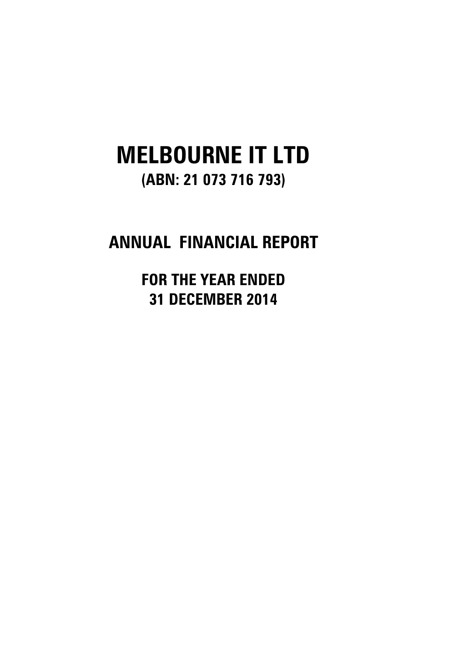## **(ABN: 21 073 716 793)**

**ANNUAL FINANCIAL REPORT**

**FOR THE YEAR ENDED 31 DECEMBER 2014**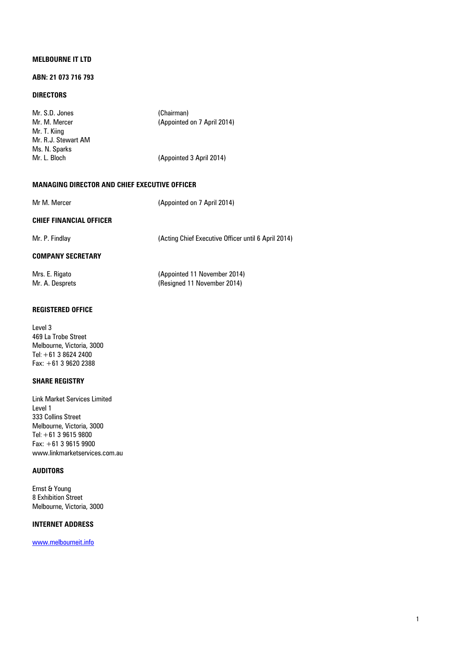## **ABN: 21 073 716 793**

## **DIRECTORS**

| Mr. S.D. Jones      | (Chairman)                  |
|---------------------|-----------------------------|
| Mr. M. Mercer       | (Appointed on 7 April 2014) |
| Mr. T. Kiing        |                             |
| Mr. R.J. Stewart AM |                             |
| Ms. N. Sparks       |                             |
| Mr. L. Bloch        | (Appointed 3 April 2014)    |

## **MANAGING DIRECTOR AND CHIEF EXECUTIVE OFFICER**

Mr M. Mercer **Mr M. Mercer** (Appointed on 7 April 2014)

## **CHIEF FINANCIAL OFFICER**

Mr. P. Findlay (Acting Chief Executive Officer until 6 April 2014)

## **COMPANY SECRETARY**

| Mrs. E. Rigato  | (Appointed 11 November 2014) |
|-----------------|------------------------------|
| Mr. A. Desprets | (Resigned 11 November 2014)  |

## **REGISTERED OFFICE**

Level 3 469 La Trobe Street Melbourne, Victoria, 3000 Tel: +61 3 8624 2400 Fax: +61 3 9620 2388

## **SHARE REGISTRY**

Link Market Services Limited Level 1 333 Collins Street Melbourne, Victoria, 3000 Tel: +61 3 9615 9800 Fax: +61 3 9615 9900 www.linkmarketservices.com.au

## **AUDITORS**

Ernst & Young 8 Exhibition Street Melbourne, Victoria, 3000

## **INTERNET ADDRESS**

www.melbourneit.info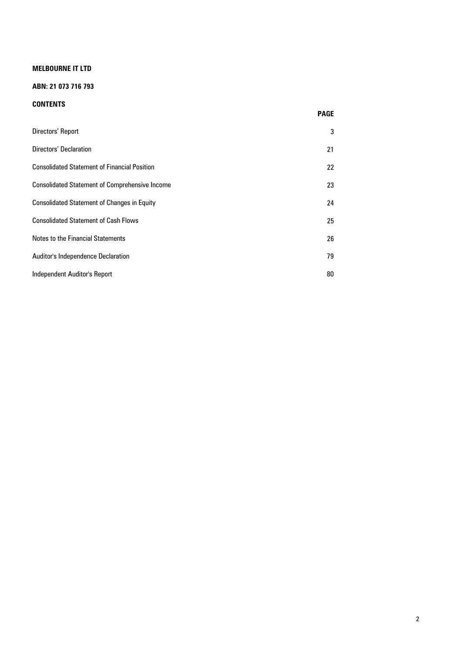## **ABN: 21 073 716 793**

## **CONTENTS**

|                                                       | <b>PAGE</b> |  |
|-------------------------------------------------------|-------------|--|
| Directors' Report                                     | 3           |  |
| Directors' Declaration                                | 21          |  |
| <b>Consolidated Statement of Financial Position</b>   | 22          |  |
| <b>Consolidated Statement of Comprehensive Income</b> | 23          |  |
| <b>Consolidated Statement of Changes in Equity</b>    | 24          |  |
| <b>Consolidated Statement of Cash Flows</b>           | 25          |  |
| Notes to the Financial Statements                     | 26          |  |
| Auditor's Independence Declaration                    | 79          |  |
| Independent Auditor's Report                          | 80          |  |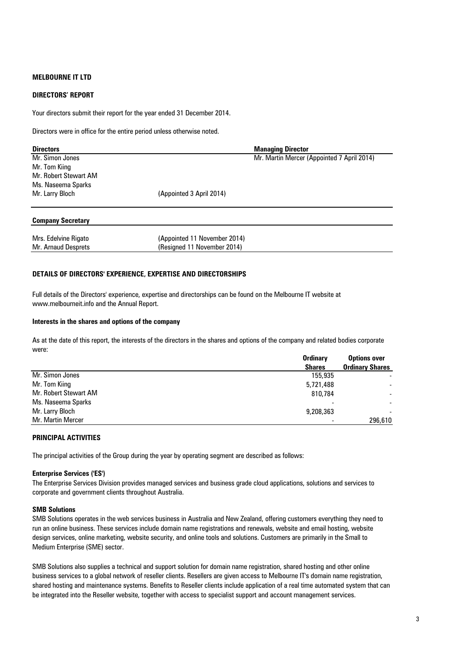## **DIRECTORS' REPORT**

Your directors submit their report for the year ended 31 December 2014.

Directors were in office for the entire period unless otherwise noted.

| <b>Directors</b>      |                          | <b>Managing Director</b>                   |
|-----------------------|--------------------------|--------------------------------------------|
| Mr. Simon Jones       |                          | Mr. Martin Mercer (Appointed 7 April 2014) |
| Mr. Tom Kiing         |                          |                                            |
| Mr. Robert Stewart AM |                          |                                            |
| Ms. Naseema Sparks    |                          |                                            |
| Mr. Larry Bloch       | (Appointed 3 April 2014) |                                            |
|                       |                          |                                            |
|                       |                          |                                            |

#### **Company Secretary**

| Mrs. Edelvine Rigato | (Appointed 11 November 2014) |
|----------------------|------------------------------|
| Mr. Arnaud Desprets  | (Resigned 11 November 2014)  |

## **DETAILS OF DIRECTORS' EXPERIENCE, EXPERTISE AND DIRECTORSHIPS**

Full details of the Directors' experience, expertise and directorships can be found on the Melbourne IT website at www.melbourneit.info and the Annual Report.

#### **Interests in the shares and options of the company**

As at the date of this report, the interests of the directors in the shares and options of the company and related bodies corporate were:

|                       | <b>Ordinary</b> |                          |
|-----------------------|-----------------|--------------------------|
|                       | <b>Shares</b>   | <b>Ordinary Shares</b>   |
| Mr. Simon Jones       | 155,935         |                          |
| Mr. Tom Kiing         | 5,721,488       |                          |
| Mr. Robert Stewart AM | 810,784         | $\overline{\phantom{a}}$ |
| Ms. Naseema Sparks    |                 |                          |
| Mr. Larry Bloch       | 9,208,363       |                          |
| Mr. Martin Mercer     |                 | 296,610                  |

## **PRINCIPAL ACTIVITIES**

The principal activities of the Group during the year by operating segment are described as follows:

## **Enterprise Services ('ES')**

The Enterprise Services Division provides managed services and business grade cloud applications, solutions and services to corporate and government clients throughout Australia.

## **SMB Solutions**

SMB Solutions operates in the web services business in Australia and New Zealand, offering customers everything they need to run an online business. These services include domain name registrations and renewals, website and email hosting, website design services, online marketing, website security, and online tools and solutions. Customers are primarily in the Small to Medium Enterprise (SME) sector.

SMB Solutions also supplies a technical and support solution for domain name registration, shared hosting and other online business services to a global network of reseller clients. Resellers are given access to Melbourne IT's domain name registration, shared hosting and maintenance systems. Benefits to Reseller clients include application of a real time automated system that can be integrated into the Reseller website, together with access to specialist support and account management services.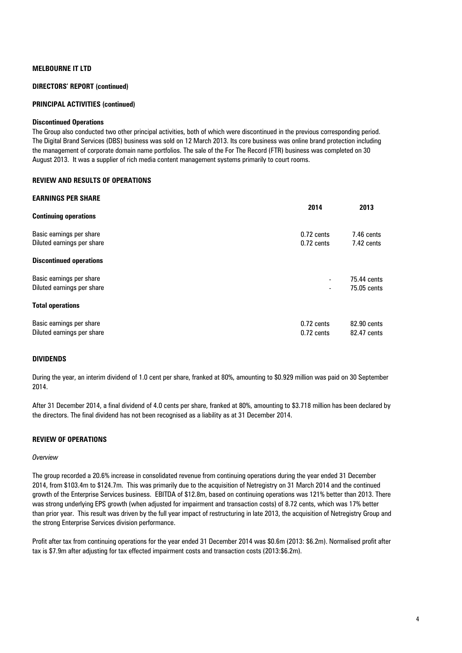## **DIRECTORS' REPORT (continued)**

## **PRINCIPAL ACTIVITIES (continued)**

## **Discontinued Operations**

The Group also conducted two other principal activities, both of which were discontinued in the previous corresponding period. The Digital Brand Services (DBS) business was sold on 12 March 2013. Its core business was online brand protection including the management of corporate domain name portfolios. The sale of the For The Record (FTR) business was completed on 30 August 2013. It was a supplier of rich media content management systems primarily to court rooms.

## **REVIEW AND RESULTS OF OPERATIONS**

| <b>EARNINGS PER SHARE</b>      | 2014         | 2013         |  |
|--------------------------------|--------------|--------------|--|
| <b>Continuing operations</b>   |              |              |  |
| Basic earnings per share       | $0.72$ cents | $7.46$ cents |  |
| Diluted earnings per share     | $0.72$ cents | 7.42 cents   |  |
| <b>Discontinued operations</b> |              |              |  |
| Basic earnings per share       |              | 75.44 cents  |  |
| Diluted earnings per share     |              | 75.05 cents  |  |
| <b>Total operations</b>        |              |              |  |
| Basic earnings per share       | $0.72$ cents | 82.90 cents  |  |
| Diluted earnings per share     | $0.72$ cents | 82.47 cents  |  |

## **DIVIDENDS**

During the year, an interim dividend of 1.0 cent per share, franked at 80%, amounting to \$0.929 million was paid on 30 September 2014.

After 31 December 2014, a final dividend of 4.0 cents per share, franked at 80%, amounting to \$3.718 million has been declared by the directors. The final dividend has not been recognised as a liability as at 31 December 2014.

## **REVIEW OF OPERATIONS**

## *Overview*

The group recorded a 20.6% increase in consolidated revenue from continuing operations during the year ended 31 December 2014, from \$103.4m to \$124.7m. This was primarily due to the acquisition of Netregistry on 31 March 2014 and the continued growth of the Enterprise Services business. EBITDA of \$12.8m, based on continuing operations was 121% better than 2013. There was strong underlying EPS growth (when adjusted for impairment and transaction costs) of 8.72 cents, which was 17% better than prior year. This result was driven by the full year impact of restructuring in late 2013, the acquisition of Netregistry Group and the strong Enterprise Services division performance.

Profit after tax from continuing operations for the year ended 31 December 2014 was \$0.6m (2013: \$6.2m). Normalised profit after tax is \$7.9m after adjusting for tax effected impairment costs and transaction costs (2013:\$6.2m).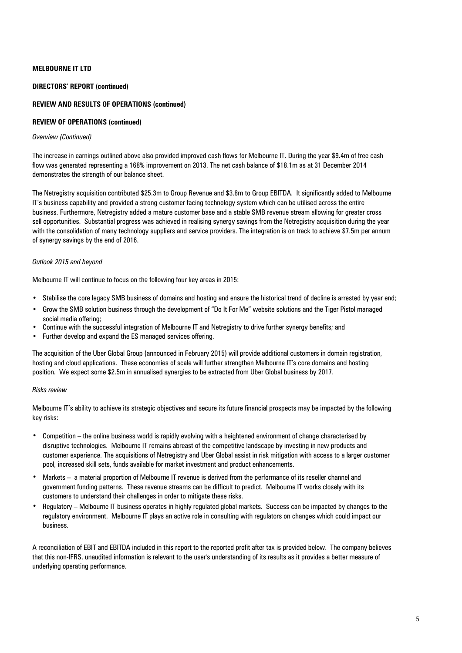## **DIRECTORS' REPORT (continued)**

## **REVIEW AND RESULTS OF OPERATIONS (continued)**

## **REVIEW OF OPERATIONS (continued)**

## *Overview (Continued)*

The increase in earnings outlined above also provided improved cash flows for Melbourne IT. During the year \$9.4m of free cash flow was generated representing a 168% improvement on 2013. The net cash balance of \$18.1m as at 31 December 2014 demonstrates the strength of our balance sheet.

The Netregistry acquisition contributed \$25.3m to Group Revenue and \$3.8m to Group EBITDA. It significantly added to Melbourne IT's business capability and provided a strong customer facing technology system which can be utilised across the entire business. Furthermore, Netregistry added a mature customer base and a stable SMB revenue stream allowing for greater cross sell opportunities. Substantial progress was achieved in realising synergy savings from the Netregistry acquisition during the year with the consolidation of many technology suppliers and service providers. The integration is on track to achieve \$7.5m per annum of synergy savings by the end of 2016.

## *Outlook 2015 and beyond*

Melbourne IT will continue to focus on the following four key areas in 2015:

- Stabilise the core legacy SMB business of domains and hosting and ensure the historical trend of decline is arrested by year end;
- Grow the SMB solution business through the development of "Do It For Me" website solutions and the Tiger Pistol managed social media offering;
- Continue with the successful integration of Melbourne IT and Netregistry to drive further synergy benefits; and
- Further develop and expand the ES managed services offering.

The acquisition of the Uber Global Group (announced in February 2015) will provide additional customers in domain registration, hosting and cloud applications. These economies of scale will further strengthen Melbourne IT's core domains and hosting position. We expect some \$2.5m in annualised synergies to be extracted from Uber Global business by 2017.

## *Risks review*

Melbourne IT's ability to achieve its strategic objectives and secure its future financial prospects may be impacted by the following key risks:

- Competition the online business world is rapidly evolving with a heightened environment of change characterised by disruptive technologies. Melbourne IT remains abreast of the competitive landscape by investing in new products and customer experience. The acquisitions of Netregistry and Uber Global assist in risk mitigation with access to a larger customer pool, increased skill sets, funds available for market investment and product enhancements.
- Markets – a material proportion of Melbourne IT revenue is derived from the performance of its reseller channel and government funding patterns. These revenue streams can be difficult to predict. Melbourne IT works closely with its customers to understand their challenges in order to mitigate these risks.
- Regulatory – Melbourne IT business operates in highly regulated global markets. Success can be impacted by changes to the regulatory environment. Melbourne IT plays an active role in consulting with regulators on changes which could impact our business.

A reconciliation of EBIT and EBITDA included in this report to the reported profit after tax is provided below. The company believes that this non-IFRS, unaudited information is relevant to the user's understanding of its results as it provides a better measure of underlying operating performance.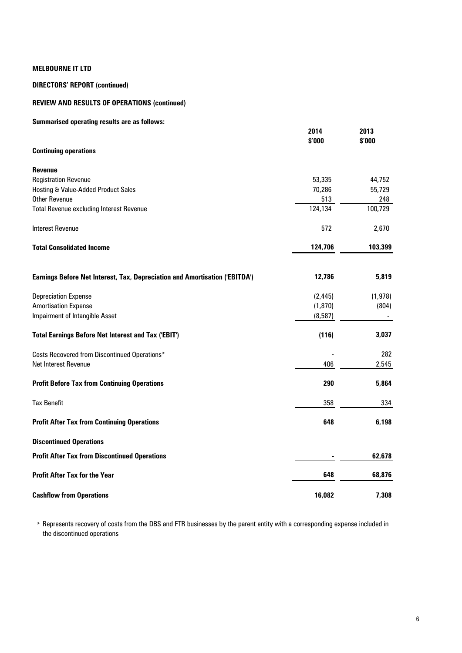## **DIRECTORS' REPORT (continued)**

## **REVIEW AND RESULTS OF OPERATIONS (continued)**

## **Summarised operating results are as follows:**

|                                                                             | 2014<br>\$'000 | 2013<br>\$'000 |
|-----------------------------------------------------------------------------|----------------|----------------|
| <b>Continuing operations</b>                                                |                |                |
| Revenue                                                                     |                |                |
| <b>Registration Revenue</b>                                                 | 53,335         | 44,752         |
| Hosting & Value-Added Product Sales                                         | 70,286         | 55,729         |
| Other Revenue                                                               | 513            | 248            |
| <b>Total Revenue excluding Interest Revenue</b>                             | 124,134        | 100,729        |
| <b>Interest Revenue</b>                                                     | 572            | 2,670          |
| <b>Total Consolidated Income</b>                                            | 124,706        | 103,399        |
| Earnings Before Net Interest, Tax, Depreciation and Amortisation ('EBITDA') | 12,786         | 5,819          |
| <b>Depreciation Expense</b>                                                 | (2, 445)       | (1,978)        |
| <b>Amortisation Expense</b>                                                 | (1,870)        | (804)          |
| <b>Impairment of Intangible Asset</b>                                       | (8, 587)       |                |
| <b>Total Earnings Before Net Interest and Tax ('EBIT')</b>                  | (116)          | 3,037          |
| Costs Recovered from Discontinued Operations*                               |                | 282            |
| Net Interest Revenue                                                        | 406            | 2,545          |
| <b>Profit Before Tax from Continuing Operations</b>                         | 290            | 5,864          |
| <b>Tax Benefit</b>                                                          | 358            | 334            |
| <b>Profit After Tax from Continuing Operations</b>                          | 648            | 6,198          |
| <b>Discontinued Operations</b>                                              |                |                |
| <b>Profit After Tax from Discontinued Operations</b>                        |                | 62,678         |
| <b>Profit After Tax for the Year</b>                                        | 648            | 68,876         |
| <b>Cashflow from Operations</b>                                             | 16,082         | 7,308          |

\* Represents recovery of costs from the DBS and FTR businesses by the parent entity with a corresponding expense included in the discontinued operations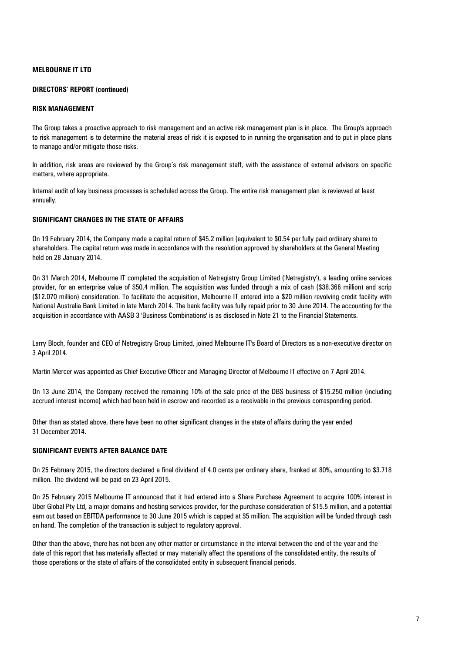## **DIRECTORS' REPORT (continued)**

## **RISK MANAGEMENT**

The Group takes a proactive approach to risk management and an active risk management plan is in place. The Group's approach to risk management is to determine the material areas of risk it is exposed to in running the organisation and to put in place plans to manage and/or mitigate those risks.

In addition, risk areas are reviewed by the Group's risk management staff, with the assistance of external advisors on specific matters, where appropriate.

Internal audit of key business processes is scheduled across the Group. The entire risk management plan is reviewed at least annually.

## **SIGNIFICANT CHANGES IN THE STATE OF AFFAIRS**

On 19 February 2014, the Company made a capital return of \$45.2 million (equivalent to \$0.54 per fully paid ordinary share) to shareholders. The capital return was made in accordance with the resolution approved by shareholders at the General Meeting held on 28 January 2014.

On 31 March 2014, Melbourne IT completed the acquisition of Netregistry Group Limited ('Netregistry'), a leading online services provider, for an enterprise value of \$50.4 million. The acquisition was funded through a mix of cash (\$38.366 million) and scrip (\$12.070 million) consideration. To facilitate the acquisition, Melbourne IT entered into a \$20 million revolving credit facility with National Australia Bank Limited in late March 2014. The bank facility was fully repaid prior to 30 June 2014. The accounting for the acquisition in accordance with AASB 3 'Business Combinations' is as disclosed in Note 21 to the Financial Statements.

Larry Bloch, founder and CEO of Netregistry Group Limited, joined Melbourne IT's Board of Directors as a non-executive director on 3 April 2014.

Martin Mercer was appointed as Chief Executive Officer and Managing Director of Melbourne IT effective on 7 April 2014.

On 13 June 2014, the Company received the remaining 10% of the sale price of the DBS business of \$15.250 million (including accrued interest income) which had been held in escrow and recorded as a receivable in the previous corresponding period.

Other than as stated above, there have been no other significant changes in the state of affairs during the year ended 31 December 2014.

## **SIGNIFICANT EVENTS AFTER BALANCE DATE**

On 25 February 2015, the directors declared a final dividend of 4.0 cents per ordinary share, franked at 80%, amounting to \$3.718 million. The dividend will be paid on 23 April 2015.

On 25 February 2015 Melbourne IT announced that it had entered into a Share Purchase Agreement to acquire 100% interest in Uber Global Pty Ltd, a major domains and hosting services provider, for the purchase consideration of \$15.5 million, and a potential earn out based on EBITDA performance to 30 June 2015 which is capped at \$5 million. The acquisition will be funded through cash on hand. The completion of the transaction is subject to regulatory approval.

Other than the above, there has not been any other matter or circumstance in the interval between the end of the year and the date of this report that has materially affected or may materially affect the operations of the consolidated entity, the results of those operations or the state of affairs of the consolidated entity in subsequent financial periods.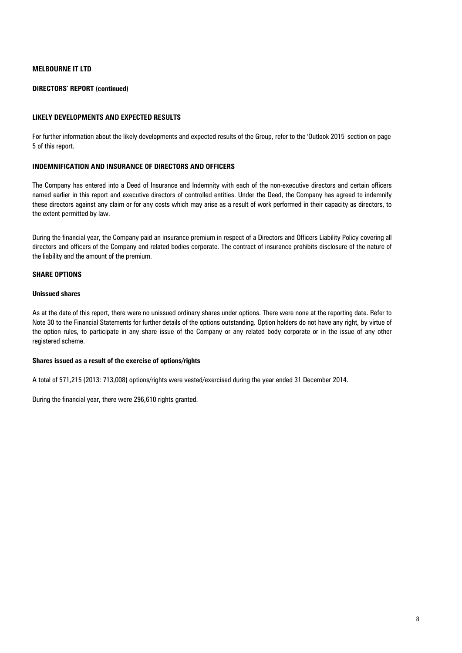## **DIRECTORS' REPORT (continued)**

## **LIKELY DEVELOPMENTS AND EXPECTED RESULTS**

For further information about the likely developments and expected results of the Group, refer to the 'Outlook 2015' section on page 5 of this report.

## **INDEMNIFICATION AND INSURANCE OF DIRECTORS AND OFFICERS**

The Company has entered into a Deed of Insurance and Indemnity with each of the non-executive directors and certain officers named earlier in this report and executive directors of controlled entities. Under the Deed, the Company has agreed to indemnify these directors against any claim or for any costs which may arise as a result of work performed in their capacity as directors, to the extent permitted by law.

During the financial year, the Company paid an insurance premium in respect of a Directors and Officers Liability Policy covering all directors and officers of the Company and related bodies corporate. The contract of insurance prohibits disclosure of the nature of the liability and the amount of the premium.

## **SHARE OPTIONS**

## **Unissued shares**

As at the date of this report, there were no unissued ordinary shares under options. There were none at the reporting date. Refer to Note 30 to the Financial Statements for further details of the options outstanding. Option holders do not have any right, by virtue of the option rules, to participate in any share issue of the Company or any related body corporate or in the issue of any other registered scheme.

## **Shares issued as a result of the exercise of options/rights**

A total of 571,215 (2013: 713,008) options/rights were vested/exercised during the year ended 31 December 2014.

During the financial year, there were 296,610 rights granted.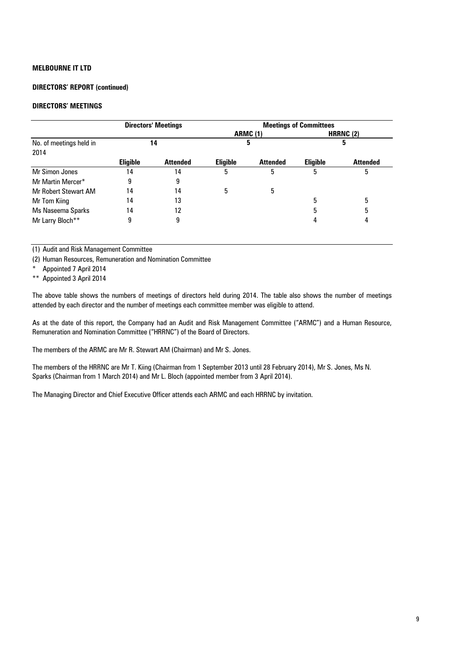## **DIRECTORS' REPORT (continued)**

## **DIRECTORS' MEETINGS**

|                         | <b>Directors' Meetings</b> |                 | <b>Meetings of Committees</b> |                 |                  |                 |
|-------------------------|----------------------------|-----------------|-------------------------------|-----------------|------------------|-----------------|
|                         |                            |                 | <b>ARMC (1)</b>               |                 | <b>HRRNC</b> (2) |                 |
| No. of meetings held in | 14                         |                 | 5                             |                 | 5                |                 |
| 2014                    |                            |                 |                               |                 |                  |                 |
|                         | <b>Eligible</b>            | <b>Attended</b> | <b>Eligible</b>               | <b>Attended</b> | <b>Eligible</b>  | <b>Attended</b> |
| Mr Simon Jones          | 14                         | 14              | 5                             | 5               | 5                |                 |
| Mr Martin Mercer*       | 9                          | 9               |                               |                 |                  |                 |
| Mr Robert Stewart AM    | 14                         | 14              | 5                             | 5               |                  |                 |
| Mr Tom Kiing            | 14                         | 13              |                               |                 | 5                | 5               |
| Ms Naseema Sparks       | 14                         | 12              |                               |                 | 5                | 5               |
| Mr Larry Bloch**        | 9                          | 9               |                               |                 | 4                | 4               |

(1) Audit and Risk Management Committee

(2) Human Resources, Remuneration and Nomination Committee

Appointed 7 April 2014

\*\* Appointed 3 April 2014

The above table shows the numbers of meetings of directors held during 2014. The table also shows the number of meetings attended by each director and the number of meetings each committee member was eligible to attend.

As at the date of this report, the Company had an Audit and Risk Management Committee ("ARMC") and a Human Resource, Remuneration and Nomination Committee ("HRRNC") of the Board of Directors.

The members of the ARMC are Mr R. Stewart AM (Chairman) and Mr S. Jones.

The members of the HRRNC are Mr T. Kiing (Chairman from 1 September 2013 until 28 February 2014), Mr S. Jones, Ms N. Sparks (Chairman from 1 March 2014) and Mr L. Bloch (appointed member from 3 April 2014).

The Managing Director and Chief Executive Officer attends each ARMC and each HRRNC by invitation.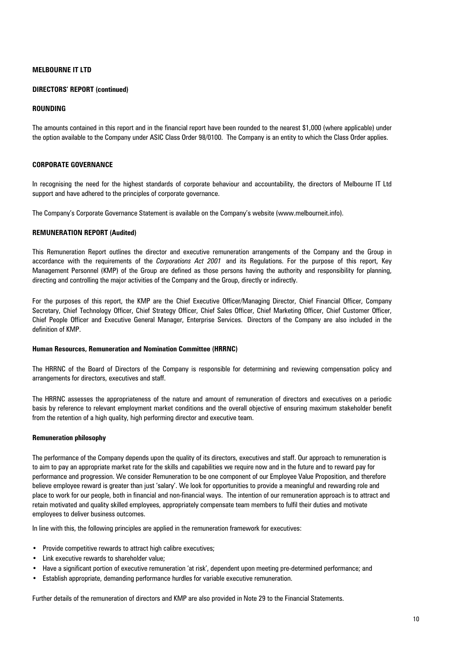## **DIRECTORS' REPORT (continued)**

## **ROUNDING**

The amounts contained in this report and in the financial report have been rounded to the nearest \$1,000 (where applicable) under the option available to the Company under ASIC Class Order 98/0100. The Company is an entity to which the Class Order applies.

## **CORPORATE GOVERNANCE**

In recognising the need for the highest standards of corporate behaviour and accountability, the directors of Melbourne IT Ltd support and have adhered to the principles of corporate governance.

The Company's Corporate Governance Statement is available on the Company's website (www.melbourneit.info).

## **REMUNERATION REPORT (Audited)**

This Remuneration Report outlines the director and executive remuneration arrangements of the Company and the Group in accordance with the requirements of the *Corporations Act 2001* and its Regulations. For the purpose of this report, Key Management Personnel (KMP) of the Group are defined as those persons having the authority and responsibility for planning, directing and controlling the major activities of the Company and the Group, directly or indirectly.

For the purposes of this report, the KMP are the Chief Executive Officer/Managing Director, Chief Financial Officer, Company Secretary, Chief Technology Officer, Chief Strategy Officer, Chief Sales Officer, Chief Marketing Officer, Chief Customer Officer, Chief People Officer and Executive General Manager, Enterprise Services. Directors of the Company are also included in the definition of KMP.

## **Human Resources, Remuneration and Nomination Committee (HRRNC)**

The HRRNC of the Board of Directors of the Company is responsible for determining and reviewing compensation policy and arrangements for directors, executives and staff.

The HRRNC assesses the appropriateness of the nature and amount of remuneration of directors and executives on a periodic basis by reference to relevant employment market conditions and the overall objective of ensuring maximum stakeholder benefit from the retention of a high quality, high performing director and executive team.

## **Remuneration philosophy**

The performance of the Company depends upon the quality of its directors, executives and staff. Our approach to remuneration is to aim to pay an appropriate market rate for the skills and capabilities we require now and in the future and to reward pay for performance and progression. We consider Remuneration to be one component of our Employee Value Proposition, and therefore believe employee reward is greater than just 'salary'. We look for opportunities to provide a meaningful and rewarding role and place to work for our people, both in financial and non-financial ways. The intention of our remuneration approach is to attract and retain motivated and quality skilled employees, appropriately compensate team members to fulfil their duties and motivate employees to deliver business outcomes.

In line with this, the following principles are applied in the remuneration framework for executives:

- Provide competitive rewards to attract high calibre executives;
- Link executive rewards to shareholder value;
- Have a significant portion of executive remuneration 'at risk', dependent upon meeting pre-determined performance; and
- Establish appropriate, demanding performance hurdles for variable executive remuneration.

Further details of the remuneration of directors and KMP are also provided in Note 29 to the Financial Statements.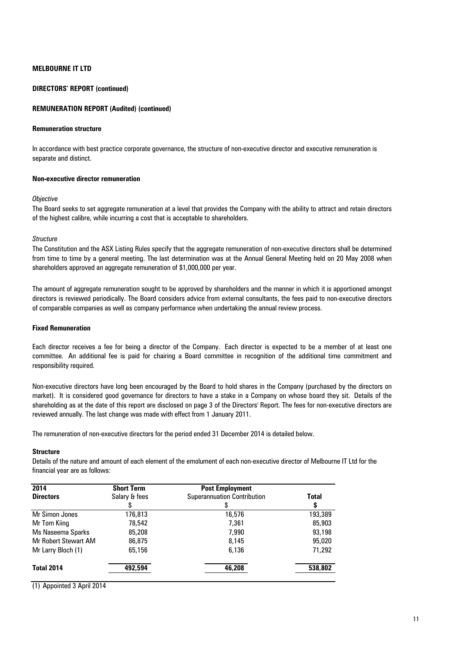## **DIRECTORS' REPORT (continued)**

## **REMUNERATION REPORT (Audited) (continued)**

#### **Remuneration structure**

In accordance with best practice corporate governance, the structure of non-executive director and executive remuneration is separate and distinct.

## **Non-executive director remuneration**

## *Objective*

The Board seeks to set aggregate remuneration at a level that provides the Company with the ability to attract and retain directors of the highest calibre, while incurring a cost that is acceptable to shareholders.

#### *Structure*

The Constitution and the ASX Listing Rules specify that the aggregate remuneration of non-executive directors shall be determined from time to time by a general meeting. The last determination was at the Annual General Meeting held on 20 May 2008 when shareholders approved an aggregate remuneration of \$1,000,000 per year.

The amount of aggregate remuneration sought to be approved by shareholders and the manner in which it is apportioned amongst directors is reviewed periodically. The Board considers advice from external consultants, the fees paid to non-executive directors of comparable companies as well as company performance when undertaking the annual review process.

## **Fixed Remuneration**

Each director receives a fee for being a director of the Company. Each director is expected to be a member of at least one committee. An additional fee is paid for chairing a Board committee in recognition of the additional time commitment and responsibility required.

Non-executive directors have long been encouraged by the Board to hold shares in the Company (purchased by the directors on market). It is considered good governance for directors to have a stake in a Company on whose board they sit. Details of the shareholding as at the date of this report are disclosed on page 3 of the Directors' Report. The fees for non-executive directors are reviewed annually. The last change was made with effect from 1 January 2011.

The remuneration of non-executive directors for the period ended 31 December 2014 is detailed below.

## **Structure**

Details of the nature and amount of each element of the emolument of each non-executive director of Melbourne IT Ltd for the financial year are as follows:

| 2014                 | <b>Short Term</b> | <b>Post Employment</b>             |         |
|----------------------|-------------------|------------------------------------|---------|
| <b>Directors</b>     | Salary & fees     | <b>Superannuation Contribution</b> | Total   |
|                      |                   |                                    |         |
| Mr Simon Jones       | 176,813           | 16,576                             | 193,389 |
| Mr Tom Kiing         | 78,542            | 7.361                              | 85,903  |
| Ms Naseema Sparks    | 85,208            | 7.990                              | 93,198  |
| Mr Robert Stewart AM | 86,875            | 8.145                              | 95,020  |
| Mr Larry Bloch (1)   | 65,156            | 6,136                              | 71.292  |
| <b>Total 2014</b>    | 492,594           | 46,208                             | 538,802 |

(1) Appointed 3 April 2014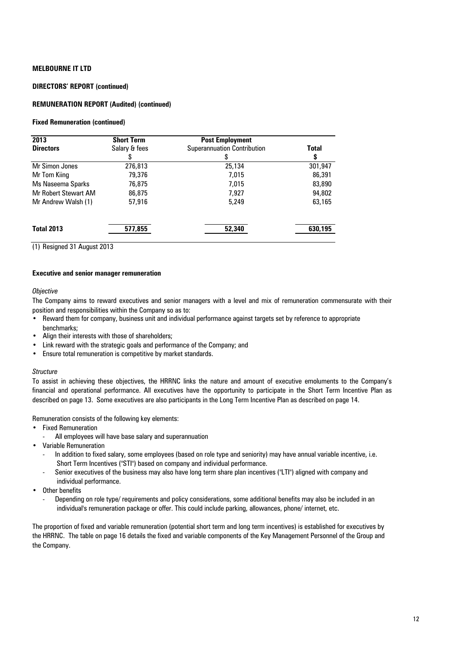## **DIRECTORS' REPORT (continued)**

## **REMUNERATION REPORT (Audited) (continued)**

## **Fixed Remuneration (continued)**

| 2013<br><b>Directors</b> | <b>Short Term</b><br>Salary & fees<br>S | <b>Post Employment</b><br><b>Superannuation Contribution</b> | <b>Total</b> |
|--------------------------|-----------------------------------------|--------------------------------------------------------------|--------------|
| Mr Simon Jones           | 276,813                                 | 25,134                                                       | 301,947      |
| Mr Tom Kiing             | 79,376                                  | 7.015                                                        | 86,391       |
| Ms Naseema Sparks        | 76,875                                  | 7.015                                                        | 83,890       |
| Mr Robert Stewart AM     | 86,875                                  | 7.927                                                        | 94,802       |
| Mr Andrew Walsh (1)      | 57,916                                  | 5,249                                                        | 63,165       |
| <b>Total 2013</b>        | 577,855                                 | 52,340                                                       | 630,195      |

(1) Resigned 31 August 2013

#### **Executive and senior manager remuneration**

#### *Objective*

The Company aims to reward executives and senior managers with a level and mix of remuneration commensurate with their position and responsibilities within the Company so as to:

- Reward them for company, business unit and individual performance against targets set by reference to appropriate
- Align their interests with those of shareholders; benchmarks;
- Link reward with the strategic goals and performance of the Company; and
- Ensure total remuneration is competitive by market standards.

## *Structure*

To assist in achieving these objectives, the HRRNC links the nature and amount of executive emoluments to the Company's financial and operational performance. All executives have the opportunity to participate in the Short Term Incentive Plan as described on page 13. Some executives are also participants in the Long Term Incentive Plan as described on page 14.

Remuneration consists of the following key elements:

- Fixed Remuneration
	- All employees will have base salary and superannuation
- Variable Remuneration
	- In addition to fixed salary, some employees (based on role type and seniority) may have annual variable incentive, i.e. Short Term Incentives ("STI") based on company and individual performance.
	- Senior executives of the business may also have long term share plan incentives ("LTI") aligned with company and individual performance.
- Other benefits
	- Depending on role type/ requirements and policy considerations, some additional benefits may also be included in an individual's remuneration package or offer. This could include parking, allowances, phone/ internet, etc.

The proportion of fixed and variable remuneration (potential short term and long term incentives) is established for executives by the HRRNC. The table on page 16 details the fixed and variable components of the Key Management Personnel of the Group and the Company.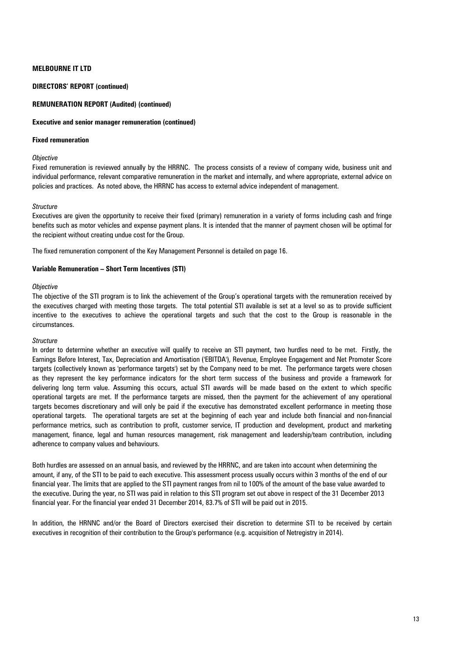## **DIRECTORS' REPORT (continued)**

## **REMUNERATION REPORT (Audited) (continued)**

## **Executive and senior manager remuneration (continued)**

## **Fixed remuneration**

## *Objective*

Fixed remuneration is reviewed annually by the HRRNC. The process consists of a review of company wide, business unit and individual performance, relevant comparative remuneration in the market and internally, and where appropriate, external advice on policies and practices. As noted above, the HRRNC has access to external advice independent of management.

#### *Structure*

Executives are given the opportunity to receive their fixed (primary) remuneration in a variety of forms including cash and fringe benefits such as motor vehicles and expense payment plans. It is intended that the manner of payment chosen will be optimal for the recipient without creating undue cost for the Group.

The fixed remuneration component of the Key Management Personnel is detailed on page 16.

## **Variable Remuneration – Short Term Incentives (STI)**

#### *Objective*

The objective of the STI program is to link the achievement of the Group's operational targets with the remuneration received by the executives charged with meeting those targets. The total potential STI available is set at a level so as to provide sufficient incentive to the executives to achieve the operational targets and such that the cost to the Group is reasonable in the circumstances.

#### *Structure*

In order to determine whether an executive will qualify to receive an STI payment, two hurdles need to be met. Firstly, the Earnings Before Interest, Tax, Depreciation and Amortisation ('EBITDA'), Revenue, Employee Engagement and Net Promoter Score targets (collectively known as 'performance targets') set by the Company need to be met. The performance targets were chosen as they represent the key performance indicators for the short term success of the business and provide a framework for delivering long term value. Assuming this occurs, actual STI awards will be made based on the extent to which specific operational targets are met. If the performance targets are missed, then the payment for the achievement of any operational targets becomes discretionary and will only be paid if the executive has demonstrated excellent performance in meeting those operational targets. The operational targets are set at the beginning of each year and include both financial and non-financial performance metrics, such as contribution to profit, customer service, IT production and development, product and marketing management, finance, legal and human resources management, risk management and leadership/team contribution, including adherence to company values and behaviours.

Both hurdles are assessed on an annual basis, and reviewed by the HRRNC, and are taken into account when determining the amount, if any, of the STI to be paid to each executive. This assessment process usually occurs within 3 months of the end of our financial year. The limits that are applied to the STI payment ranges from nil to 100% of the amount of the base value awarded to the executive. During the year, no STI was paid in relation to this STI program set out above in respect of the 31 December 2013 financial year. For the financial year ended 31 December 2014, 83.7% of STI will be paid out in 2015.

In addition, the HRNNC and/or the Board of Directors exercised their discretion to determine STI to be received by certain executives in recognition of their contribution to the Group's performance (e.g. acquisition of Netregistry in 2014).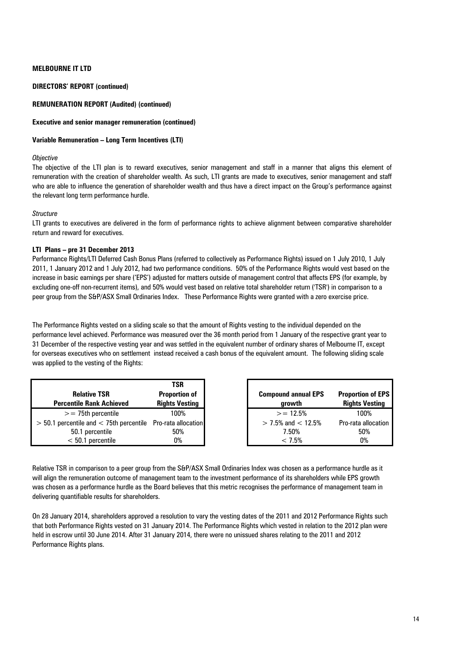## **DIRECTORS' REPORT (continued)**

## **REMUNERATION REPORT (Audited) (continued)**

## **Executive and senior manager remuneration (continued)**

## **Variable Remuneration – Long Term Incentives (LTI)**

## *Objective*

The objective of the LTI plan is to reward executives, senior management and staff in a manner that aligns this element of remuneration with the creation of shareholder wealth. As such, LTI grants are made to executives, senior management and staff who are able to influence the generation of shareholder wealth and thus have a direct impact on the Group's performance against the relevant long term performance hurdle.

## *Structure*

LTI grants to executives are delivered in the form of performance rights to achieve alignment between comparative shareholder return and reward for executives.

## **LTI Plans – pre 31 December 2013**

Performance Rights/LTI Deferred Cash Bonus Plans (referred to collectively as Performance Rights) issued on 1 July 2010, 1 July 2011, 1 January 2012 and 1 July 2012, had two performance conditions. 50% of the Performance Rights would vest based on the increase in basic earnings per share ('EPS') adjusted for matters outside of management control that affects EPS (for example, by excluding one-off non-recurrent items), and 50% would vest based on relative total shareholder return ('TSR') in comparison to a peer group from the S&P/ASX Small Ordinaries Index. These Performance Rights were granted with a zero exercise price.

The Performance Rights vested on a sliding scale so that the amount of Rights vesting to the individual depended on the performance level achieved. Performance was measured over the 36 month period from 1 January of the respective grant year to 31 December of the respective vesting year and was settled in the equivalent number of ordinary shares of Melbourne IT, except for overseas executives who on settlement instead received a cash bonus of the equivalent amount. The following sliding scale was applied to the vesting of the Rights:

|                                                                 | TSR                   |                            |                          |
|-----------------------------------------------------------------|-----------------------|----------------------------|--------------------------|
| <b>Relative TSR</b>                                             | <b>Proportion of</b>  | <b>Compound annual EPS</b> | <b>Proportion of EPS</b> |
| <b>Percentile Rank Achieved</b>                                 | <b>Rights Vesting</b> | growth                     | <b>Rights Vesting</b>    |
| $>= 75$ th percentile                                           | 100%                  | $>$ = 12.5%                | 100%                     |
| $>$ 50.1 percentile and $<$ 75th percentile Pro-rata allocation |                       | $>$ 7.5% and $<$ 12.5%     | Pro-rata allocation      |
| 50.1 percentile                                                 | 50%                   | 7.50%                      | 50%                      |
| $< 50.1$ percentile                                             | 0%                    | < 7.5%                     | $0\%$                    |

Relative TSR in comparison to a peer group from the S&P/ASX Small Ordinaries Index was chosen as a performance hurdle as it will align the remuneration outcome of management team to the investment performance of its shareholders while EPS growth was chosen as a performance hurdle as the Board believes that this metric recognises the performance of management team in delivering quantifiable results for shareholders.

On 28 January 2014, shareholders approved a resolution to vary the vesting dates of the 2011 and 2012 Performance Rights such that both Performance Rights vested on 31 January 2014. The Performance Rights which vested in relation to the 2012 plan were held in escrow until 30 June 2014. After 31 January 2014, there were no unissued shares relating to the 2011 and 2012 Performance Rights plans.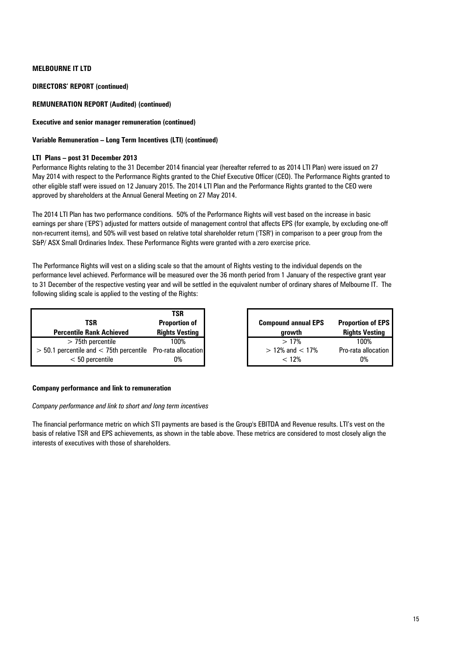## **DIRECTORS' REPORT (continued)**

## **REMUNERATION REPORT (Audited) (continued)**

## **Executive and senior manager remuneration (continued)**

## **Variable Remuneration – Long Term Incentives (LTI) (continued)**

## **LTI Plans – post 31 December 2013**

Performance Rights relating to the 31 December 2014 financial year (hereafter referred to as 2014 LTI Plan) were issued on 27 May 2014 with respect to the Performance Rights granted to the Chief Executive Officer (CEO). The Performance Rights granted to other eligible staff were issued on 12 January 2015. The 2014 LTI Plan and the Performance Rights granted to the CEO were approved by shareholders at the Annual General Meeting on 27 May 2014.

The 2014 LTI Plan has two performance conditions. 50% of the Performance Rights will vest based on the increase in basic earnings per share ('EPS') adjusted for matters outside of management control that affects EPS (for example, by excluding one-off non-recurrent items), and 50% will vest based on relative total shareholder return ('TSR') in comparison to a peer group from the S&P/ ASX Small Ordinaries Index. These Performance Rights were granted with a zero exercise price.

The Performance Rights will vest on a sliding scale so that the amount of Rights vesting to the individual depends on the performance level achieved. Performance will be measured over the 36 month period from 1 January of the respective grant year to 31 December of the respective vesting year and will be settled in the equivalent number of ordinary shares of Melbourne IT. The following sliding scale is applied to the vesting of the Rights:

|                                                                 | TSR                   |                            |                          |
|-----------------------------------------------------------------|-----------------------|----------------------------|--------------------------|
| TSR                                                             | <b>Proportion of</b>  | <b>Compound annual EPS</b> | <b>Proportion of EPS</b> |
| <b>Percentile Rank Achieved</b>                                 | <b>Rights Vesting</b> | growth                     | <b>Rights Vesting</b>    |
| $>$ 75th percentile                                             | 100%                  | >17%                       | 100%                     |
| $>$ 50.1 percentile and $<$ 75th percentile Pro-rata allocation |                       | $>12\%$ and $< 17\%$       | Pro-rata allocation      |
| $< 50$ percentile                                               | 0%                    | < 12%                      | 0%                       |

| <b>Compound annual EPS</b><br>growth | <b>Proportion of EPS</b><br><b>Rights Vesting</b> |
|--------------------------------------|---------------------------------------------------|
| >17%                                 | 100%                                              |
| $>12\%$ and $< 17\%$                 | Pro-rata allocation                               |
| < 12%                                | በ‰                                                |

## **Company performance and link to remuneration**

## *Company performance and link to short and long term incentives*

The financial performance metric on which STI payments are based is the Group's EBITDA and Revenue results. LTI's vest on the basis of relative TSR and EPS achievements, as shown in the table above. These metrics are considered to most closely align the interests of executives with those of shareholders.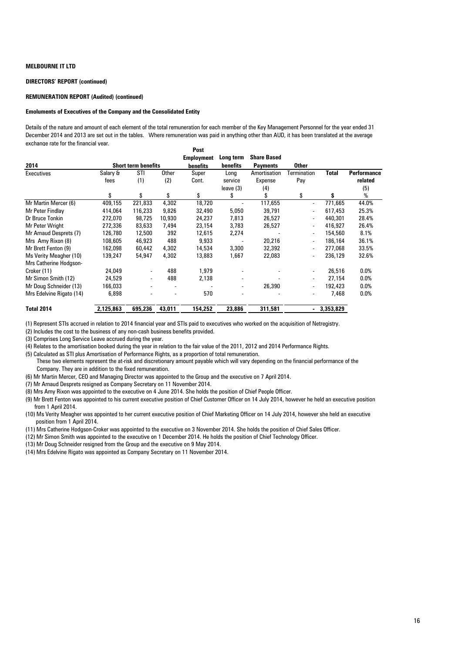## **DIRECTORS' REPORT (continued)**

#### **REMUNERATION REPORT (Audited) (continued)**

#### **Emoluments of Executives of the Company and the Consolidated Entity**

Details of the nature and amount of each element of the total remuneration for each member of the Key Management Personnel for the year ended 31 December 2014 and 2013 are set out in the tables. Where remuneration was paid in anything other than AUD, it has been translated at the average exchange rate for the financial year. **Post** 

|                               |           |                            |        | Employment | Long term                | <b>Share Based</b> |                          |              |                    |
|-------------------------------|-----------|----------------------------|--------|------------|--------------------------|--------------------|--------------------------|--------------|--------------------|
| 2014                          |           | <b>Short term benefits</b> |        | benefits   | benefits                 | <b>Payments</b>    | <b>Other</b>             |              |                    |
| <b>Executives</b>             | Salary &  | STI                        | Other  | Super      | Long                     | Amortisation       | Termination              | <b>Total</b> | <b>Performance</b> |
|                               | fees      | (1)                        | (2)    | Cont.      | service                  | Expense            | Pay                      |              | related            |
|                               |           |                            |        |            | leave (3)                | (4)                |                          |              | (5)                |
|                               | \$        | \$                         | \$     | \$         | \$                       | \$                 | \$                       | \$           | %                  |
| Mr Martin Mercer (6)          | 409,155   | 221,833                    | 4,302  | 18,720     | $\overline{a}$           | 117,655            | $\sim$                   | 771,665      | 44.0%              |
| Mr Peter Findlay              | 414,064   | 116,233                    | 9.826  | 32,490     | 5,050                    | 39,791             | $\overline{\phantom{a}}$ | 617,453      | 25.3%              |
| Dr Bruce Tonkin               | 272,070   | 98,725                     | 10,930 | 24,237     | 7,813                    | 26,527             | $\blacksquare$           | 440,301      | 28.4%              |
| Mr Peter Wright               | 272,336   | 83,633                     | 7,494  | 23,154     | 3,783                    | 26,527             | $\blacksquare$           | 416,927      | 26.4%              |
| Mr Arnaud Desprets (7)        | 126,780   | 12,500                     | 392    | 12,615     | 2,274                    |                    | ٠                        | 154,560      | 8.1%               |
| Mrs Amy Rixon (8)             | 108,605   | 46,923                     | 488    | 9,933      |                          | 20,216             | $\overline{\phantom{a}}$ | 186,164      | 36.1%              |
| Mr Brett Fenton (9)           | 162,098   | 60,442                     | 4,302  | 14,534     | 3,300                    | 32,392             | $\blacksquare$           | 277,068      | 33.5%              |
| Ms Verity Meagher (10)        | 139,247   | 54,947                     | 4,302  | 13,883     | 1,667                    | 22,083             | $\overline{\phantom{a}}$ | 236,129      | 32.6%              |
| <b>Mrs Catherine Hodgson-</b> |           |                            |        |            |                          |                    |                          |              |                    |
| Croker (11)                   | 24,049    | $\overline{\phantom{a}}$   | 488    | 1,979      |                          |                    | $\blacksquare$           | 26,516       | $0.0\%$            |
| Mr Simon Smith (12)           | 24,529    | $\overline{\phantom{a}}$   | 488    | 2,138      |                          |                    | $\overline{\phantom{a}}$ | 27,154       | $0.0\%$            |
| Mr Doug Schneider (13)        | 166,033   |                            |        |            | $\overline{\phantom{a}}$ | 26,390             | $\overline{\phantom{a}}$ | 192,423      | $0.0\%$            |
| Mrs Edelvine Rigato (14)      | 6,898     |                            |        | 570        |                          |                    | ٠                        | 7.468        | $0.0\%$            |
| <b>Total 2014</b>             | 2.125.863 | 695.236                    | 43.011 | 154.252    | 23.886                   | 311.581            |                          | $-3.353.829$ |                    |

(1) Represent STIs accrued in relation to 2014 financial year and STIs paid to executives who worked on the acquisition of Netregistry.

(2) Includes the cost to the business of any non-cash business benefits provided.

(3) Comprises Long Service Leave accrued during the year.

(4) Relates to the amortisation booked during the year in relation to the fair value of the 2011, 2012 and 2014 Performance Rights.

(5) Calculated as STI plus Amortisation of Performance Rights, as a proportion of total remuneration.

- These two elements represent the at-risk and discretionary amount payable which will vary depending on the financial performance of the Company. They are in addition to the fixed remuneration.
- (6) Mr Martin Mercer, CEO and Managing Director was appointed to the Group and the executive on 7 April 2014.

(7) Mr Arnaud Desprets resigned as Company Secretary on 11 November 2014.

(8) Mrs Amy Rixon was appointed to the executive on 4 June 2014. She holds the position of Chief People Officer.

(9) Mr Brett Fenton was appointed to his current executive position of Chief Customer Officer on 14 July 2014, however he held an executive position from 1 April 2014.

(10) Ms Verity Meagher was appointed to her current executive position of Chief Marketing Officer on 14 July 2014, however she held an executive position from 1 April 2014.

(11) Mrs Catherine Hodgson-Croker was appointed to the executive on 3 November 2014. She holds the position of Chief Sales Officer.

(12) Mr Simon Smith was appointed to the executive on 1 December 2014. He holds the position of Chief Technology Officer.

(13) Mr Doug Schneider resigned from the Group and the executive on 9 May 2014.

(14) Mrs Edelvine Rigato was appointed as Company Secretary on 11 November 2014.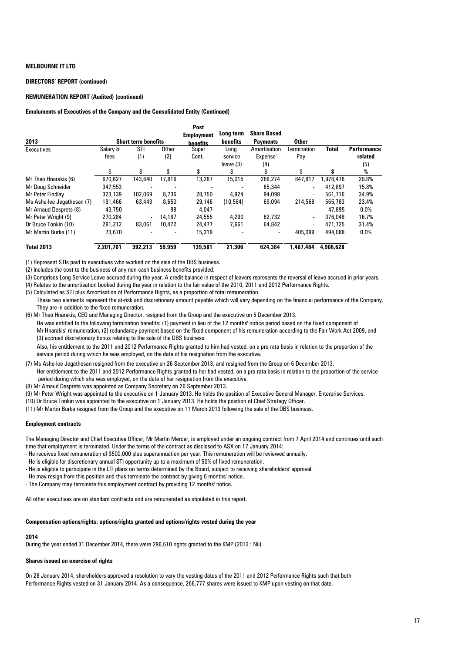## **DIRECTORS' REPORT (continued)**

#### **REMUNERATION REPORT (Audited) (continued)**

#### **Emoluments of Executives of the Company and the Consolidated Entity (Continued)**

|                            |           |                            |              | Post              |           |                    |                          |              |                    |
|----------------------------|-----------|----------------------------|--------------|-------------------|-----------|--------------------|--------------------------|--------------|--------------------|
|                            |           |                            |              | <b>Employment</b> | Long term | <b>Share Based</b> |                          |              |                    |
| 2013                       |           | <b>Short term benefits</b> |              | benefits          | benefits  | <b>Payments</b>    | <b>Other</b>             |              |                    |
| Executives                 | Salary &  | STI                        | <b>Other</b> | Super             | Long      | Amortisation       | Termination              | <b>Total</b> | <b>Performance</b> |
|                            | fees      | (1)                        | (2)          | Cont.             | service   | Expense            | Pay                      |              | related            |
|                            |           |                            |              |                   | leave (3) | (4)                |                          |              | (5)                |
|                            | \$        | \$                         | \$           | \$                | S         | \$                 | \$                       | S            | %                  |
| Mr Theo Hnarakis (6)       | 670.627   | 143,640                    | 17,816       | 13,287            | 15,015    | 268,274            | 847,817                  | 1,976,476    | 20.8%              |
| Mr Doug Schneider          | 347.553   |                            |              |                   |           | 65,344             | $\overline{\phantom{a}}$ | 412.897      | 15.8%              |
| <b>Mr Peter Findlav</b>    | 323.139   | 102.069                    | 8.736        | 28,750            | 4,924     | 94,098             | $\overline{\phantom{a}}$ | 561.716      | 34.9%              |
| Ms Ashe-lee Jegathesan (7) | 191,466   | 63,443                     | 8,650        | 29,146            | (10, 584) | 69,094             | 214,568                  | 565,783      | 23.4%              |
| Mr Arnaud Desprets (8)     | 43,750    | $\overline{\phantom{a}}$   | 98           | 4,047             |           |                    | $\overline{\phantom{a}}$ | 47.895       | 0.0%               |
| Mr Peter Wright (9)        | 270.284   | $\blacksquare$             | 14.187       | 24,555            | 4,290     | 62.732             | $\overline{\phantom{a}}$ | 376,048      | 16.7%              |
| Dr Bruce Tonkin (10)       | 281.212   | 83,061                     | 10.472       | 24.477            | 7.661     | 64.842             | $\blacksquare$           | 471.725      | 31.4%              |
| Mr Martin Burke (11)       | 73,670    |                            |              | 15,319            |           |                    | 405,099                  | 494,088      | 0.0%               |
| <b>Total 2013</b>          | 2.201.701 | 392.213                    | 59,959       | 139,581           | 21.306    | 624.384            | 1.467.484                | 4.906.628    |                    |

(1) Represent STIs paid to executives who worked on the sale of the DBS business.

(2) Includes the cost to the business of any non-cash business benefits provided.

(3) Comprises Long Service Leave accrued during the year. A credit balance in respect of leavers represents the reversal of leave accrued in prior years. (4) Relates to the amortisation booked during the year in relation to the fair value of the 2010, 2011 and 2012 Performance Rights.

(5) Calculated as STI plus Amortisation of Performance Rights, as a proportion of total remuneration.

These two elements represent the at-risk and discretionary amount payable which will vary depending on the financial performance of the Company. They are in addition to the fixed remuneration.

(6) Mr Theo Hnarakis, CEO and Managing Director, resigned from the Group and the executive on 5 December 2013.

He was entitled to the following termination benefits: (1) payment in lieu of the 12 months' notice period based on the fixed component of Mr Hnarakis' remuneration, (2) redundancy payment based on the fixed component of his remuneration according to the Fair Work Act 2009, and (3) accrued discretionary bonus relating to the sale of the DBS business.

Also, his entitlement to the 2011 and 2012 Performance Rights granted to him had vested, on a pro-rata basis in relation to the proportion of the service period during which he was employed, on the date of his resignation from the executive.

(7) Ms Ashe-lee Jegathesan resigned from the executive on 26 September 2013, and resigned from the Group on 6 December 2013.

Her entitlement to the 2011 and 2012 Performance Rights granted to her had vested, on a pro-rata basis in relation to the proportion of the service period during which she was employed, on the date of her resignation from the executive.

(8) Mr Arnaud Desprets was appointed as Company Secretary on 26 September 2013.

(9) Mr Peter Wright was appointed to the executive on 1 January 2013. He holds the position of Executive General Manager, Enterprise Services.

(10) Dr Bruce Tonkin was appointed to the executive on 1 January 2013. He holds the position of Chief Strategy Officer.

(11) Mr Martin Burke resigned from the Group and the executive on 11 March 2013 following the sale of the DBS business.

#### **Employment contracts**

The Managing Director and Chief Executive Officer, Mr Martin Mercer, is employed under an ongoing contract from 7 April 2014 and continues until such time that employment is terminated. Under the terms of the contract as disclosed to ASX on 17 January 2014:

- He receives fixed remuneration of \$500,000 plus superannuation per year. This remuneration will be reviewed annually.

- He is eligible for discretionary annual STI opportunity up to a maximum of 50% of fixed remuneration.

- He is eligible to participate in the LTI plans on terms determined by the Board, subject to receiving shareholders' approval.

- He may resign from this position and thus terminate the contract by giving 6 months' notice.

- The Company may terminate this employment contract by providing 12 months' notice.

All other executives are on standard contracts and are remunerated as stipulated in this report.

#### **Compensation options/rights: options/rights granted and options/rights vested during the year**

## **2014**

During the year ended 31 December 2014, there were 296,610 rights granted to the KMP (2013 : Nil).

## **Shares issued on exercise of rights**

On 28 January 2014, shareholders approved a resolution to vary the vesting dates of the 2011 and 2012 Performance Rights such that both Performance Rights vested on 31 January 2014. As a consequence, 266,777 shares were issued to KMP upon vesting on that date.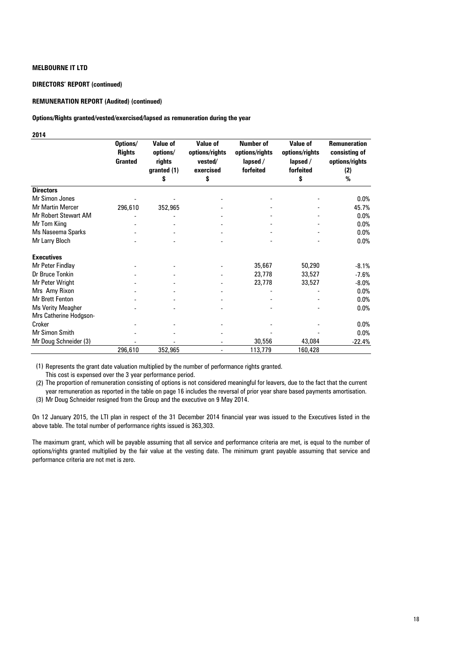## **DIRECTORS' REPORT (continued)**

## **REMUNERATION REPORT (Audited) (continued)**

## **Options/Rights granted/vested/exercised/lapsed as remuneration during the year**

#### **2014**

|                             | Options/<br><b>Rights</b><br><b>Granted</b> | <b>Value of</b><br>options/<br>rights<br>granted $(1)$<br>\$ | <b>Value of</b><br>options/rights<br>vested/<br>exercised<br>\$ | Number of<br>options/rights<br>lapsed /<br>forfeited | Value of<br>options/rights<br>lapsed /<br>forfeited<br>\$ | <b>Remuneration</b><br>consisting of<br>options/rights<br>(2)<br>% |
|-----------------------------|---------------------------------------------|--------------------------------------------------------------|-----------------------------------------------------------------|------------------------------------------------------|-----------------------------------------------------------|--------------------------------------------------------------------|
| <b>Directors</b>            |                                             |                                                              |                                                                 |                                                      |                                                           |                                                                    |
| Mr Simon Jones              |                                             |                                                              |                                                                 |                                                      |                                                           | $0.0\%$                                                            |
| <b>Mr Martin Mercer</b>     | 296,610                                     | 352,965                                                      |                                                                 |                                                      |                                                           | 45.7%                                                              |
| <b>Mr Robert Stewart AM</b> |                                             |                                                              |                                                                 |                                                      |                                                           | 0.0%                                                               |
| Mr Tom Kiing                |                                             |                                                              |                                                                 |                                                      |                                                           | $0.0\%$                                                            |
| Ms Naseema Sparks           |                                             |                                                              |                                                                 |                                                      |                                                           | 0.0%                                                               |
| Mr Larry Bloch              |                                             |                                                              |                                                                 |                                                      |                                                           | 0.0%                                                               |
| <b>Executives</b>           |                                             |                                                              |                                                                 |                                                      |                                                           |                                                                    |
| Mr Peter Findlay            |                                             |                                                              |                                                                 | 35,667                                               | 50,290                                                    | $-8.1%$                                                            |
| Dr Bruce Tonkin             |                                             |                                                              |                                                                 | 23,778                                               | 33,527                                                    | $-7.6%$                                                            |
| Mr Peter Wright             |                                             |                                                              |                                                                 | 23,778                                               | 33,527                                                    | $-8.0\%$                                                           |
| Mrs Amy Rixon               |                                             |                                                              |                                                                 |                                                      |                                                           | 0.0%                                                               |
| <b>Mr Brett Fenton</b>      |                                             |                                                              |                                                                 |                                                      |                                                           | $0.0\%$                                                            |
| <b>Ms Verity Meagher</b>    |                                             |                                                              |                                                                 |                                                      |                                                           | 0.0%                                                               |
| Mrs Catherine Hodgson-      |                                             |                                                              |                                                                 |                                                      |                                                           |                                                                    |
| Croker                      |                                             |                                                              |                                                                 |                                                      |                                                           | $0.0\%$                                                            |
| Mr Simon Smith              |                                             |                                                              |                                                                 |                                                      |                                                           | $0.0\%$                                                            |
| Mr Doug Schneider (3)       |                                             |                                                              |                                                                 | 30,556                                               | 43,084                                                    | $-22.4%$                                                           |
|                             | 296,610                                     | 352,965                                                      |                                                                 | 113,779                                              | 160,428                                                   |                                                                    |

(1) Represents the grant date valuation multiplied by the number of performance rights granted. This cost is expensed over the 3 year performance period.

(2) The proportion of remuneration consisting of options is not considered meaningful for leavers, due to the fact that the current (3) Mr Doug Schneider resigned from the Group and the executive on 9 May 2014. year remuneration as reported in the table on page 16 includes the reversal of prior year share based payments amortisation.

On 12 January 2015, the LTI plan in respect of the 31 December 2014 financial year was issued to the Executives listed in the above table. The total number of performance rights issued is 363,303.

The maximum grant, which will be payable assuming that all service and performance criteria are met, is equal to the number of options/rights granted multiplied by the fair value at the vesting date. The minimum grant payable assuming that service and performance criteria are not met is zero.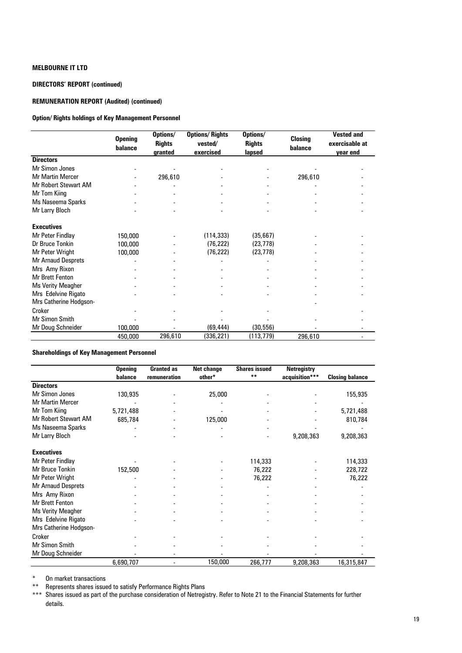## **DIRECTORS' REPORT (continued)**

## **REMUNERATION REPORT (Audited) (continued)**

## **Option/ Rights holdings of Key Management Personnel**

|                          | <b>Opening</b><br>balance | Options/<br><b>Rights</b><br>granted | <b>Options/Rights</b><br>vested/<br>exercised | Options/<br><b>Rights</b><br>lapsed | <b>Closing</b><br>balance | <b>Vested and</b><br>exercisable at<br>vear end |
|--------------------------|---------------------------|--------------------------------------|-----------------------------------------------|-------------------------------------|---------------------------|-------------------------------------------------|
| <b>Directors</b>         |                           |                                      |                                               |                                     |                           |                                                 |
| Mr Simon Jones           |                           |                                      |                                               |                                     |                           |                                                 |
| <b>Mr Martin Mercer</b>  |                           | 296,610                              |                                               |                                     | 296,610                   |                                                 |
| Mr Robert Stewart AM     |                           |                                      |                                               |                                     |                           |                                                 |
| Mr Tom Kiing             |                           |                                      |                                               |                                     |                           |                                                 |
| Ms Naseema Sparks        |                           |                                      |                                               |                                     |                           |                                                 |
| Mr Larry Bloch           |                           |                                      |                                               |                                     |                           |                                                 |
| <b>Executives</b>        |                           |                                      |                                               |                                     |                           |                                                 |
| Mr Peter Findlay         | 150,000                   |                                      | (114, 333)                                    | (35,667)                            |                           |                                                 |
| Dr Bruce Tonkin          | 100,000                   |                                      | (76, 222)                                     | (23, 778)                           |                           |                                                 |
| Mr Peter Wright          | 100,000                   |                                      | (76, 222)                                     | (23, 778)                           |                           |                                                 |
| Mr Arnaud Desprets       |                           |                                      |                                               |                                     |                           |                                                 |
| Mrs Amy Rixon            |                           |                                      |                                               |                                     |                           |                                                 |
| Mr Brett Fenton          |                           |                                      |                                               |                                     |                           |                                                 |
| <b>Ms Verity Meagher</b> |                           |                                      |                                               |                                     |                           |                                                 |
| Mrs Edelvine Rigato      |                           |                                      |                                               |                                     |                           |                                                 |
| Mrs Catherine Hodgson-   |                           |                                      |                                               |                                     |                           |                                                 |
| Croker                   |                           |                                      |                                               |                                     |                           |                                                 |
| Mr Simon Smith           |                           |                                      |                                               |                                     |                           |                                                 |
| Mr Doug Schneider        | 100,000                   |                                      | (69, 444)                                     | (30, 556)                           |                           |                                                 |
|                          | 450,000                   | 296,610                              | (336,221)                                     | (113,779)                           | 296,610                   |                                                 |

## **Shareholdings of Key Management Personnel**

|                             | <b>Opening</b><br>balance | <b>Granted as</b><br>remuneration | Net change<br>other* | <b>Shares issued</b><br>$***$ | <b>Netregistry</b><br>acquisition*** | <b>Closing balance</b> |
|-----------------------------|---------------------------|-----------------------------------|----------------------|-------------------------------|--------------------------------------|------------------------|
| <b>Directors</b>            |                           |                                   |                      |                               |                                      |                        |
| Mr Simon Jones              | 130,935                   |                                   | 25,000               |                               |                                      | 155,935                |
| <b>Mr Martin Mercer</b>     |                           |                                   |                      |                               |                                      |                        |
| Mr Tom Kiing                | 5,721,488                 |                                   |                      |                               |                                      | 5,721,488              |
| <b>Mr Robert Stewart AM</b> | 685,784                   |                                   | 125,000              |                               |                                      | 810,784                |
| Ms Naseema Sparks           |                           |                                   |                      |                               |                                      |                        |
| Mr Larry Bloch              |                           |                                   |                      |                               | 9,208,363                            | 9,208,363              |
| <b>Executives</b>           |                           |                                   |                      |                               |                                      |                        |
| Mr Peter Findlay            |                           |                                   |                      | 114,333                       |                                      | 114,333                |
| Mr Bruce Tonkin             | 152,500                   |                                   |                      | 76,222                        |                                      | 228,722                |
| Mr Peter Wright             |                           |                                   |                      | 76,222                        |                                      | 76,222                 |
| Mr Arnaud Desprets          |                           |                                   |                      |                               |                                      |                        |
| Mrs Amy Rixon               |                           |                                   |                      |                               |                                      |                        |
| <b>Mr Brett Fenton</b>      |                           |                                   |                      |                               |                                      |                        |
| Ms Verity Meagher           |                           |                                   |                      |                               |                                      |                        |
| Mrs Edelvine Rigato         |                           |                                   |                      |                               |                                      |                        |
| Mrs Catherine Hodgson-      |                           |                                   |                      |                               |                                      |                        |
| Croker                      |                           |                                   |                      |                               |                                      |                        |
| Mr Simon Smith              |                           |                                   |                      |                               |                                      |                        |
| Mr Doug Schneider           |                           |                                   |                      |                               |                                      |                        |
|                             | 6,690,707                 |                                   | 150,000              | 266,777                       | 9,208,363                            | 16,315,847             |

\* On market transactions<br>\*\* Benresents shares issue

Represents shares issued to satisfy Performance Rights Plans

\*\*\* Shares issued as part of the purchase consideration of Netregistry. Refer to Note 21 to the Financial Statements for further details.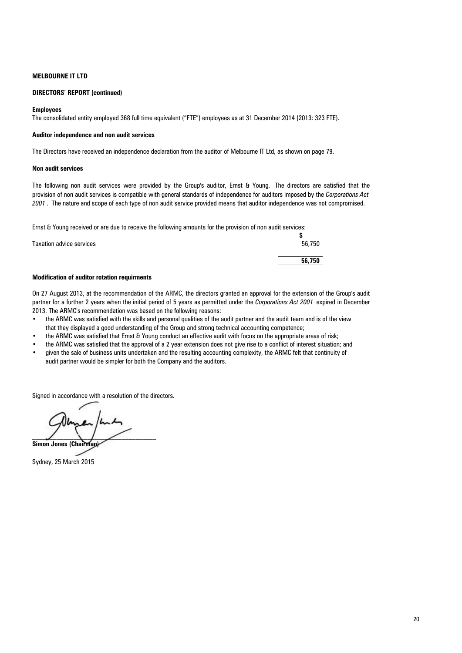#### **DIRECTORS' REPORT (continued)**

#### **Employees**

The consolidated entity employed 368 full time equivalent ("FTE") employees as at 31 December 2014 (2013: 323 FTE).

#### **Auditor independence and non audit services**

The Directors have received an independence declaration from the auditor of Melbourne IT Ltd, as shown on page 79.

## **Non audit services**

The following non audit services were provided by the Group's auditor, Ernst & Young. The directors are satisfied that the provision of non audit services is compatible with general standards of independence for auditors imposed by the *Corporations Act 2001* . The nature and scope of each type of non audit service provided means that auditor independence was not compromised.

Ernst & Young received or are due to receive the following amounts for the provision of non audit services:

| Taxation advice services | пD<br>56,750 |
|--------------------------|--------------|
|                          | 56,750       |

## **Modification of auditor rotation requirments**

On 27 August 2013, at the recommendation of the ARMC, the directors granted an approval for the extension of the Group's audit partner for a further 2 years when the initial period of 5 years as permitted under the *Corporations Act 2001* expired in December 2013. The ARMC's recommendation was based on the following reasons:

- the ARMC was satisfied with the skills and personal qualities of the audit partner and the audit team and is of the view that they displayed a good understanding of the Group and strong technical accounting competence;
- the ARMC was satisfied that Ernst & Young conduct an effective audit with focus on the appropriate areas of risk;
- the ARMC was satisfied that the approval of a 2 year extension does not give rise to a conflict of interest situation; and
- given the sale of business units undertaken and the resulting accounting complexity, the ARMC felt that continuity of audit partner would be simpler for both the Company and the auditors.

Signed in accordance with a resolution of the directors.

 $\sqrt{2}$ 

**Simon Jones (Chairman)**

Sydney, 25 March 2015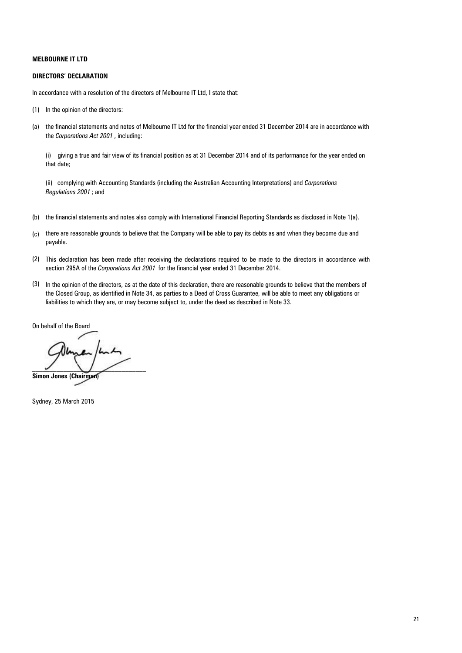## **DIRECTORS' DECLARATION**

In accordance with a resolution of the directors of Melbourne IT Ltd, I state that:

- (1) In the opinion of the directors:
- (a) the financial statements and notes of Melbourne IT Ltd for the financial year ended 31 December 2014 are in accordance with the *Corporations Act 2001* , including:

(i) giving a true and fair view of its financial position as at 31 December 2014 and of its performance for the year ended on that date;

(ii) complying with Accounting Standards (including the Australian Accounting Interpretations) and *Corporations Regulations 2001* ; and

- (b) the financial statements and notes also comply with International Financial Reporting Standards as disclosed in Note 1(a).
- (c) there are reasonable grounds to believe that the Company will be able to pay its debts as and when they become due and payable.
- (2) This declaration has been made after receiving the declarations required to be made to the directors in accordance with section 295A of the *Corporations Act 2001* for the financial year ended 31 December 2014.
- (3) In the opinion of the directors, as at the date of this declaration, there are reasonable grounds to believe that the members of the Closed Group, as identified in Note 34, as parties to a Deed of Cross Guarantee, will be able to meet any obligations or liabilities to which they are, or may become subject to, under the deed as described in Note 33.

On behalf of the Board

 $\bigcup$ **Simon Jones (Chairman)**

Sydney, 25 March 2015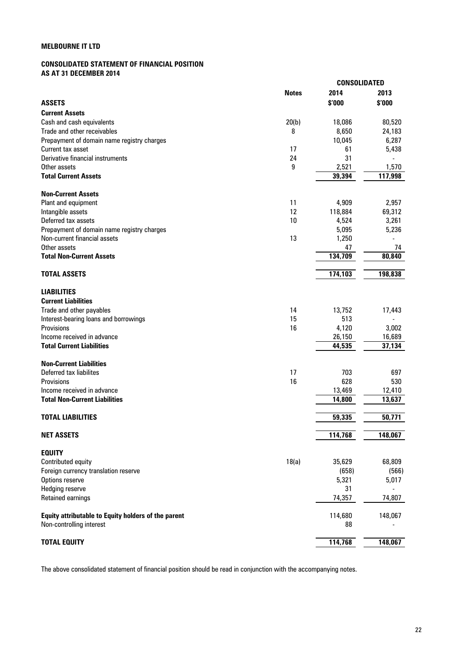## **CONSOLIDATED STATEMENT OF FINANCIAL POSITION AS AT 31 DECEMBER 2014**

| <b>Notes</b><br>2014<br>2013<br>\$'000<br>\$'000<br><b>Current Assets</b><br>20(b)<br>18,086<br>80,520<br>8<br>8,650<br>24,183<br>10,045<br>6,287<br>17<br>61<br>5,438<br>31<br>24<br>9<br>1,570<br>Other assets<br>2,521<br>39,394<br>117,998<br><b>Non-Current Assets</b><br>2,957<br>Plant and equipment<br>11<br>4,909<br>12<br>118,884<br>69,312<br>Intangible assets<br>Deferred tax assets<br>10<br>4,524<br>3,261<br>Prepayment of domain name registry charges<br>5,095<br>5,236<br>13<br>1,250<br>Non-current financial assets<br>Other assets<br>47<br>74<br>134,709<br>80,840<br><b>TOTAL ASSETS</b><br>174,103<br>198,838<br>14<br>13,752<br>17,443<br>15<br>513<br>16<br>4,120<br>3,002<br>26,150<br>16,689<br>44,535<br>37,134<br>17<br>703<br>697<br>16<br>628<br>530<br>13,469<br>12,410<br>14,800<br>13,637<br>59,335<br>50,771<br><b>TOTAL LIABILITIES</b><br>114,768<br>148,067<br><b>NET ASSETS</b><br>18(a)<br>68,809<br>35,629<br>(658)<br>(566)<br>Options reserve<br>5,321<br>5,017<br>31<br>74,807<br>74,357<br>Equity attributable to Equity holders of the parent<br>114,680<br>148,067<br>88<br><b>TOTAL EQUITY</b><br>114,768<br>148,067 |                                            | <b>CONSOLIDATED</b> |  |  |  |
|------------------------------------------------------------------------------------------------------------------------------------------------------------------------------------------------------------------------------------------------------------------------------------------------------------------------------------------------------------------------------------------------------------------------------------------------------------------------------------------------------------------------------------------------------------------------------------------------------------------------------------------------------------------------------------------------------------------------------------------------------------------------------------------------------------------------------------------------------------------------------------------------------------------------------------------------------------------------------------------------------------------------------------------------------------------------------------------------------------------------------------------------------------------------|--------------------------------------------|---------------------|--|--|--|
|                                                                                                                                                                                                                                                                                                                                                                                                                                                                                                                                                                                                                                                                                                                                                                                                                                                                                                                                                                                                                                                                                                                                                                        |                                            |                     |  |  |  |
|                                                                                                                                                                                                                                                                                                                                                                                                                                                                                                                                                                                                                                                                                                                                                                                                                                                                                                                                                                                                                                                                                                                                                                        | <b>ASSETS</b>                              |                     |  |  |  |
|                                                                                                                                                                                                                                                                                                                                                                                                                                                                                                                                                                                                                                                                                                                                                                                                                                                                                                                                                                                                                                                                                                                                                                        |                                            |                     |  |  |  |
|                                                                                                                                                                                                                                                                                                                                                                                                                                                                                                                                                                                                                                                                                                                                                                                                                                                                                                                                                                                                                                                                                                                                                                        | Cash and cash equivalents                  |                     |  |  |  |
|                                                                                                                                                                                                                                                                                                                                                                                                                                                                                                                                                                                                                                                                                                                                                                                                                                                                                                                                                                                                                                                                                                                                                                        | Trade and other receivables                |                     |  |  |  |
|                                                                                                                                                                                                                                                                                                                                                                                                                                                                                                                                                                                                                                                                                                                                                                                                                                                                                                                                                                                                                                                                                                                                                                        | Prepayment of domain name registry charges |                     |  |  |  |
|                                                                                                                                                                                                                                                                                                                                                                                                                                                                                                                                                                                                                                                                                                                                                                                                                                                                                                                                                                                                                                                                                                                                                                        | Current tax asset                          |                     |  |  |  |
|                                                                                                                                                                                                                                                                                                                                                                                                                                                                                                                                                                                                                                                                                                                                                                                                                                                                                                                                                                                                                                                                                                                                                                        | Derivative financial instruments           |                     |  |  |  |
|                                                                                                                                                                                                                                                                                                                                                                                                                                                                                                                                                                                                                                                                                                                                                                                                                                                                                                                                                                                                                                                                                                                                                                        |                                            |                     |  |  |  |
|                                                                                                                                                                                                                                                                                                                                                                                                                                                                                                                                                                                                                                                                                                                                                                                                                                                                                                                                                                                                                                                                                                                                                                        | <b>Total Current Assets</b>                |                     |  |  |  |
|                                                                                                                                                                                                                                                                                                                                                                                                                                                                                                                                                                                                                                                                                                                                                                                                                                                                                                                                                                                                                                                                                                                                                                        |                                            |                     |  |  |  |
|                                                                                                                                                                                                                                                                                                                                                                                                                                                                                                                                                                                                                                                                                                                                                                                                                                                                                                                                                                                                                                                                                                                                                                        |                                            |                     |  |  |  |
|                                                                                                                                                                                                                                                                                                                                                                                                                                                                                                                                                                                                                                                                                                                                                                                                                                                                                                                                                                                                                                                                                                                                                                        |                                            |                     |  |  |  |
|                                                                                                                                                                                                                                                                                                                                                                                                                                                                                                                                                                                                                                                                                                                                                                                                                                                                                                                                                                                                                                                                                                                                                                        |                                            |                     |  |  |  |
|                                                                                                                                                                                                                                                                                                                                                                                                                                                                                                                                                                                                                                                                                                                                                                                                                                                                                                                                                                                                                                                                                                                                                                        |                                            |                     |  |  |  |
|                                                                                                                                                                                                                                                                                                                                                                                                                                                                                                                                                                                                                                                                                                                                                                                                                                                                                                                                                                                                                                                                                                                                                                        |                                            |                     |  |  |  |
|                                                                                                                                                                                                                                                                                                                                                                                                                                                                                                                                                                                                                                                                                                                                                                                                                                                                                                                                                                                                                                                                                                                                                                        |                                            |                     |  |  |  |
|                                                                                                                                                                                                                                                                                                                                                                                                                                                                                                                                                                                                                                                                                                                                                                                                                                                                                                                                                                                                                                                                                                                                                                        | <b>Total Non-Current Assets</b>            |                     |  |  |  |
|                                                                                                                                                                                                                                                                                                                                                                                                                                                                                                                                                                                                                                                                                                                                                                                                                                                                                                                                                                                                                                                                                                                                                                        |                                            |                     |  |  |  |
|                                                                                                                                                                                                                                                                                                                                                                                                                                                                                                                                                                                                                                                                                                                                                                                                                                                                                                                                                                                                                                                                                                                                                                        |                                            |                     |  |  |  |
|                                                                                                                                                                                                                                                                                                                                                                                                                                                                                                                                                                                                                                                                                                                                                                                                                                                                                                                                                                                                                                                                                                                                                                        | <b>LIABILITIES</b>                         |                     |  |  |  |
|                                                                                                                                                                                                                                                                                                                                                                                                                                                                                                                                                                                                                                                                                                                                                                                                                                                                                                                                                                                                                                                                                                                                                                        | <b>Current Liabilities</b>                 |                     |  |  |  |
|                                                                                                                                                                                                                                                                                                                                                                                                                                                                                                                                                                                                                                                                                                                                                                                                                                                                                                                                                                                                                                                                                                                                                                        | Trade and other payables                   |                     |  |  |  |
|                                                                                                                                                                                                                                                                                                                                                                                                                                                                                                                                                                                                                                                                                                                                                                                                                                                                                                                                                                                                                                                                                                                                                                        | Interest-bearing loans and borrowings      |                     |  |  |  |
|                                                                                                                                                                                                                                                                                                                                                                                                                                                                                                                                                                                                                                                                                                                                                                                                                                                                                                                                                                                                                                                                                                                                                                        | Provisions                                 |                     |  |  |  |
|                                                                                                                                                                                                                                                                                                                                                                                                                                                                                                                                                                                                                                                                                                                                                                                                                                                                                                                                                                                                                                                                                                                                                                        | Income received in advance                 |                     |  |  |  |
|                                                                                                                                                                                                                                                                                                                                                                                                                                                                                                                                                                                                                                                                                                                                                                                                                                                                                                                                                                                                                                                                                                                                                                        | <b>Total Current Liabilities</b>           |                     |  |  |  |
|                                                                                                                                                                                                                                                                                                                                                                                                                                                                                                                                                                                                                                                                                                                                                                                                                                                                                                                                                                                                                                                                                                                                                                        | <b>Non-Current Liabilities</b>             |                     |  |  |  |
|                                                                                                                                                                                                                                                                                                                                                                                                                                                                                                                                                                                                                                                                                                                                                                                                                                                                                                                                                                                                                                                                                                                                                                        | Deferred tax liabilites                    |                     |  |  |  |
|                                                                                                                                                                                                                                                                                                                                                                                                                                                                                                                                                                                                                                                                                                                                                                                                                                                                                                                                                                                                                                                                                                                                                                        | Provisions                                 |                     |  |  |  |
|                                                                                                                                                                                                                                                                                                                                                                                                                                                                                                                                                                                                                                                                                                                                                                                                                                                                                                                                                                                                                                                                                                                                                                        | Income received in advance                 |                     |  |  |  |
|                                                                                                                                                                                                                                                                                                                                                                                                                                                                                                                                                                                                                                                                                                                                                                                                                                                                                                                                                                                                                                                                                                                                                                        | <b>Total Non-Current Liabilities</b>       |                     |  |  |  |
|                                                                                                                                                                                                                                                                                                                                                                                                                                                                                                                                                                                                                                                                                                                                                                                                                                                                                                                                                                                                                                                                                                                                                                        |                                            |                     |  |  |  |
|                                                                                                                                                                                                                                                                                                                                                                                                                                                                                                                                                                                                                                                                                                                                                                                                                                                                                                                                                                                                                                                                                                                                                                        |                                            |                     |  |  |  |
|                                                                                                                                                                                                                                                                                                                                                                                                                                                                                                                                                                                                                                                                                                                                                                                                                                                                                                                                                                                                                                                                                                                                                                        |                                            |                     |  |  |  |
|                                                                                                                                                                                                                                                                                                                                                                                                                                                                                                                                                                                                                                                                                                                                                                                                                                                                                                                                                                                                                                                                                                                                                                        | <b>EQUITY</b>                              |                     |  |  |  |
|                                                                                                                                                                                                                                                                                                                                                                                                                                                                                                                                                                                                                                                                                                                                                                                                                                                                                                                                                                                                                                                                                                                                                                        | Contributed equity                         |                     |  |  |  |
|                                                                                                                                                                                                                                                                                                                                                                                                                                                                                                                                                                                                                                                                                                                                                                                                                                                                                                                                                                                                                                                                                                                                                                        | Foreign currency translation reserve       |                     |  |  |  |
|                                                                                                                                                                                                                                                                                                                                                                                                                                                                                                                                                                                                                                                                                                                                                                                                                                                                                                                                                                                                                                                                                                                                                                        |                                            |                     |  |  |  |
|                                                                                                                                                                                                                                                                                                                                                                                                                                                                                                                                                                                                                                                                                                                                                                                                                                                                                                                                                                                                                                                                                                                                                                        | Hedging reserve                            |                     |  |  |  |
|                                                                                                                                                                                                                                                                                                                                                                                                                                                                                                                                                                                                                                                                                                                                                                                                                                                                                                                                                                                                                                                                                                                                                                        | <b>Retained earnings</b>                   |                     |  |  |  |
|                                                                                                                                                                                                                                                                                                                                                                                                                                                                                                                                                                                                                                                                                                                                                                                                                                                                                                                                                                                                                                                                                                                                                                        |                                            |                     |  |  |  |
|                                                                                                                                                                                                                                                                                                                                                                                                                                                                                                                                                                                                                                                                                                                                                                                                                                                                                                                                                                                                                                                                                                                                                                        | Non-controlling interest                   |                     |  |  |  |
|                                                                                                                                                                                                                                                                                                                                                                                                                                                                                                                                                                                                                                                                                                                                                                                                                                                                                                                                                                                                                                                                                                                                                                        |                                            |                     |  |  |  |

The above consolidated statement of financial position should be read in conjunction with the accompanying notes.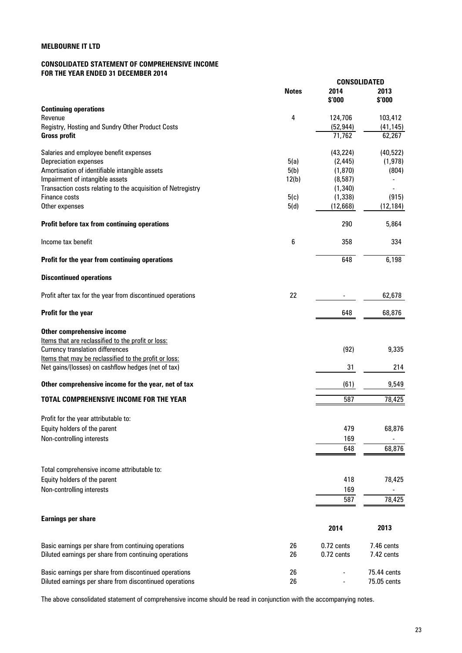## **CONSOLIDATED STATEMENT OF COMPREHENSIVE INCOME FOR THE YEAR ENDED 31 DECEMBER 2014**

|                                                              |              |                | <b>CONSOLIDATED</b> |  |
|--------------------------------------------------------------|--------------|----------------|---------------------|--|
|                                                              | <b>Notes</b> | 2014<br>\$'000 | 2013<br>\$'000      |  |
| <b>Continuing operations</b>                                 |              |                |                     |  |
| Revenue                                                      | 4            | 124,706        | 103,412             |  |
| Registry, Hosting and Sundry Other Product Costs             |              | (52, 944)      | (41, 145)           |  |
| <b>Gross profit</b>                                          |              | 71,762         | 62,267              |  |
| Salaries and employee benefit expenses                       |              | (43, 224)      | (40, 522)           |  |
| <b>Depreciation expenses</b>                                 | 5(a)         | (2, 445)       | (1,978)             |  |
| Amortisation of identifiable intangible assets               | 5(b)         | (1, 870)       | (804)               |  |
| Impairment of intangible assets                              | 12(b)        | (8,587)        |                     |  |
| Transaction costs relating to the acquisition of Netregistry |              | (1, 340)       |                     |  |
| Finance costs                                                | 5(c)         | (1, 338)       | (915)               |  |
| Other expenses                                               | 5(d)         | (12, 668)      | (12, 184)           |  |
|                                                              |              |                |                     |  |
| Profit before tax from continuing operations                 |              | 290            | 5,864               |  |
| Income tax benefit                                           | 6            | 358            | 334                 |  |
| Profit for the year from continuing operations               |              | 648            | 6,198               |  |
| <b>Discontinued operations</b>                               |              |                |                     |  |
| Profit after tax for the year from discontinued operations   | 22           |                | 62,678              |  |
| Profit for the year                                          |              | 648            | 68,876              |  |
|                                                              |              |                |                     |  |
| Other comprehensive income                                   |              |                |                     |  |
| Items that are reclassified to the profit or loss:           |              |                |                     |  |
| <b>Currency translation differences</b>                      |              | (92)           | 9,335               |  |
| Items that may be reclassified to the profit or loss:        |              |                |                     |  |
| Net gains/(losses) on cashflow hedges (net of tax)           |              | 31             | 214                 |  |
| Other comprehensive income for the year, net of tax          |              | (61)           | 9,549               |  |
| <b>TOTAL COMPREHENSIVE INCOME FOR THE YEAR</b>               |              | 587            | 78,425              |  |
| Profit for the year attributable to:                         |              |                |                     |  |
| Equity holders of the parent                                 |              | 479            | 68,876              |  |
| Non-controlling interests                                    |              | 169            |                     |  |
|                                                              |              | 648            | 68,876              |  |
|                                                              |              |                |                     |  |
| Total comprehensive income attributable to:                  |              |                |                     |  |
| Equity holders of the parent                                 |              | 418            | 78,425              |  |
| Non-controlling interests                                    |              | 169            |                     |  |
|                                                              |              | 587            | 78,425              |  |
|                                                              |              |                |                     |  |
| <b>Earnings per share</b>                                    |              |                |                     |  |
|                                                              |              | 2014           | 2013                |  |
| Basic earnings per share from continuing operations          | 26           | 0.72 cents     | 7.46 cents          |  |
| Diluted earnings per share from continuing operations        | 26           | 0.72 cents     | 7.42 cents          |  |
| Basic earnings per share from discontinued operations        | 26           |                | 75.44 cents         |  |
| Diluted earnings per share from discontinued operations      | 26           |                | 75.05 cents         |  |

The above consolidated statement of comprehensive income should be read in conjunction with the accompanying notes.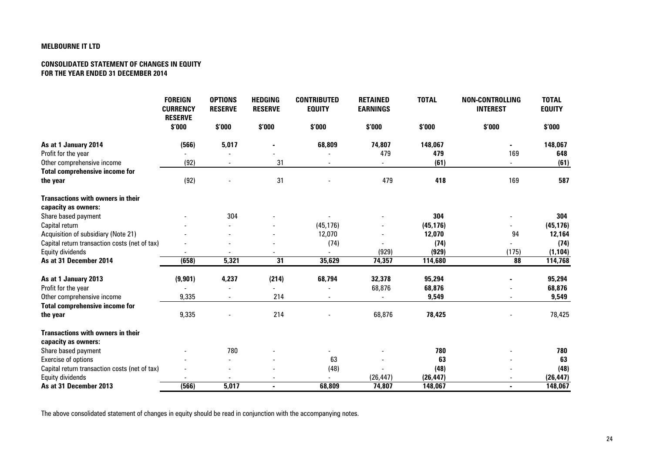## **CONSOLIDATED STATEMENT OF CHANGES IN EQUITY FOR THE YEAR ENDED 31 DECEMBER 2014**

|                                               | <b>FOREIGN</b><br><b>CURRENCY</b><br><b>RESERVE</b> | <b>OPTIONS</b><br><b>RESERVE</b> | <b>HEDGING</b><br><b>RESERVE</b> | <b>CONTRIBUTED</b><br><b>EQUITY</b> | <b>RETAINED</b><br><b>EARNINGS</b> | <b>TOTAL</b> | NON-CONTROLLING<br><b>INTEREST</b> | <b>TOTAL</b><br><b>EQUITY</b> |  |
|-----------------------------------------------|-----------------------------------------------------|----------------------------------|----------------------------------|-------------------------------------|------------------------------------|--------------|------------------------------------|-------------------------------|--|
|                                               | \$'000                                              | \$'000                           | \$'000                           | \$'000                              | \$'000                             | \$'000       | \$'000                             | \$'000                        |  |
| As at 1 January 2014                          | (566)                                               | 5,017                            |                                  | 68,809                              | 74,807                             | 148,067      | $\blacksquare$                     | 148,067                       |  |
| Profit for the year                           |                                                     |                                  |                                  |                                     | 479                                | 479          | 169                                | 648                           |  |
| Other comprehensive income                    | (92)                                                |                                  | 31                               |                                     |                                    | (61)         |                                    | (61)                          |  |
| <b>Total comprehensive income for</b>         |                                                     |                                  |                                  |                                     |                                    |              |                                    |                               |  |
| the year                                      | (92)                                                |                                  | 31                               |                                     | 479                                | 418          | 169                                | 587                           |  |
| <b>Transactions with owners in their</b>      |                                                     |                                  |                                  |                                     |                                    |              |                                    |                               |  |
| capacity as owners:                           |                                                     |                                  |                                  |                                     |                                    |              |                                    |                               |  |
| Share based payment                           |                                                     | 304                              |                                  |                                     |                                    | 304          |                                    | 304                           |  |
| Capital return                                |                                                     |                                  |                                  | (45, 176)                           |                                    | (45, 176)    |                                    | (45, 176)                     |  |
| Acquisition of subsidiary (Note 21)           |                                                     |                                  |                                  | 12,070                              |                                    | 12,070       | 94                                 | 12,164                        |  |
| Capital return transaction costs (net of tax) |                                                     |                                  |                                  | (74)                                |                                    | (74)         |                                    | (74)                          |  |
| <b>Equity dividends</b>                       |                                                     |                                  |                                  |                                     | (929)                              | (929)        | (175)                              | (1, 104)                      |  |
| As at 31 December 2014                        | (658)                                               | 5,321                            | 31                               | 35,629                              | 74,357                             | 114,680      | 88                                 | 114,768                       |  |
| As at 1 January 2013                          | (9, 901)                                            | 4,237                            | (214)                            | 68,794                              | 32,378                             | 95,294       |                                    | 95,294                        |  |
| Profit for the year                           |                                                     |                                  |                                  |                                     | 68,876                             | 68,876       |                                    | 68,876                        |  |
| Other comprehensive income                    | 9,335                                               | $\overline{a}$                   | 214                              |                                     |                                    | 9,549        |                                    | 9,549                         |  |
| <b>Total comprehensive income for</b>         |                                                     |                                  |                                  |                                     |                                    |              |                                    |                               |  |
| the year                                      | 9,335                                               |                                  | 214                              |                                     | 68,876                             | 78,425       |                                    | 78,425                        |  |
| <b>Transactions with owners in their</b>      |                                                     |                                  |                                  |                                     |                                    |              |                                    |                               |  |
| capacity as owners:                           |                                                     |                                  |                                  |                                     |                                    |              |                                    |                               |  |
| Share based payment                           |                                                     | 780                              |                                  |                                     |                                    | 780          |                                    | 780                           |  |
| Exercise of options                           |                                                     |                                  |                                  | 63                                  |                                    | 63           |                                    | 63                            |  |
| Capital return transaction costs (net of tax) |                                                     |                                  |                                  | (48)                                |                                    | (48)         |                                    | (48)                          |  |
| Equity dividends                              |                                                     |                                  |                                  |                                     | (26, 447)                          | (26, 447)    |                                    | (26, 447)                     |  |
| As at 31 December 2013                        | (566)                                               | 5,017                            | $\blacksquare$                   | 68,809                              | 74,807                             | 148,067      |                                    | 148,067                       |  |

The above consolidated statement of changes in equity should be read in conjunction with the accompanying notes.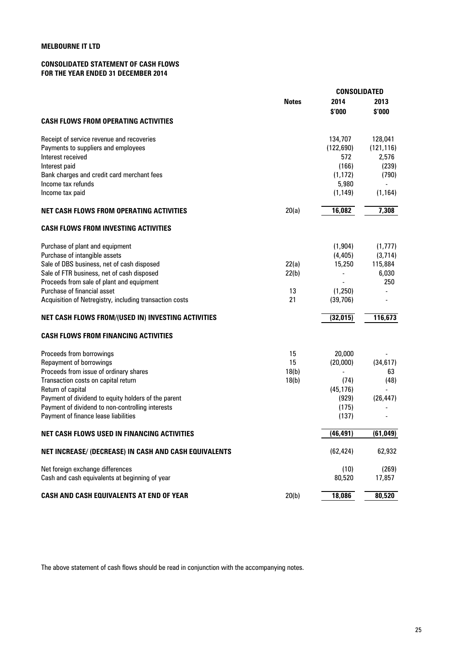## **CONSOLIDATED STATEMENT OF CASH FLOWS FOR THE YEAR ENDED 31 DECEMBER 2014**

|                                                              | <b>CONSOLIDATED</b> |            |            |
|--------------------------------------------------------------|---------------------|------------|------------|
|                                                              | <b>Notes</b>        | 2014       | 2013       |
|                                                              |                     | \$'000     | \$'000     |
| <b>CASH FLOWS FROM OPERATING ACTIVITIES</b>                  |                     |            |            |
| Receipt of service revenue and recoveries                    |                     | 134,707    | 128,041    |
| Payments to suppliers and employees                          |                     | (122, 690) | (121, 116) |
| Interest received                                            |                     | 572        | 2,576      |
| Interest paid                                                |                     | (166)      | (239)      |
| Bank charges and credit card merchant fees                   |                     | (1, 172)   | (790)      |
| Income tax refunds                                           |                     | 5,980      |            |
| Income tax paid                                              |                     | (1, 149)   | (1, 164)   |
| NET CASH FLOWS FROM OPERATING ACTIVITIES                     | 20(a)               | 16,082     | 7,308      |
| <b>CASH FLOWS FROM INVESTING ACTIVITIES</b>                  |                     |            |            |
| Purchase of plant and equipment                              |                     | (1, 904)   | (1, 777)   |
| Purchase of intangible assets                                |                     | (4, 405)   | (3, 714)   |
| Sale of DBS business, net of cash disposed                   | 22(a)               | 15,250     | 115,884    |
| Sale of FTR business, net of cash disposed                   | 22(b)               |            | 6,030      |
| Proceeds from sale of plant and equipment                    |                     |            | 250        |
| Purchase of financial asset                                  | 13                  | (1,250)    |            |
| Acquisition of Netregistry, including transaction costs      | 21                  | (39,706)   |            |
| <b>NET CASH FLOWS FROM/(USED IN) INVESTING ACTIVITIES</b>    |                     | (32, 015)  | 116,673    |
| <b>CASH FLOWS FROM FINANCING ACTIVITIES</b>                  |                     |            |            |
| Proceeds from borrowings                                     | 15                  | 20,000     |            |
| <b>Repayment of borrowings</b>                               | 15                  | (20,000)   | (34, 617)  |
| Proceeds from issue of ordinary shares                       | 18(b)               |            | 63         |
| Transaction costs on capital return                          | 18(b)               | (74)       | (48)       |
| Return of capital                                            |                     | (45, 176)  |            |
| Payment of dividend to equity holders of the parent          |                     | (929)      | (26, 447)  |
| Payment of dividend to non-controlling interests             |                     | (175)      |            |
| Payment of finance lease liabilities                         |                     | (137)      |            |
| NET CASH FLOWS USED IN FINANCING ACTIVITIES                  |                     | (46, 491)  | (61, 049)  |
| <b>NET INCREASE/ (DECREASE) IN CASH AND CASH EQUIVALENTS</b> |                     | (62, 424)  | 62,932     |
| Net foreign exchange differences                             |                     | (10)       | (269)      |
| Cash and cash equivalents at beginning of year               |                     | 80,520     | 17,857     |
| CASH AND CASH EQUIVALENTS AT END OF YEAR                     | 20(b)               | 18,086     | 80,520     |

The above statement of cash flows should be read in conjunction with the accompanying notes.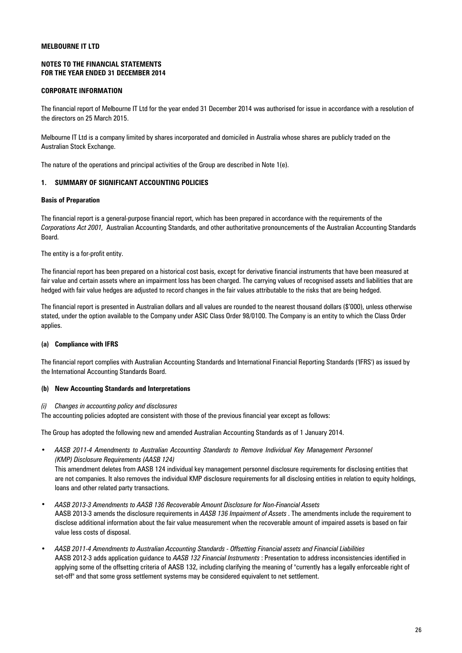## **NOTES TO THE FINANCIAL STATEMENTS FOR THE YEAR ENDED 31 DECEMBER 2014**

## **CORPORATE INFORMATION**

The financial report of Melbourne IT Ltd for the year ended 31 December 2014 was authorised for issue in accordance with a resolution of the directors on 25 March 2015.

Melbourne IT Ltd is a company limited by shares incorporated and domiciled in Australia whose shares are publicly traded on the Australian Stock Exchange.

The nature of the operations and principal activities of the Group are described in Note 1(e).

## **1. SUMMARY OF SIGNIFICANT ACCOUNTING POLICIES**

## **Basis of Preparation**

The financial report is a general-purpose financial report, which has been prepared in accordance with the requirements of the *Corporations Act 2001,* Australian Accounting Standards, and other authoritative pronouncements of the Australian Accounting Standards Board.

The entity is a for-profit entity.

The financial report has been prepared on a historical cost basis, except for derivative financial instruments that have been measured at fair value and certain assets where an impairment loss has been charged. The carrying values of recognised assets and liabilities that are hedged with fair value hedges are adjusted to record changes in the fair values attributable to the risks that are being hedged.

The financial report is presented in Australian dollars and all values are rounded to the nearest thousand dollars (\$'000), unless otherwise stated, under the option available to the Company under ASIC Class Order 98/0100. The Company is an entity to which the Class Order applies.

## **(a) Compliance with IFRS**

The financial report complies with Australian Accounting Standards and International Financial Reporting Standards ('IFRS') as issued by the International Accounting Standards Board.

#### **(b) New Accounting Standards and Interpretations**

#### *(i) Changes in accounting policy and disclosures*

The accounting policies adopted are consistent with those of the previous financial year except as follows:

The Group has adopted the following new and amended Australian Accounting Standards as of 1 January 2014.

• *AASB 2011-4 Amendments to Australian Accounting Standards to Remove Individual Key Management Personnel (KMP) Disclosure Requirements (AASB 124)*

This amendment deletes from AASB 124 individual key management personnel disclosure requirements for disclosing entities that are not companies. It also removes the individual KMP disclosure requirements for all disclosing entities in relation to equity holdings, loans and other related party transactions.

- *AASB 2013-3 Amendments to AASB 136 Recoverable Amount Disclosure for Non-Financial Assets* AASB 2013-3 amends the disclosure requirements in *AASB 136 Impairment of Assets* . The amendments include the requirement to disclose additional information about the fair value measurement when the recoverable amount of impaired assets is based on fair value less costs of disposal.
- *AASB 2011-4 Amendments to Australian Accounting Standards - Offsetting Financial assets and Financial Liabilities* AASB 2012-3 adds application guidance to *AASB 132 Financial Instruments* : Presentation to address inconsistencies identified in applying some of the offsetting criteria of AASB 132, including clarifying the meaning of "currently has a legally enforceable right of set-off" and that some gross settlement systems may be considered equivalent to net settlement.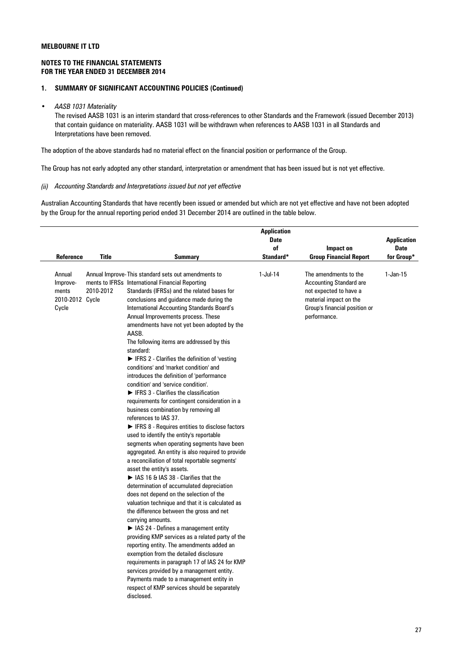## **NOTES TO THE FINANCIAL STATEMENTS FOR THE YEAR ENDED 31 DECEMBER 2014**

## **1. SUMMARY OF SIGNIFICANT ACCOUNTING POLICIES (Continued)**

#### • *AASB 1031 Materiality*

The revised AASB 1031 is an interim standard that cross-references to other Standards and the Framework (issued December 2013) that contain guidance on materiality. AASB 1031 will be withdrawn when references to AASB 1031 in all Standards and Interpretations have been removed.

The adoption of the above standards had no material effect on the financial position or performance of the Group.

The Group has not early adopted any other standard, interpretation or amendment that has been issued but is not yet effective.

## *(ii) Accounting Standards and Interpretations issued but not yet effective*

Australian Accounting Standards that have recently been issued or amended but which are not yet effective and have not been adopted by the Group for the annual reporting period ended 31 December 2014 are outlined in the table below.

| Reference                                               | Title     | <b>Summary</b>                                                                                                                                                                                                                                                                                                                                                                                                                                                                                                                                                                                                                                                                                                                                                                                                                                                                                                                                                                                                                                                                                                                                                                                                                                                                                                                                                                                                                                                                                                                                                                                                                                                                                                                                                            | <b>Application</b><br><b>Date</b><br>of<br>Standard* | Impact on<br><b>Group Financial Report</b>                                                                                                                   | <b>Application</b><br><b>Date</b><br>for Group* |
|---------------------------------------------------------|-----------|---------------------------------------------------------------------------------------------------------------------------------------------------------------------------------------------------------------------------------------------------------------------------------------------------------------------------------------------------------------------------------------------------------------------------------------------------------------------------------------------------------------------------------------------------------------------------------------------------------------------------------------------------------------------------------------------------------------------------------------------------------------------------------------------------------------------------------------------------------------------------------------------------------------------------------------------------------------------------------------------------------------------------------------------------------------------------------------------------------------------------------------------------------------------------------------------------------------------------------------------------------------------------------------------------------------------------------------------------------------------------------------------------------------------------------------------------------------------------------------------------------------------------------------------------------------------------------------------------------------------------------------------------------------------------------------------------------------------------------------------------------------------------|------------------------------------------------------|--------------------------------------------------------------------------------------------------------------------------------------------------------------|-------------------------------------------------|
| Annual<br>Improve-<br>ments<br>2010-2012 Cycle<br>Cycle | 2010-2012 | Annual Improve-This standard sets out amendments to<br>ments to IFRSs International Financial Reporting<br>Standards (IFRSs) and the related bases for<br>conclusions and guidance made during the<br><b>International Accounting Standards Board's</b><br>Annual Improvements process. These<br>amendments have not yet been adopted by the<br>AASB.<br>The following items are addressed by this<br>standard:<br>$\blacktriangleright$ IFRS 2 - Clarifies the definition of 'vesting<br>conditions' and 'market condition' and<br>introduces the definition of 'performance<br>condition' and 'service condition'.<br>$\blacktriangleright$ IFRS 3 - Clarifies the classification<br>requirements for contingent consideration in a<br>business combination by removing all<br>references to IAS 37.<br>FIRS 8 - Requires entities to disclose factors<br>used to identify the entity's reportable<br>segments when operating segments have been<br>aggregated. An entity is also required to provide<br>a reconciliation of total reportable segments'<br>asset the entity's assets.<br>$\triangleright$ IAS 16 & IAS 38 - Clarifies that the<br>determination of accumulated depreciation<br>does not depend on the selection of the<br>valuation technique and that it is calculated as<br>the difference between the gross and net<br>carrying amounts.<br>$\triangleright$ IAS 24 - Defines a management entity<br>providing KMP services as a related party of the<br>reporting entity. The amendments added an<br>exemption from the detailed disclosure<br>requirements in paragraph 17 of IAS 24 for KMP<br>services provided by a management entity.<br>Payments made to a management entity in<br>respect of KMP services should be separately<br>disclosed. | $1-Jul-14$                                           | The amendments to the<br><b>Accounting Standard are</b><br>not expected to have a<br>material impact on the<br>Group's financial position or<br>performance. | 1-Jan-15                                        |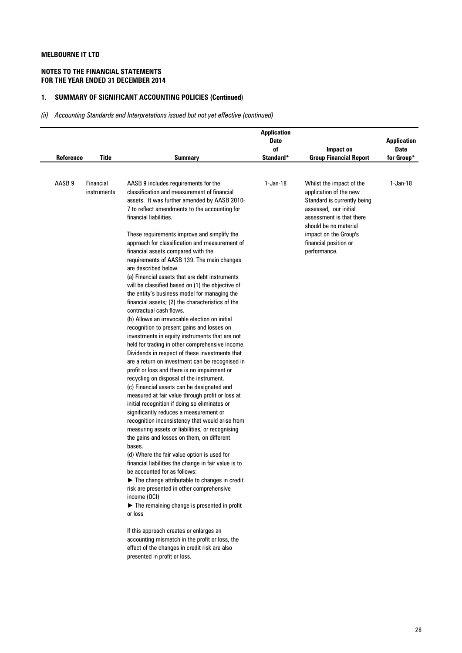#### **NOTES TO THE FINANCIAL STATEMENTS FOR THE YEAR ENDED 31 DECEMBER 2014**

## **1. SUMMARY OF SIGNIFICANT ACCOUNTING POLICIES (Continued)**

#### *(ii) Accounting Standards and Interpretations issued but not yet effective (continued)*

| Reference         | Title                    | <b>Summary</b>                                                                                                                                                                                                                                                                                                                                                                                                                                                                                                                                                                                                                                                                                                                                                                                                                                                                                                                                                                                                                                                                                                                                                                                                                                                                                                                                                                                                                                                                                                                                                                                                                                                                                                                                                                                                                                                                                                                                                           | <b>Application</b><br><b>Date</b><br>of<br>Standard* | <b>Impact on</b><br><b>Group Financial Report</b>                                                                                                                                                                                 | <b>Application</b><br><b>Date</b><br>for Group* |
|-------------------|--------------------------|--------------------------------------------------------------------------------------------------------------------------------------------------------------------------------------------------------------------------------------------------------------------------------------------------------------------------------------------------------------------------------------------------------------------------------------------------------------------------------------------------------------------------------------------------------------------------------------------------------------------------------------------------------------------------------------------------------------------------------------------------------------------------------------------------------------------------------------------------------------------------------------------------------------------------------------------------------------------------------------------------------------------------------------------------------------------------------------------------------------------------------------------------------------------------------------------------------------------------------------------------------------------------------------------------------------------------------------------------------------------------------------------------------------------------------------------------------------------------------------------------------------------------------------------------------------------------------------------------------------------------------------------------------------------------------------------------------------------------------------------------------------------------------------------------------------------------------------------------------------------------------------------------------------------------------------------------------------------------|------------------------------------------------------|-----------------------------------------------------------------------------------------------------------------------------------------------------------------------------------------------------------------------------------|-------------------------------------------------|
| AASB <sub>9</sub> | Financial<br>instruments | AASB 9 includes requirements for the<br>classification and measurement of financial<br>assets. It was further amended by AASB 2010-<br>7 to reflect amendments to the accounting for<br>financial liabilities.<br>These requirements improve and simplify the<br>approach for classification and measurement of<br>financial assets compared with the<br>requirements of AASB 139. The main changes<br>are described below.<br>(a) Financial assets that are debt instruments<br>will be classified based on (1) the objective of<br>the entity's business model for managing the<br>financial assets; (2) the characteristics of the<br>contractual cash flows.<br>(b) Allows an irrevocable election on initial<br>recognition to present gains and losses on<br>investments in equity instruments that are not<br>held for trading in other comprehensive income.<br>Dividends in respect of these investments that<br>are a return on investment can be recognised in<br>profit or loss and there is no impairment or<br>recycling on disposal of the instrument.<br>(c) Financial assets can be designated and<br>measured at fair value through profit or loss at<br>initial recognition if doing so eliminates or<br>significantly reduces a measurement or<br>recognition inconsistency that would arise from<br>measuring assets or liabilities, or recognising<br>the gains and losses on them, on different<br>bases.<br>(d) Where the fair value option is used for<br>financial liabilities the change in fair value is to<br>be accounted for as follows:<br>$\blacktriangleright$ The change attributable to changes in credit<br>risk are presented in other comprehensive<br>income (OCI)<br>$\blacktriangleright$ The remaining change is presented in profit<br>or loss<br>If this approach creates or enlarges an<br>accounting mismatch in the profit or loss, the<br>effect of the changes in credit risk are also<br>presented in profit or loss. | $1-Jan-18$                                           | Whilst the impact of the<br>application of the new<br>Standard is currently being<br>assessed, our initial<br>assessment is that there<br>should be no material<br>impact on the Group's<br>financial position or<br>performance. | 1-Jan-18                                        |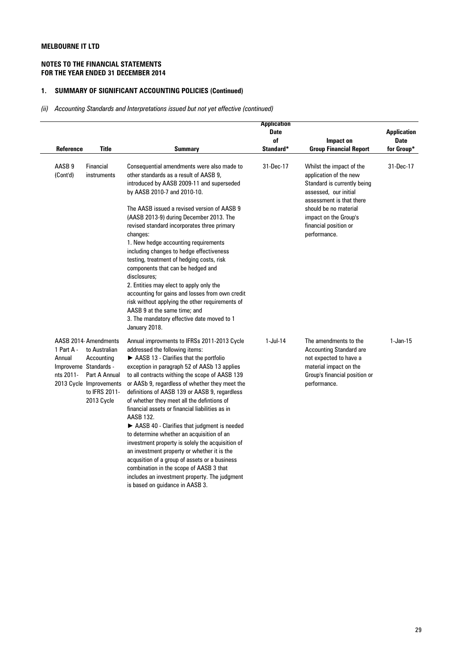## **NOTES TO THE FINANCIAL STATEMENTS FOR THE YEAR ENDED 31 DECEMBER 2014**

## **1. SUMMARY OF SIGNIFICANT ACCOUNTING POLICIES (Continued)**

*(ii) Accounting Standards and Interpretations issued but not yet effective (continued)*

| Reference                         | Title                                                                                                                                                   | Summary                                                                                                                                                                                                                                                                                                                                                                                                                                    | <b>Application</b><br><b>Date</b><br>of<br>Standard* | Impact on<br><b>Group Financial Report</b>                                                                                                                   | <b>Application</b><br><b>Date</b><br>for Group* |
|-----------------------------------|---------------------------------------------------------------------------------------------------------------------------------------------------------|--------------------------------------------------------------------------------------------------------------------------------------------------------------------------------------------------------------------------------------------------------------------------------------------------------------------------------------------------------------------------------------------------------------------------------------------|------------------------------------------------------|--------------------------------------------------------------------------------------------------------------------------------------------------------------|-------------------------------------------------|
| AASB <sub>9</sub><br>(Cont'd)     | Financial<br>instruments                                                                                                                                | Consequential amendments were also made to<br>other standards as a result of AASB 9,<br>introduced by AASB 2009-11 and superseded<br>by AASB 2010-7 and 2010-10.                                                                                                                                                                                                                                                                           | 31-Dec-17                                            | Whilst the impact of the<br>application of the new<br>Standard is currently being<br>assessed, our initial<br>assessment is that there                       | 31-Dec-17                                       |
|                                   |                                                                                                                                                         | The AASB issued a revised version of AASB 9<br>(AASB 2013-9) during December 2013. The<br>revised standard incorporates three primary<br>changes:<br>1. New hedge accounting requirements<br>including changes to hedge effectiveness<br>testing, treatment of hedging costs, risk                                                                                                                                                         |                                                      | should be no material<br>impact on the Group's<br>financial position or<br>performance.                                                                      |                                                 |
|                                   |                                                                                                                                                         | components that can be hedged and<br>disclosures;<br>2. Entities may elect to apply only the<br>accounting for gains and losses from own credit<br>risk without applying the other requirements of<br>AASB 9 at the same time; and<br>3. The mandatory effective date moved to 1<br>January 2018.                                                                                                                                          |                                                      |                                                                                                                                                              |                                                 |
| 1 Part A -<br>Annual<br>nts 2011- | AASB 2014 Amendments<br>to Australian<br>Accounting<br>Improveme Standards -<br>Part A Annual<br>2013 Cycle Improvements<br>to IFRS 2011-<br>2013 Cycle | Annual improvments to IFRSs 2011-2013 Cycle<br>addressed the following items:<br>AASB 13 - Clarifies that the portfolio<br>exception in paragraph 52 of AASb 13 applies<br>to all contracts withing the scope of AASB 139<br>or AASb 9, regardless of whether they meet the<br>definitions of AASB 139 or AASB 9, regardless<br>of whether they meet all the defintions of<br>financial assets or financial liabilities as in<br>AASB 132. | $1$ -Jul-14                                          | The amendments to the<br><b>Accounting Standard are</b><br>not expected to have a<br>material impact on the<br>Group's financial position or<br>performance. | $1$ -Jan-15                                     |
|                                   |                                                                                                                                                         | AASB 40 - Clarifies that judgment is needed<br>to determine whether an acquisition of an<br>investment property is solely the acquisition of<br>an investment property or whether it is the<br>acqusition of a group of assets or a business<br>combination in the scope of AASB 3 that<br>includes an investment property. The judgment<br>is based on guidance in AASB 3.                                                                |                                                      |                                                                                                                                                              |                                                 |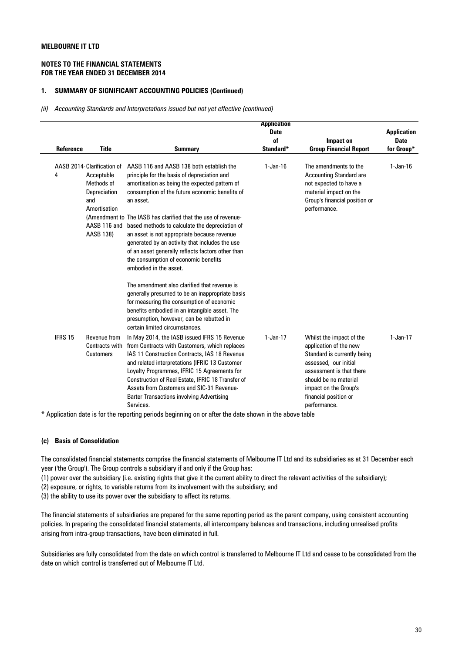## **NOTES TO THE FINANCIAL STATEMENTS FOR THE YEAR ENDED 31 DECEMBER 2014**

## **1. SUMMARY OF SIGNIFICANT ACCOUNTING POLICIES (Continued)**

*(ii) Accounting Standards and Interpretations issued but not yet effective (continued)*

|           |                                                                                                                            |                                                                                                                                                                                                                                                                                                                                                                                                                                                                                                                                                    | <b>Application</b><br><b>Date</b> |                                                                                                                                                                                                                                   | <b>Application</b> |
|-----------|----------------------------------------------------------------------------------------------------------------------------|----------------------------------------------------------------------------------------------------------------------------------------------------------------------------------------------------------------------------------------------------------------------------------------------------------------------------------------------------------------------------------------------------------------------------------------------------------------------------------------------------------------------------------------------------|-----------------------------------|-----------------------------------------------------------------------------------------------------------------------------------------------------------------------------------------------------------------------------------|--------------------|
|           |                                                                                                                            |                                                                                                                                                                                                                                                                                                                                                                                                                                                                                                                                                    | of                                | Impact on                                                                                                                                                                                                                         | <b>Date</b>        |
| Reference | <b>Title</b>                                                                                                               | <b>Summary</b>                                                                                                                                                                                                                                                                                                                                                                                                                                                                                                                                     | Standard*                         | <b>Group Financial Report</b>                                                                                                                                                                                                     | for Group*         |
| 4         | AASB 2014 Clarification of<br>Acceptable<br>Methods of<br>Depreciation<br>and<br>Amortisation<br>AASB 116 and<br>AASB 138) | AASB 116 and AASB 138 both establish the<br>principle for the basis of depreciation and<br>amortisation as being the expected pattern of<br>consumption of the future economic benefits of<br>an asset.<br>(Amendment to The IASB has clarified that the use of revenue-<br>based methods to calculate the depreciation of<br>an asset is not appropriate because revenue<br>generated by an activity that includes the use<br>of an asset generally reflects factors other than<br>the consumption of economic benefits<br>embodied in the asset. | $1-Jan-16$                        | The amendments to the<br><b>Accounting Standard are</b><br>not expected to have a<br>material impact on the<br>Group's financial position or<br>performance.                                                                      | $1-Jan-16$         |
|           |                                                                                                                            | The amendment also clarified that revenue is<br>generally presumed to be an inappropriate basis<br>for measuring the consumption of economic<br>benefits embodied in an intangible asset. The<br>presumption, however, can be rebutted in<br>certain limited circumstances.                                                                                                                                                                                                                                                                        |                                   |                                                                                                                                                                                                                                   |                    |
| IFRS 15   | Revenue from<br>Contracts with<br><b>Customers</b>                                                                         | In May 2014, the IASB issued IFRS 15 Revenue<br>from Contracts with Customers, which replaces<br>IAS 11 Construction Contracts, IAS 18 Revenue<br>and related interpretations (IFRIC 13 Customer<br>Loyalty Programmes, IFRIC 15 Agreements for<br>Construction of Real Estate, IFRIC 18 Transfer of<br>Assets from Customers and SIC-31 Revenue-<br><b>Barter Transactions involving Advertising</b><br>Services.                                                                                                                                 | $1-Jan-17$                        | Whilst the impact of the<br>application of the new<br>Standard is currently being<br>assessed, our initial<br>assessment is that there<br>should be no material<br>impact on the Group's<br>financial position or<br>performance. | $1-Jan-17$         |

\* Application date is for the reporting periods beginning on or after the date shown in the above table

## **(c) Basis of Consolidation**

The consolidated financial statements comprise the financial statements of Melbourne IT Ltd and its subsidiaries as at 31 December each year ('the Group'). The Group controls a subsidiary if and only if the Group has:

(1) power over the subsidiary (i.e. existing rights that give it the current ability to direct the relevant activities of the subsidiary);

(2) exposure, or rights, to variable returns from its involvement with the subsidiary; and

(3) the ability to use its power over the subsidiary to affect its returns.

The financial statements of subsidiaries are prepared for the same reporting period as the parent company, using consistent accounting policies. In preparing the consolidated financial statements, all intercompany balances and transactions, including unrealised profits arising from intra-group transactions, have been eliminated in full.

Subsidiaries are fully consolidated from the date on which control is transferred to Melbourne IT Ltd and cease to be consolidated from the date on which control is transferred out of Melbourne IT Ltd.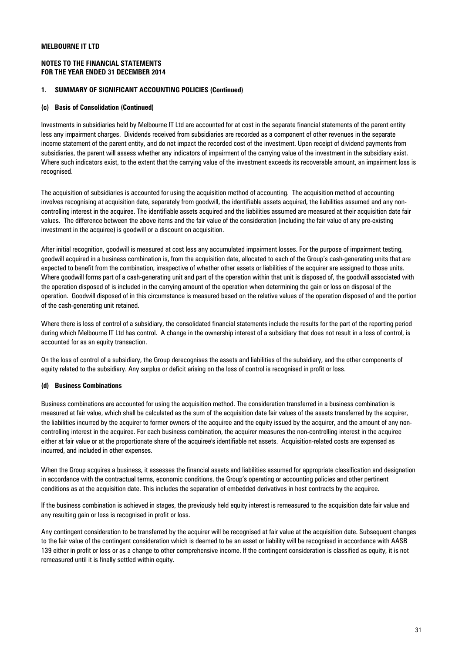## **NOTES TO THE FINANCIAL STATEMENTS FOR THE YEAR ENDED 31 DECEMBER 2014**

## **1. SUMMARY OF SIGNIFICANT ACCOUNTING POLICIES (Continued)**

## **(c) Basis of Consolidation (Continued)**

Investments in subsidiaries held by Melbourne IT Ltd are accounted for at cost in the separate financial statements of the parent entity less any impairment charges. Dividends received from subsidiaries are recorded as a component of other revenues in the separate income statement of the parent entity, and do not impact the recorded cost of the investment. Upon receipt of dividend payments from subsidiaries, the parent will assess whether any indicators of impairment of the carrying value of the investment in the subsidiary exist. Where such indicators exist, to the extent that the carrying value of the investment exceeds its recoverable amount, an impairment loss is recognised.

The acquisition of subsidiaries is accounted for using the acquisition method of accounting. The acquisition method of accounting involves recognising at acquisition date, separately from goodwill, the identifiable assets acquired, the liabilities assumed and any noncontrolling interest in the acquiree. The identifiable assets acquired and the liabilities assumed are measured at their acquisition date fair values. The difference between the above items and the fair value of the consideration (including the fair value of any pre-existing investment in the acquiree) is goodwill or a discount on acquisition.

After initial recognition, goodwill is measured at cost less any accumulated impairment losses. For the purpose of impairment testing, goodwill acquired in a business combination is, from the acquisition date, allocated to each of the Group's cash-generating units that are expected to benefit from the combination, irrespective of whether other assets or liabilities of the acquirer are assigned to those units. Where goodwill forms part of a cash-generating unit and part of the operation within that unit is disposed of, the goodwill associated with the operation disposed of is included in the carrying amount of the operation when determining the gain or loss on disposal of the operation. Goodwill disposed of in this circumstance is measured based on the relative values of the operation disposed of and the portion of the cash-generating unit retained.

Where there is loss of control of a subsidiary, the consolidated financial statements include the results for the part of the reporting period during which Melbourne IT Ltd has control. A change in the ownership interest of a subsidiary that does not result in a loss of control, is accounted for as an equity transaction.

On the loss of control of a subsidiary, the Group derecognises the assets and liabilities of the subsidiary, and the other components of equity related to the subsidiary. Any surplus or deficit arising on the loss of control is recognised in profit or loss.

## **(d) Business Combinations**

Business combinations are accounted for using the acquisition method. The consideration transferred in a business combination is measured at fair value, which shall be calculated as the sum of the acquisition date fair values of the assets transferred by the acquirer, the liabilities incurred by the acquirer to former owners of the acquiree and the equity issued by the acquirer, and the amount of any noncontrolling interest in the acquiree. For each business combination, the acquirer measures the non-controlling interest in the acquiree either at fair value or at the proportionate share of the acquiree's identifiable net assets. Acquisition-related costs are expensed as incurred, and included in other expenses.

When the Group acquires a business, it assesses the financial assets and liabilities assumed for appropriate classification and designation in accordance with the contractual terms, economic conditions, the Group's operating or accounting policies and other pertinent conditions as at the acquisition date. This includes the separation of embedded derivatives in host contracts by the acquiree.

If the business combination is achieved in stages, the previously held equity interest is remeasured to the acquisition date fair value and any resulting gain or loss is recognised in profit or loss.

Any contingent consideration to be transferred by the acquirer will be recognised at fair value at the acquisition date. Subsequent changes to the fair value of the contingent consideration which is deemed to be an asset or liability will be recognised in accordance with AASB 139 either in profit or loss or as a change to other comprehensive income. If the contingent consideration is classified as equity, it is not remeasured until it is finally settled within equity.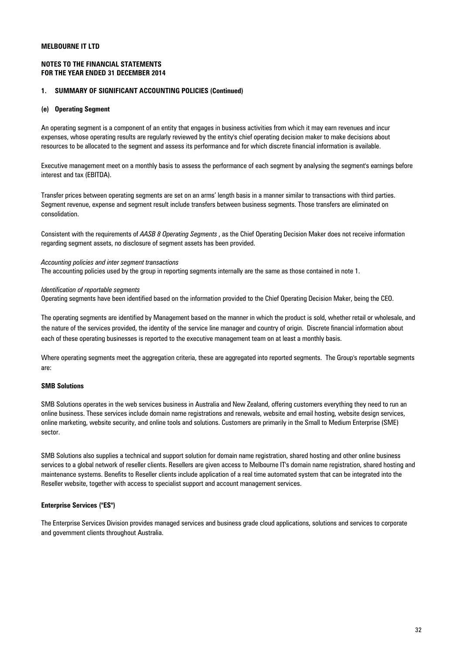## **NOTES TO THE FINANCIAL STATEMENTS FOR THE YEAR ENDED 31 DECEMBER 2014**

## **1. SUMMARY OF SIGNIFICANT ACCOUNTING POLICIES (Continued)**

## **(e) Operating Segment**

An operating segment is a component of an entity that engages in business activities from which it may earn revenues and incur expenses, whose operating results are regularly reviewed by the entity's chief operating decision maker to make decisions about resources to be allocated to the segment and assess its performance and for which discrete financial information is available.

Executive management meet on a monthly basis to assess the performance of each segment by analysing the segment's earnings before interest and tax (EBITDA).

Transfer prices between operating segments are set on an arms' length basis in a manner similar to transactions with third parties. Segment revenue, expense and segment result include transfers between business segments. Those transfers are eliminated on consolidation.

Consistent with the requirements of *AASB 8 Operating Segments* , as the Chief Operating Decision Maker does not receive information regarding segment assets, no disclosure of segment assets has been provided.

#### *Accounting policies and inter segment transactions*

The accounting policies used by the group in reporting segments internally are the same as those contained in note 1.

#### *Identification of reportable segments*

Operating segments have been identified based on the information provided to the Chief Operating Decision Maker, being the CEO.

The operating segments are identified by Management based on the manner in which the product is sold, whether retail or wholesale, and the nature of the services provided, the identity of the service line manager and country of origin. Discrete financial information about each of these operating businesses is reported to the executive management team on at least a monthly basis.

Where operating segments meet the aggregation criteria, these are aggregated into reported segments. The Group's reportable segments are:

## **SMB Solutions**

SMB Solutions operates in the web services business in Australia and New Zealand, offering customers everything they need to run an online business. These services include domain name registrations and renewals, website and email hosting, website design services, online marketing, website security, and online tools and solutions. Customers are primarily in the Small to Medium Enterprise (SME) sector.

SMB Solutions also supplies a technical and support solution for domain name registration, shared hosting and other online business services to a global network of reseller clients. Resellers are given access to Melbourne IT's domain name registration, shared hosting and maintenance systems. Benefits to Reseller clients include application of a real time automated system that can be integrated into the Reseller website, together with access to specialist support and account management services.

## **Enterprise Services ("ES")**

The Enterprise Services Division provides managed services and business grade cloud applications, solutions and services to corporate and government clients throughout Australia.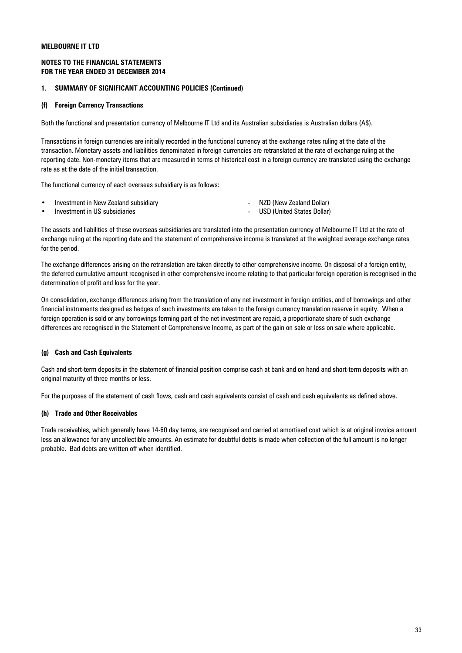## **NOTES TO THE FINANCIAL STATEMENTS FOR THE YEAR ENDED 31 DECEMBER 2014**

## **1. SUMMARY OF SIGNIFICANT ACCOUNTING POLICIES (Continued)**

## **(f) Foreign Currency Transactions**

Both the functional and presentation currency of Melbourne IT Ltd and its Australian subsidiaries is Australian dollars (A\$).

Transactions in foreign currencies are initially recorded in the functional currency at the exchange rates ruling at the date of the transaction. Monetary assets and liabilities denominated in foreign currencies are retranslated at the rate of exchange ruling at the reporting date. Non-monetary items that are measured in terms of historical cost in a foreign currency are translated using the exchange rate as at the date of the initial transaction.

The functional currency of each overseas subsidiary is as follows:

- Investment in New Zealand subsidiary and the Communication of the NZD (New Zealand Dollar)
	-
- 
- Investment in US subsidiaries **Accord 2018** 100 and 2019 100 and 2019 100 and 2019 100 and 2019 100 and 2019 100 and 2019 100 and 2019 100 and 2019 100 and 2019 100 and 2019 100 and 2019 100 and 2019 100 and 2019 100 and 2

The assets and liabilities of these overseas subsidiaries are translated into the presentation currency of Melbourne IT Ltd at the rate of exchange ruling at the reporting date and the statement of comprehensive income is translated at the weighted average exchange rates for the period.

The exchange differences arising on the retranslation are taken directly to other comprehensive income. On disposal of a foreign entity, the deferred cumulative amount recognised in other comprehensive income relating to that particular foreign operation is recognised in the determination of profit and loss for the year.

On consolidation, exchange differences arising from the translation of any net investment in foreign entities, and of borrowings and other financial instruments designed as hedges of such investments are taken to the foreign currency translation reserve in equity. When a foreign operation is sold or any borrowings forming part of the net investment are repaid, a proportionate share of such exchange differences are recognised in the Statement of Comprehensive Income, as part of the gain on sale or loss on sale where applicable.

## **(g) Cash and Cash Equivalents**

Cash and short-term deposits in the statement of financial position comprise cash at bank and on hand and short-term deposits with an original maturity of three months or less.

For the purposes of the statement of cash flows, cash and cash equivalents consist of cash and cash equivalents as defined above.

## **(h) Trade and Other Receivables**

Trade receivables, which generally have 14-60 day terms, are recognised and carried at amortised cost which is at original invoice amount less an allowance for any uncollectible amounts. An estimate for doubtful debts is made when collection of the full amount is no longer probable. Bad debts are written off when identified.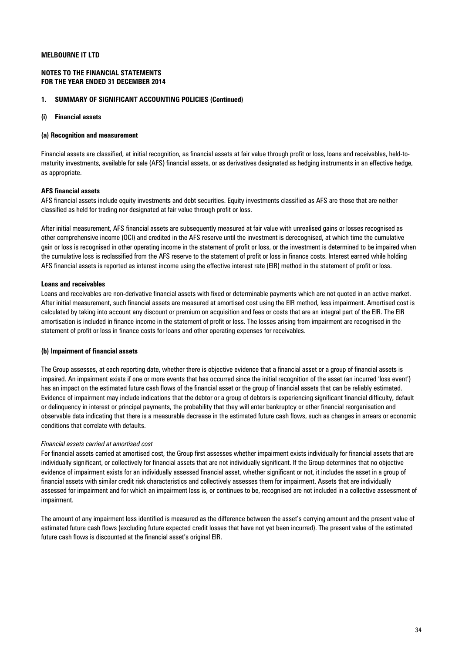## **NOTES TO THE FINANCIAL STATEMENTS FOR THE YEAR ENDED 31 DECEMBER 2014**

## **1. SUMMARY OF SIGNIFICANT ACCOUNTING POLICIES (Continued)**

## **(i) Financial assets**

#### **(a) Recognition and measurement**

Financial assets are classified, at initial recognition, as financial assets at fair value through profit or loss, loans and receivables, held-tomaturity investments, available for sale (AFS) financial assets, or as derivatives designated as hedging instruments in an effective hedge, as appropriate.

## **AFS financial assets**

AFS financial assets include equity investments and debt securities. Equity investments classified as AFS are those that are neither classified as held for trading nor designated at fair value through profit or loss.

After initial measurement, AFS financial assets are subsequently measured at fair value with unrealised gains or losses recognised as other comprehensive income (OCI) and credited in the AFS reserve until the investment is derecognised, at which time the cumulative gain or loss is recognised in other operating income in the statement of profit or loss, or the investment is determined to be impaired when the cumulative loss is reclassified from the AFS reserve to the statement of profit or loss in finance costs. Interest earned while holding AFS financial assets is reported as interest income using the effective interest rate (EIR) method in the statement of profit or loss.

## **Loans and receivables**

Loans and receivables are non-derivative financial assets with fixed or determinable payments which are not quoted in an active market. After initial measurement, such financial assets are measured at amortised cost using the EIR method, less impairment. Amortised cost is calculated by taking into account any discount or premium on acquisition and fees or costs that are an integral part of the EIR. The EIR amortisation is included in finance income in the statement of profit or loss. The losses arising from impairment are recognised in the statement of profit or loss in finance costs for loans and other operating expenses for receivables.

## **(b) Impairment of financial assets**

The Group assesses, at each reporting date, whether there is objective evidence that a financial asset or a group of financial assets is impaired. An impairment exists if one or more events that has occurred since the initial recognition of the asset (an incurred 'loss event') has an impact on the estimated future cash flows of the financial asset or the group of financial assets that can be reliably estimated. Evidence of impairment may include indications that the debtor or a group of debtors is experiencing significant financial difficulty, default or delinquency in interest or principal payments, the probability that they will enter bankruptcy or other financial reorganisation and observable data indicating that there is a measurable decrease in the estimated future cash flows, such as changes in arrears or economic conditions that correlate with defaults.

## *Financial assets carried at amortised cost*

For financial assets carried at amortised cost, the Group first assesses whether impairment exists individually for financial assets that are individually significant, or collectively for financial assets that are not individually significant. If the Group determines that no objective evidence of impairment exists for an individually assessed financial asset, whether significant or not, it includes the asset in a group of financial assets with similar credit risk characteristics and collectively assesses them for impairment. Assets that are individually assessed for impairment and for which an impairment loss is, or continues to be, recognised are not included in a collective assessment of impairment.

The amount of any impairment loss identified is measured as the difference between the asset's carrying amount and the present value of estimated future cash flows (excluding future expected credit losses that have not yet been incurred). The present value of the estimated future cash flows is discounted at the financial asset's original EIR.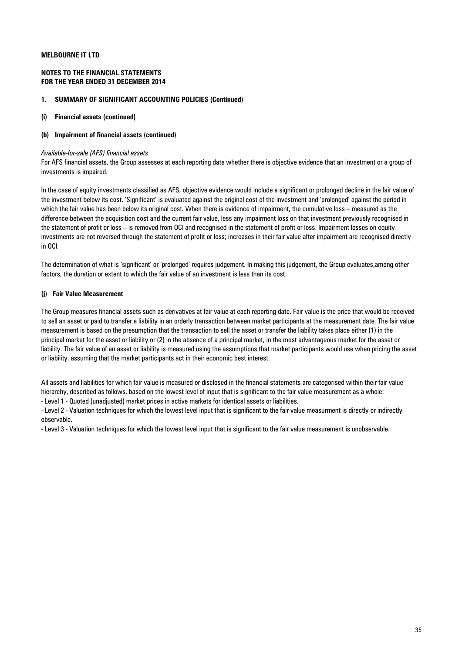## **NOTES TO THE FINANCIAL STATEMENTS FOR THE YEAR ENDED 31 DECEMBER 2014**

## **1. SUMMARY OF SIGNIFICANT ACCOUNTING POLICIES (Continued)**

## **(i) Financial assets (continued)**

## **(b) Impairment of financial assets (continued)**

#### *Available-for-sale (AFS) financial assets*

For AFS financial assets, the Group assesses at each reporting date whether there is objective evidence that an investment or a group of investments is impaired.

In the case of equity investments classified as AFS, objective evidence would include a significant or prolonged decline in the fair value of the investment below its cost. 'Significant' is evaluated against the original cost of the investment and 'prolonged' against the period in which the fair value has been below its original cost. When there is evidence of impairment, the cumulative loss – measured as the difference between the acquisition cost and the current fair value, less any impairment loss on that investment previously recognised in the statement of profit or loss – is removed from OCI and recognised in the statement of profit or loss. Impairment losses on equity investments are not reversed through the statement of profit or loss; increases in their fair value after impairment are recognised directly in OCI.

The determination of what is 'significant' or 'prolonged' requires judgement. In making this judgement, the Group evaluates,among other factors, the duration or extent to which the fair value of an investment is less than its cost.

#### **(j) Fair Value Measurement**

The Group measures financial assets such as derivatives at fair value at each reporting date. Fair value is the price that would be received to sell an asset or paid to transfer a liability in an orderly transaction between market participants at the measurement date. The fair value measurement is based on the presumption that the transaction to sell the asset or transfer the liability takes place either (1) in the principal market for the asset or liability or (2) in the absence of a principal market, in the most advantageous market for the asset or liability. The fair value of an asset or liability is measured using the assumptions that market participants would use when pricing the asset or liability, assuming that the market participants act in their economic best interest.

All assets and liabilities for which fair value is measured or disclosed in the financial statements are categorised within their fair value hierarchy, described as follows, based on the lowest level of input that is significant to the fair value measurement as a whole:

- Level 1 - Quoted (unadjusted) market prices in active markets for identical assets or liabilities.

- Level 2 - Valuation techniques for which the lowest level input that is significant to the fair value measurment is directly or indirectly observable.

- Level 3 - Valuation techniques for which the lowest level input that is significant to the fair value measurement is unobservable.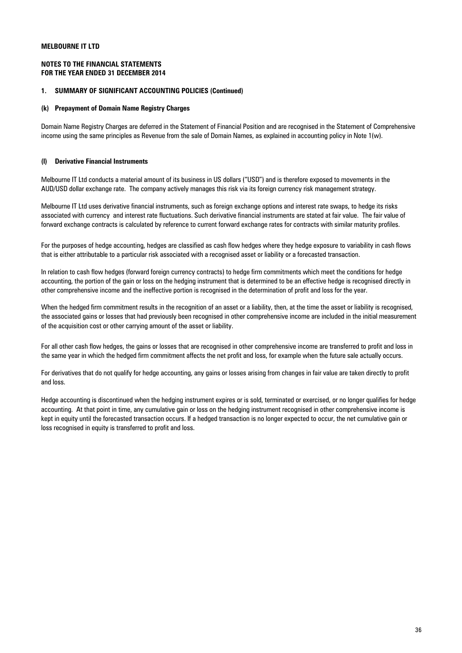## **NOTES TO THE FINANCIAL STATEMENTS FOR THE YEAR ENDED 31 DECEMBER 2014**

# **1. SUMMARY OF SIGNIFICANT ACCOUNTING POLICIES (Continued)**

# **(k) Prepayment of Domain Name Registry Charges**

Domain Name Registry Charges are deferred in the Statement of Financial Position and are recognised in the Statement of Comprehensive income using the same principles as Revenue from the sale of Domain Names, as explained in accounting policy in Note 1(w).

# **(l) Derivative Financial Instruments**

Melbourne IT Ltd conducts a material amount of its business in US dollars ("USD") and is therefore exposed to movements in the AUD/USD dollar exchange rate. The company actively manages this risk via its foreign currency risk management strategy.

Melbourne IT Ltd uses derivative financial instruments, such as foreign exchange options and interest rate swaps, to hedge its risks associated with currency and interest rate fluctuations. Such derivative financial instruments are stated at fair value. The fair value of forward exchange contracts is calculated by reference to current forward exchange rates for contracts with similar maturity profiles.

For the purposes of hedge accounting, hedges are classified as cash flow hedges where they hedge exposure to variability in cash flows that is either attributable to a particular risk associated with a recognised asset or liability or a forecasted transaction.

In relation to cash flow hedges (forward foreign currency contracts) to hedge firm commitments which meet the conditions for hedge accounting, the portion of the gain or loss on the hedging instrument that is determined to be an effective hedge is recognised directly in other comprehensive income and the ineffective portion is recognised in the determination of profit and loss for the year.

When the hedged firm commitment results in the recognition of an asset or a liability, then, at the time the asset or liability is recognised, the associated gains or losses that had previously been recognised in other comprehensive income are included in the initial measurement of the acquisition cost or other carrying amount of the asset or liability.

For all other cash flow hedges, the gains or losses that are recognised in other comprehensive income are transferred to profit and loss in the same year in which the hedged firm commitment affects the net profit and loss, for example when the future sale actually occurs.

For derivatives that do not qualify for hedge accounting, any gains or losses arising from changes in fair value are taken directly to profit and loss.

Hedge accounting is discontinued when the hedging instrument expires or is sold, terminated or exercised, or no longer qualifies for hedge accounting. At that point in time, any cumulative gain or loss on the hedging instrument recognised in other comprehensive income is kept in equity until the forecasted transaction occurs. If a hedged transaction is no longer expected to occur, the net cumulative gain or loss recognised in equity is transferred to profit and loss.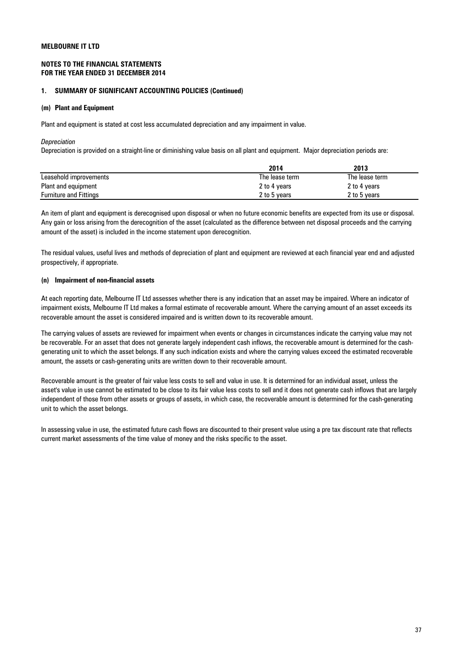#### **1. SUMMARY OF SIGNIFICANT ACCOUNTING POLICIES (Continued)**

### **(m) Plant and Equipment**

Plant and equipment is stated at cost less accumulated depreciation and any impairment in value.

*Depreciation*

Depreciation is provided on a straight-line or diminishing value basis on all plant and equipment. Major depreciation periods are:

|                               | 2014           | 2013           |
|-------------------------------|----------------|----------------|
| Leasehold improvements        | The lease term | The lease term |
| Plant and equipment           | 2 to 4 years   | 2 to 4 years   |
| <b>Furniture and Fittings</b> | 2 to 5 years   | 2 to 5 years   |

An item of plant and equipment is derecognised upon disposal or when no future economic benefits are expected from its use or disposal. Any gain or loss arising from the derecognition of the asset (calculated as the difference between net disposal proceeds and the carrying amount of the asset) is included in the income statement upon derecognition.

The residual values, useful lives and methods of depreciation of plant and equipment are reviewed at each financial year end and adjusted prospectively, if appropriate.

### **(n) Impairment of non-financial assets**

At each reporting date, Melbourne IT Ltd assesses whether there is any indication that an asset may be impaired. Where an indicator of impairment exists, Melbourne IT Ltd makes a formal estimate of recoverable amount. Where the carrying amount of an asset exceeds its recoverable amount the asset is considered impaired and is written down to its recoverable amount.

The carrying values of assets are reviewed for impairment when events or changes in circumstances indicate the carrying value may not be recoverable. For an asset that does not generate largely independent cash inflows, the recoverable amount is determined for the cashgenerating unit to which the asset belongs. If any such indication exists and where the carrying values exceed the estimated recoverable amount, the assets or cash-generating units are written down to their recoverable amount.

Recoverable amount is the greater of fair value less costs to sell and value in use. It is determined for an individual asset, unless the asset's value in use cannot be estimated to be close to its fair value less costs to sell and it does not generate cash inflows that are largely independent of those from other assets or groups of assets, in which case, the recoverable amount is determined for the cash-generating unit to which the asset belongs.

In assessing value in use, the estimated future cash flows are discounted to their present value using a pre tax discount rate that reflects current market assessments of the time value of money and the risks specific to the asset.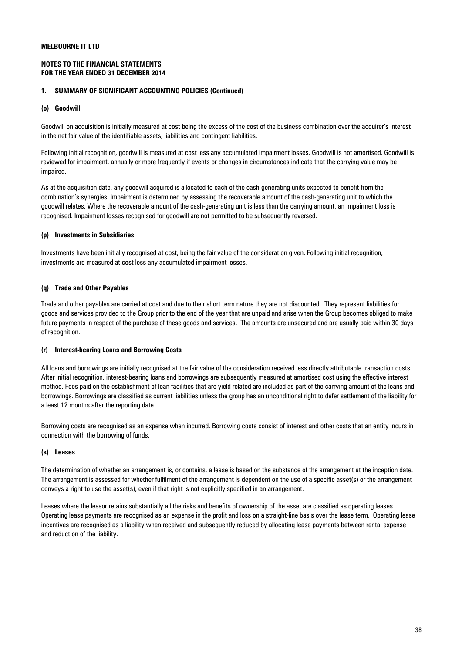# **NOTES TO THE FINANCIAL STATEMENTS FOR THE YEAR ENDED 31 DECEMBER 2014**

# **1. SUMMARY OF SIGNIFICANT ACCOUNTING POLICIES (Continued)**

# **(o) Goodwill**

Goodwill on acquisition is initially measured at cost being the excess of the cost of the business combination over the acquirer's interest in the net fair value of the identifiable assets, liabilities and contingent liabilities.

Following initial recognition, goodwill is measured at cost less any accumulated impairment losses. Goodwill is not amortised. Goodwill is reviewed for impairment, annually or more frequently if events or changes in circumstances indicate that the carrying value may be impaired.

As at the acquisition date, any goodwill acquired is allocated to each of the cash-generating units expected to benefit from the combination's synergies. Impairment is determined by assessing the recoverable amount of the cash-generating unit to which the goodwill relates. Where the recoverable amount of the cash-generating unit is less than the carrying amount, an impairment loss is recognised. Impairment losses recognised for goodwill are not permitted to be subsequently reversed.

# **(p) Investments in Subsidiaries**

Investments have been initially recognised at cost, being the fair value of the consideration given. Following initial recognition, investments are measured at cost less any accumulated impairment losses.

# **(q) Trade and Other Payables**

Trade and other payables are carried at cost and due to their short term nature they are not discounted. They represent liabilities for goods and services provided to the Group prior to the end of the year that are unpaid and arise when the Group becomes obliged to make future payments in respect of the purchase of these goods and services. The amounts are unsecured and are usually paid within 30 days of recognition.

### **(r) Interest-bearing Loans and Borrowing Costs**

All loans and borrowings are initially recognised at the fair value of the consideration received less directly attributable transaction costs. After initial recognition, interest-bearing loans and borrowings are subsequently measured at amortised cost using the effective interest method. Fees paid on the establishment of loan facilities that are yield related are included as part of the carrying amount of the loans and borrowings. Borrowings are classified as current liabilities unless the group has an unconditional right to defer settlement of the liability for a least 12 months after the reporting date.

Borrowing costs are recognised as an expense when incurred. Borrowing costs consist of interest and other costs that an entity incurs in connection with the borrowing of funds.

# **(s) Leases**

The determination of whether an arrangement is, or contains, a lease is based on the substance of the arrangement at the inception date. The arrangement is assessed for whether fulfilment of the arrangement is dependent on the use of a specific asset(s) or the arrangement conveys a right to use the asset(s), even if that right is not explicitly specified in an arrangement.

Leases where the lessor retains substantially all the risks and benefits of ownership of the asset are classified as operating leases. Operating lease payments are recognised as an expense in the profit and loss on a straight-line basis over the lease term. Operating lease incentives are recognised as a liability when received and subsequently reduced by allocating lease payments between rental expense and reduction of the liability.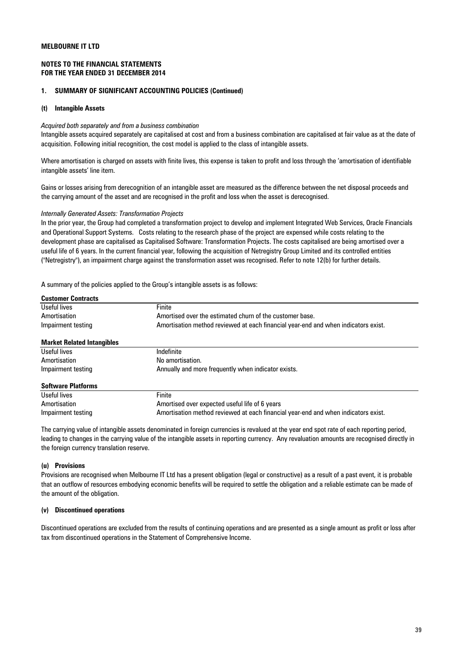# **1. SUMMARY OF SIGNIFICANT ACCOUNTING POLICIES (Continued)**

# **(t) Intangible Assets**

# *Acquired both separately and from a business combination*

Intangible assets acquired separately are capitalised at cost and from a business combination are capitalised at fair value as at the date of acquisition. Following initial recognition, the cost model is applied to the class of intangible assets.

Where amortisation is charged on assets with finite lives, this expense is taken to profit and loss through the 'amortisation of identifiable intangible assets' line item.

Gains or losses arising from derecognition of an intangible asset are measured as the difference between the net disposal proceeds and the carrying amount of the asset and are recognised in the profit and loss when the asset is derecognised.

# *Internally Generated Assets: Transformation Projects*

In the prior year, the Group had completed a transformation project to develop and implement Integrated Web Services, Oracle Financials and Operational Support Systems. Costs relating to the research phase of the project are expensed while costs relating to the development phase are capitalised as Capitalised Software: Transformation Projects. The costs capitalised are being amortised over a useful life of 6 years. In the current financial year, following the acquisition of Netregistry Group Limited and its controlled entities ("Netregistry"), an impairment charge against the transformation asset was recognised. Refer to note 12(b) for further details.

A summary of the policies applied to the Group's intangible assets is as follows:

# **Customer Contracts**

| Finite                                                                             |
|------------------------------------------------------------------------------------|
| Amortised over the estimated churn of the customer base.                           |
| Amortisation method reviewed at each financial year-end and when indicators exist. |
|                                                                                    |
| Indefinite                                                                         |
| No amortisation.                                                                   |
| Annually and more frequently when indicator exists.                                |
|                                                                                    |
| Finite                                                                             |
| Amortised over expected useful life of 6 years                                     |
| Amortisation method reviewed at each financial year-end and when indicators exist. |
|                                                                                    |

The carrying value of intangible assets denominated in foreign currencies is revalued at the year end spot rate of each reporting period, leading to changes in the carrying value of the intangible assets in reporting currency. Any revaluation amounts are recognised directly in the foreign currency translation reserve.

# **(u) Provisions**

Provisions are recognised when Melbourne IT Ltd has a present obligation (legal or constructive) as a result of a past event, it is probable that an outflow of resources embodying economic benefits will be required to settle the obligation and a reliable estimate can be made of the amount of the obligation.

### **(v) Discontinued operations**

Discontinued operations are excluded from the results of continuing operations and are presented as a single amount as profit or loss after tax from discontinued operations in the Statement of Comprehensive Income.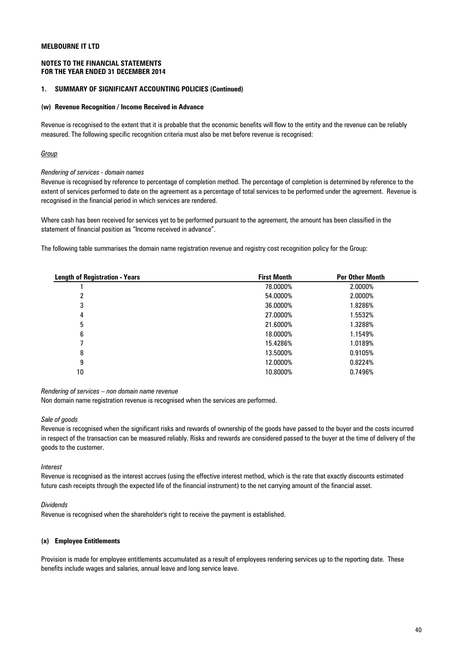### **NOTES TO THE FINANCIAL STATEMENTS FOR THE YEAR ENDED 31 DECEMBER 2014**

# **1. SUMMARY OF SIGNIFICANT ACCOUNTING POLICIES (Continued)**

# **(w) Revenue Recognition / Income Received in Advance**

Revenue is recognised to the extent that it is probable that the economic benefits will flow to the entity and the revenue can be reliably measured. The following specific recognition criteria must also be met before revenue is recognised:

### *Group*

# *Rendering of services - domain names*

Revenue is recognised by reference to percentage of completion method. The percentage of completion is determined by reference to the extent of services performed to date on the agreement as a percentage of total services to be performed under the agreement. Revenue is recognised in the financial period in which services are rendered.

Where cash has been received for services yet to be performed pursuant to the agreement, the amount has been classified in the statement of financial position as "Income received in advance".

The following table summarises the domain name registration revenue and registry cost recognition policy for the Group:

| <b>Length of Registration - Years</b> | <b>First Month</b> | <b>Per Other Month</b> |  |
|---------------------------------------|--------------------|------------------------|--|
|                                       | 78.0000%           | 2.0000%                |  |
|                                       | 54.0000%           | 2.0000%                |  |
| 3                                     | 36.0000%           | 1.8286%                |  |
| 4                                     | 27.0000%           | 1.5532%                |  |
| 5                                     | 21.6000%           | 1.3288%                |  |
| 6                                     | 18.0000%           | 1.1549%                |  |
|                                       | 15.4286%           | 1.0189%                |  |
| 8                                     | 13.5000%           | 0.9105%                |  |
| 9                                     | 12.0000%           | 0.8224%                |  |
| 10                                    | 10.8000%           | 0.7496%                |  |

### *Rendering of services – non domain name revenue*

Non domain name registration revenue is recognised when the services are performed.

# *Sale of goods*

Revenue is recognised when the significant risks and rewards of ownership of the goods have passed to the buyer and the costs incurred in respect of the transaction can be measured reliably. Risks and rewards are considered passed to the buyer at the time of delivery of the goods to the customer.

### *Interest*

Revenue is recognised as the interest accrues (using the effective interest method, which is the rate that exactly discounts estimated future cash receipts through the expected life of the financial instrument) to the net carrying amount of the financial asset.

### *Dividends*

Revenue is recognised when the shareholder's right to receive the payment is established.

# **(x) Employee Entitlements**

Provision is made for employee entitlements accumulated as a result of employees rendering services up to the reporting date. These benefits include wages and salaries, annual leave and long service leave.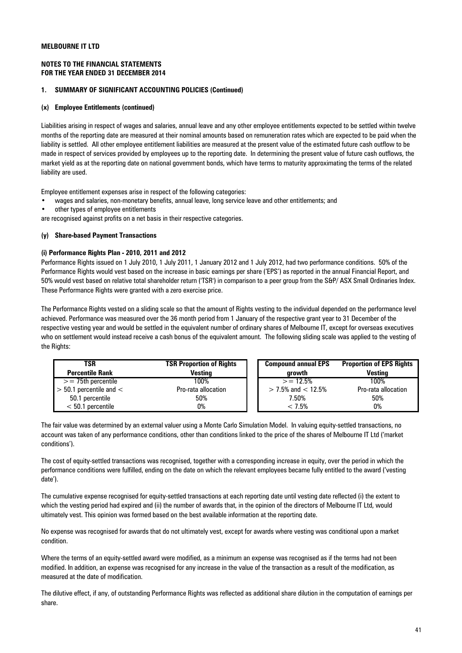# **1. SUMMARY OF SIGNIFICANT ACCOUNTING POLICIES (Continued)**

### **(x) Employee Entitlements (continued)**

Liabilities arising in respect of wages and salaries, annual leave and any other employee entitlements expected to be settled within twelve months of the reporting date are measured at their nominal amounts based on remuneration rates which are expected to be paid when the liability is settled. All other employee entitlement liabilities are measured at the present value of the estimated future cash outflow to be made in respect of services provided by employees up to the reporting date. In determining the present value of future cash outflows, the market yield as at the reporting date on national government bonds, which have terms to maturity approximating the terms of the related liability are used.

Employee entitlement expenses arise in respect of the following categories:

- wages and salaries, non-monetary benefits, annual leave, long service leave and other entitlements; and
- other types of employee entitlements

are recognised against profits on a net basis in their respective categories.

# **(y) Share-based Payment Transactions**

# **(i) Performance Rights Plan - 2010, 2011 and 2012**

Performance Rights issued on 1 July 2010, 1 July 2011, 1 January 2012 and 1 July 2012, had two performance conditions. 50% of the Performance Rights would vest based on the increase in basic earnings per share ('EPS') as reported in the annual Financial Report, and 50% would vest based on relative total shareholder return ('TSR') in comparison to a peer group from the S&P/ ASX Small Ordinaries Index. These Performance Rights were granted with a zero exercise price.

The Performance Rights vested on a sliding scale so that the amount of Rights vesting to the individual depended on the performance level achieved. Performance was measured over the 36 month period from 1 January of the respective grant year to 31 December of the respective vesting year and would be settled in the equivalent number of ordinary shares of Melbourne IT, except for overseas executives who on settlement would instead receive a cash bonus of the equivalent amount. The following sliding scale was applied to the vesting of the Rights:

| TSR                         | <b>TSR Proportion of Rights</b> | <b>Compound annual EPS</b> | <b>Proportion of EPS Rights</b> |
|-----------------------------|---------------------------------|----------------------------|---------------------------------|
| <b>Percentile Rank</b>      | <b>Vesting</b>                  | arowth                     | Vestina                         |
| $>= 75$ th percentile       | 100%                            | $>= 12.5%$                 | $10\overline{0\%}$              |
| $>$ 50.1 percentile and $<$ | Pro-rata allocation             | $>$ 7.5% and $<$ 12.5%     | Pro-rata allocation             |
| 50.1 percentile             | 50%                             | 7.50%                      | 50%                             |
| $< 50.1$ percentile         | 0%                              | < 7.5%                     | 0%                              |

The fair value was determined by an external valuer using a Monte Carlo Simulation Model. In valuing equity-settled transactions, no account was taken of any performance conditions, other than conditions linked to the price of the shares of Melbourne IT Ltd ('market conditions').

The cost of equity-settled transactions was recognised, together with a corresponding increase in equity, over the period in which the performance conditions were fulfilled, ending on the date on which the relevant employees became fully entitled to the award ('vesting date').

The cumulative expense recognised for equity-settled transactions at each reporting date until vesting date reflected (i) the extent to which the vesting period had expired and (ii) the number of awards that, in the opinion of the directors of Melbourne IT Ltd, would ultimately vest. This opinion was formed based on the best available information at the reporting date.

No expense was recognised for awards that do not ultimately vest, except for awards where vesting was conditional upon a market condition.

Where the terms of an equity-settled award were modified, as a minimum an expense was recognised as if the terms had not been modified. In addition, an expense was recognised for any increase in the value of the transaction as a result of the modification, as measured at the date of modification.

The dilutive effect, if any, of outstanding Performance Rights was reflected as additional share dilution in the computation of earnings per share.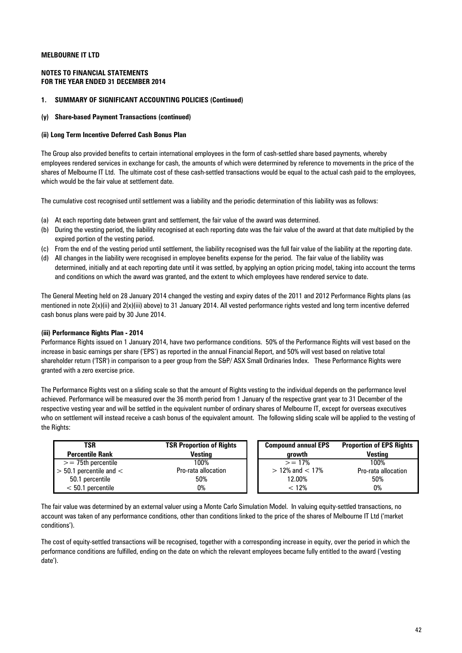# **NOTES TO FINANCIAL STATEMENTS FOR THE YEAR ENDED 31 DECEMBER 2014**

#### **1. SUMMARY OF SIGNIFICANT ACCOUNTING POLICIES (Continued)**

### **(y) Share-based Payment Transactions (continued)**

# **(ii) Long Term Incentive Deferred Cash Bonus Plan**

The Group also provided benefits to certain international employees in the form of cash-settled share based payments, whereby employees rendered services in exchange for cash, the amounts of which were determined by reference to movements in the price of the shares of Melbourne IT Ltd. The ultimate cost of these cash-settled transactions would be equal to the actual cash paid to the employees, which would be the fair value at settlement date.

The cumulative cost recognised until settlement was a liability and the periodic determination of this liability was as follows:

- (a) At each reporting date between grant and settlement, the fair value of the award was determined.
- (b) During the vesting period, the liability recognised at each reporting date was the fair value of the award at that date multiplied by the expired portion of the vesting period.
- (c) From the end of the vesting period until settlement, the liability recognised was the full fair value of the liability at the reporting date.
- (d) All changes in the liability were recognised in employee benefits expense for the period. The fair value of the liability was determined, initially and at each reporting date until it was settled, by applying an option pricing model, taking into account the terms and conditions on which the award was granted, and the extent to which employees have rendered service to date.

The General Meeting held on 28 January 2014 changed the vesting and expiry dates of the 2011 and 2012 Performance Rights plans (as mentioned in note 2(x)(ii) and 2(x)(iii) above) to 31 January 2014. All vested performance rights vested and long term incentive deferred cash bonus plans were paid by 30 June 2014.

# **(iii) Performance Rights Plan - 2014**

Performance Rights issued on 1 January 2014, have two performance conditions. 50% of the Performance Rights will vest based on the increase in basic earnings per share ('EPS') as reported in the annual Financial Report, and 50% will vest based on relative total shareholder return ('TSR') in comparison to a peer group from the S&P/ ASX Small Ordinaries Index. These Performance Rights were granted with a zero exercise price.

The Performance Rights vest on a sliding scale so that the amount of Rights vesting to the individual depends on the performance level achieved. Performance will be measured over the 36 month period from 1 January of the respective grant year to 31 December of the respective vesting year and will be settled in the equivalent number of ordinary shares of Melbourne IT, except for overseas executives who on settlement will instead receive a cash bonus of the equivalent amount. The following sliding scale will be applied to the vesting of the Rights:

| TSR                         | <b>TSR Proportion of Rights</b> | <b>Compound annual EPS</b> | <b>Proportion of EPS Rights</b> |
|-----------------------------|---------------------------------|----------------------------|---------------------------------|
| <b>Percentile Rank</b>      | <b>Vesting</b>                  | arowth                     | Vestina                         |
| $>= 75$ th percentile       | 100%                            | $>= 17%$                   | 100%                            |
| $>$ 50.1 percentile and $<$ | Pro-rata allocation             | $>12\%$ and $< 17\%$       | Pro-rata allocation             |
| 50.1 percentile             | 50%                             | 12.00%                     | 50%                             |
| $< 50.1$ percentile         | 0%                              | < 12%                      | 0%                              |

The fair value was determined by an external valuer using a Monte Carlo Simulation Model. In valuing equity-settled transactions, no account was taken of any performance conditions, other than conditions linked to the price of the shares of Melbourne IT Ltd ('market conditions').

The cost of equity-settled transactions will be recognised, together with a corresponding increase in equity, over the period in which the performance conditions are fulfilled, ending on the date on which the relevant employees became fully entitled to the award ('vesting date').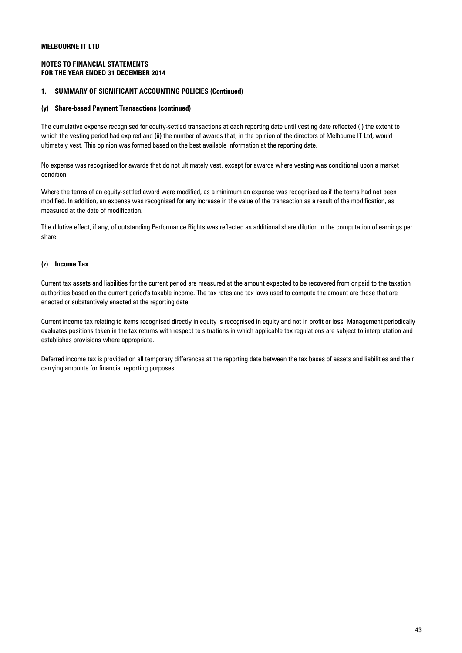#### **1. SUMMARY OF SIGNIFICANT ACCOUNTING POLICIES (Continued)**

### **(y) Share-based Payment Transactions (continued)**

The cumulative expense recognised for equity-settled transactions at each reporting date until vesting date reflected (i) the extent to which the vesting period had expired and (ii) the number of awards that, in the opinion of the directors of Melbourne IT Ltd, would ultimately vest. This opinion was formed based on the best available information at the reporting date.

No expense was recognised for awards that do not ultimately vest, except for awards where vesting was conditional upon a market condition.

Where the terms of an equity-settled award were modified, as a minimum an expense was recognised as if the terms had not been modified. In addition, an expense was recognised for any increase in the value of the transaction as a result of the modification, as measured at the date of modification.

The dilutive effect, if any, of outstanding Performance Rights was reflected as additional share dilution in the computation of earnings per share.

# **(z) Income Tax**

Current tax assets and liabilities for the current period are measured at the amount expected to be recovered from or paid to the taxation authorities based on the current period's taxable income. The tax rates and tax laws used to compute the amount are those that are enacted or substantively enacted at the reporting date.

Current income tax relating to items recognised directly in equity is recognised in equity and not in profit or loss. Management periodically evaluates positions taken in the tax returns with respect to situations in which applicable tax regulations are subject to interpretation and establishes provisions where appropriate.

Deferred income tax is provided on all temporary differences at the reporting date between the tax bases of assets and liabilities and their carrying amounts for financial reporting purposes.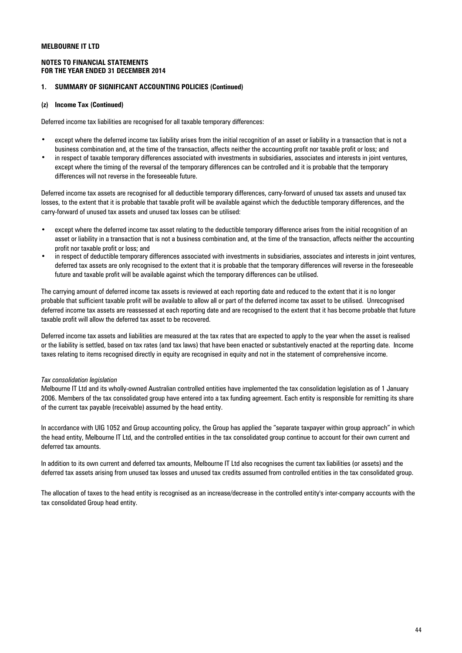# **NOTES TO FINANCIAL STATEMENTS FOR THE YEAR ENDED 31 DECEMBER 2014**

# **1. SUMMARY OF SIGNIFICANT ACCOUNTING POLICIES (Continued)**

# **(z) Income Tax (Continued)**

Deferred income tax liabilities are recognised for all taxable temporary differences:

- except where the deferred income tax liability arises from the initial recognition of an asset or liability in a transaction that is not a business combination and, at the time of the transaction, affects neither the accounting profit nor taxable profit or loss; and
- in respect of taxable temporary differences associated with investments in subsidiaries, associates and interests in joint ventures, except where the timing of the reversal of the temporary differences can be controlled and it is probable that the temporary differences will not reverse in the foreseeable future.

Deferred income tax assets are recognised for all deductible temporary differences, carry-forward of unused tax assets and unused tax losses, to the extent that it is probable that taxable profit will be available against which the deductible temporary differences, and the carry-forward of unused tax assets and unused tax losses can be utilised:

- except where the deferred income tax asset relating to the deductible temporary difference arises from the initial recognition of an asset or liability in a transaction that is not a business combination and, at the time of the transaction, affects neither the accounting profit nor taxable profit or loss; and
- in respect of deductible temporary differences associated with investments in subsidiaries, associates and interests in joint ventures, deferred tax assets are only recognised to the extent that it is probable that the temporary differences will reverse in the foreseeable future and taxable profit will be available against which the temporary differences can be utilised.

The carrying amount of deferred income tax assets is reviewed at each reporting date and reduced to the extent that it is no longer probable that sufficient taxable profit will be available to allow all or part of the deferred income tax asset to be utilised. Unrecognised deferred income tax assets are reassessed at each reporting date and are recognised to the extent that it has become probable that future taxable profit will allow the deferred tax asset to be recovered.

Deferred income tax assets and liabilities are measured at the tax rates that are expected to apply to the year when the asset is realised or the liability is settled, based on tax rates (and tax laws) that have been enacted or substantively enacted at the reporting date. Income taxes relating to items recognised directly in equity are recognised in equity and not in the statement of comprehensive income.

### *Tax consolidation legislation*

Melbourne IT Ltd and its wholly-owned Australian controlled entities have implemented the tax consolidation legislation as of 1 January 2006. Members of the tax consolidated group have entered into a tax funding agreement. Each entity is responsible for remitting its share of the current tax payable (receivable) assumed by the head entity.

In accordance with UIG 1052 and Group accounting policy, the Group has applied the "separate taxpayer within group approach" in which the head entity, Melbourne IT Ltd, and the controlled entities in the tax consolidated group continue to account for their own current and deferred tax amounts.

In addition to its own current and deferred tax amounts, Melbourne IT Ltd also recognises the current tax liabilities (or assets) and the deferred tax assets arising from unused tax losses and unused tax credits assumed from controlled entities in the tax consolidated group.

The allocation of taxes to the head entity is recognised as an increase/decrease in the controlled entity's inter-company accounts with the tax consolidated Group head entity.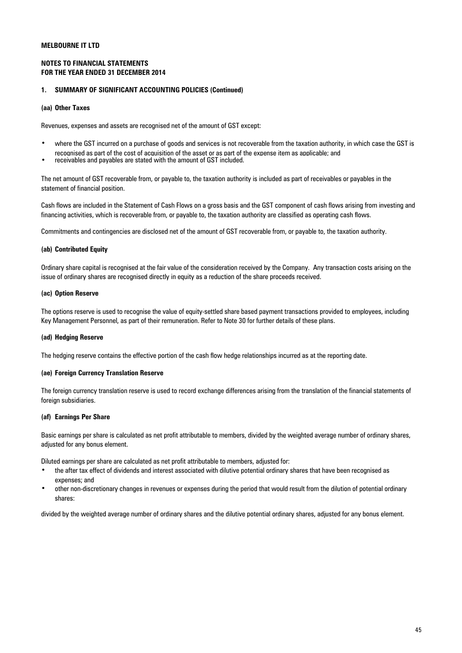# **NOTES TO FINANCIAL STATEMENTS FOR THE YEAR ENDED 31 DECEMBER 2014**

# **1. SUMMARY OF SIGNIFICANT ACCOUNTING POLICIES (Continued)**

### **(aa) Other Taxes**

Revenues, expenses and assets are recognised net of the amount of GST except:

- where the GST incurred on a purchase of goods and services is not recoverable from the taxation authority, in which case the GST is recognised as part of the cost of acquisition of the asset or as part of the expense item as applicable; and
- receivables and payables are stated with the amount of GST included.

The net amount of GST recoverable from, or payable to, the taxation authority is included as part of receivables or payables in the statement of financial position.

Cash flows are included in the Statement of Cash Flows on a gross basis and the GST component of cash flows arising from investing and financing activities, which is recoverable from, or payable to, the taxation authority are classified as operating cash flows.

Commitments and contingencies are disclosed net of the amount of GST recoverable from, or payable to, the taxation authority.

### **(ab) Contributed Equity**

Ordinary share capital is recognised at the fair value of the consideration received by the Company. Any transaction costs arising on the issue of ordinary shares are recognised directly in equity as a reduction of the share proceeds received.

### **(ac) Option Reserve**

The options reserve is used to recognise the value of equity-settled share based payment transactions provided to employees, including Key Management Personnel, as part of their remuneration. Refer to Note 30 for further details of these plans.

# **(ad) Hedging Reserve**

The hedging reserve contains the effective portion of the cash flow hedge relationships incurred as at the reporting date.

### **(ae) Foreign Currency Translation Reserve**

The foreign currency translation reserve is used to record exchange differences arising from the translation of the financial statements of foreign subsidiaries.

### **(af) Earnings Per Share**

Basic earnings per share is calculated as net profit attributable to members, divided by the weighted average number of ordinary shares, adjusted for any bonus element.

Diluted earnings per share are calculated as net profit attributable to members, adjusted for:

- the after tax effect of dividends and interest associated with dilutive potential ordinary shares that have been recognised as expenses; and
- other non-discretionary changes in revenues or expenses during the period that would result from the dilution of potential ordinary shares:

divided by the weighted average number of ordinary shares and the dilutive potential ordinary shares, adjusted for any bonus element.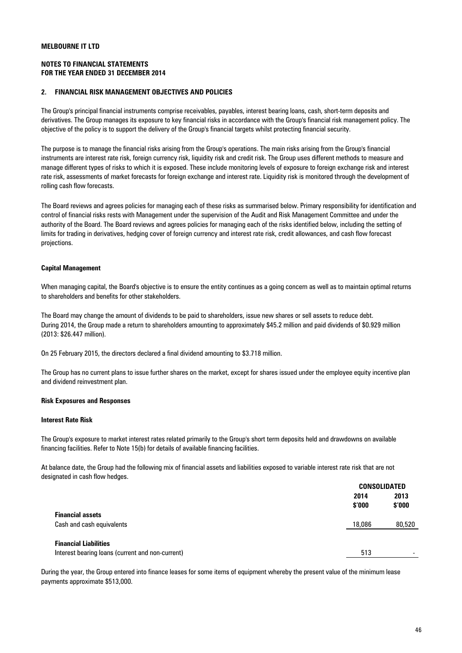### **2. FINANCIAL RISK MANAGEMENT OBJECTIVES AND POLICIES**

The Group's principal financial instruments comprise receivables, payables, interest bearing loans, cash, short-term deposits and derivatives. The Group manages its exposure to key financial risks in accordance with the Group's financial risk management policy. The objective of the policy is to support the delivery of the Group's financial targets whilst protecting financial security.

The purpose is to manage the financial risks arising from the Group's operations. The main risks arising from the Group's financial instruments are interest rate risk, foreign currency risk, liquidity risk and credit risk. The Group uses different methods to measure and manage different types of risks to which it is exposed. These include monitoring levels of exposure to foreign exchange risk and interest rate risk, assessments of market forecasts for foreign exchange and interest rate. Liquidity risk is monitored through the development of rolling cash flow forecasts.

The Board reviews and agrees policies for managing each of these risks as summarised below. Primary responsibility for identification and control of financial risks rests with Management under the supervision of the Audit and Risk Management Committee and under the authority of the Board. The Board reviews and agrees policies for managing each of the risks identified below, including the setting of limits for trading in derivatives, hedging cover of foreign currency and interest rate risk, credit allowances, and cash flow forecast projections.

## **Capital Management**

When managing capital, the Board's objective is to ensure the entity continues as a going concern as well as to maintain optimal returns to shareholders and benefits for other stakeholders.

During 2014, the Group made a return to shareholders amounting to approximately \$45.2 million and paid dividends of \$0.929 million (2013: \$26.447 million). The Board may change the amount of dividends to be paid to shareholders, issue new shares or sell assets to reduce debt.

On 25 February 2015, the directors declared a final dividend amounting to \$3.718 million.

The Group has no current plans to issue further shares on the market, except for shares issued under the employee equity incentive plan and dividend reinvestment plan.

### **Risk Exposures and Responses**

### **Interest Rate Risk**

The Group's exposure to market interest rates related primarily to the Group's short term deposits held and drawdowns on available financing facilities. Refer to Note 15(b) for details of available financing facilities.

At balance date, the Group had the following mix of financial assets and liabilities exposed to variable interest rate risk that are not designated in cash flow hedges.

|                                                  | <b>CONSOLIDATED</b> |                          |
|--------------------------------------------------|---------------------|--------------------------|
|                                                  | 2014<br>\$'000      | 2013<br>\$'000           |
| <b>Financial assets</b>                          |                     |                          |
| Cash and cash equivalents                        | 18,086              | 80,520                   |
|                                                  |                     |                          |
| <b>Financial Liabilities</b>                     |                     |                          |
| Interest bearing loans (current and non-current) | 513                 | $\overline{\phantom{0}}$ |

During the year, the Group entered into finance leases for some items of equipment whereby the present value of the minimum lease payments approximate \$513,000.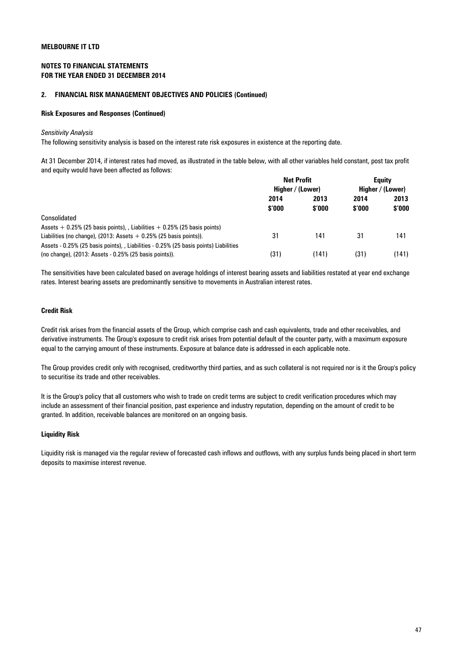# **NOTES TO FINANCIAL STATEMENTS FOR THE YEAR ENDED 31 DECEMBER 2014**

### **2. FINANCIAL RISK MANAGEMENT OBJECTIVES AND POLICIES (Continued)**

### **Risk Exposures and Responses (Continued)**

### *Sensitivity Analysis*

The following sensitivity analysis is based on the interest rate risk exposures in existence at the reporting date.

At 31 December 2014, if interest rates had moved, as illustrated in the table below, with all other variables held constant, post tax profit and equity would have been affected as follows:

|                                                                                       | <b>Net Profit</b><br>Higher / (Lower) |        | Eauitv<br>Higher / (Lower) |        |
|---------------------------------------------------------------------------------------|---------------------------------------|--------|----------------------------|--------|
|                                                                                       |                                       |        |                            |        |
|                                                                                       | 2014                                  | 2013   | 2014                       | 2013   |
|                                                                                       | \$'000                                | \$'000 | \$'000                     | \$'000 |
| Consolidated                                                                          |                                       |        |                            |        |
| Assets $+$ 0.25% (25 basis points), Liabilities $+$ 0.25% (25 basis points)           |                                       |        |                            |        |
| Liabilities (no change), (2013: Assets $+$ 0.25% (25 basis points)).                  | 31                                    | 141    | 31                         | 141    |
| Assets - 0.25% (25 basis points), , Liabilities - 0.25% (25 basis points) Liabilities |                                       |        |                            |        |
| (no change), (2013: Assets - 0.25% (25 basis points)).                                | (31)                                  | (141)  | (31)                       | (141)  |

The sensitivities have been calculated based on average holdings of interest bearing assets and liabilities restated at year end exchange rates. Interest bearing assets are predominantly sensitive to movements in Australian interest rates.

### **Credit Risk**

Credit risk arises from the financial assets of the Group, which comprise cash and cash equivalents, trade and other receivables, and derivative instruments. The Group's exposure to credit risk arises from potential default of the counter party, with a maximum exposure equal to the carrying amount of these instruments. Exposure at balance date is addressed in each applicable note.

The Group provides credit only with recognised, creditworthy third parties, and as such collateral is not required nor is it the Group's policy to securitise its trade and other receivables.

It is the Group's policy that all customers who wish to trade on credit terms are subject to credit verification procedures which may include an assessment of their financial position, past experience and industry reputation, depending on the amount of credit to be granted. In addition, receivable balances are monitored on an ongoing basis.

### **Liquidity Risk**

Liquidity risk is managed via the regular review of forecasted cash inflows and outflows, with any surplus funds being placed in short term deposits to maximise interest revenue.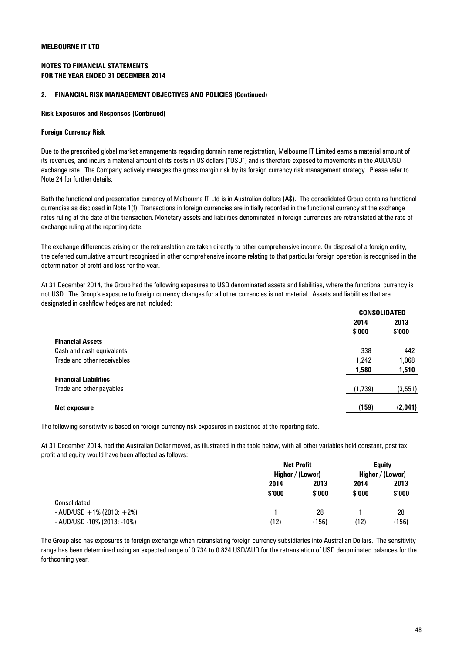# **NOTES TO FINANCIAL STATEMENTS FOR THE YEAR ENDED 31 DECEMBER 2014**

# **2. FINANCIAL RISK MANAGEMENT OBJECTIVES AND POLICIES (Continued)**

# **Risk Exposures and Responses (Continued)**

### **Foreign Currency Risk**

Due to the prescribed global market arrangements regarding domain name registration, Melbourne IT Limited earns a material amount of its revenues, and incurs a material amount of its costs in US dollars ("USD") and is therefore exposed to movements in the AUD/USD exchange rate. The Company actively manages the gross margin risk by its foreign currency risk management strategy. Please refer to Note 24 for further details.

Both the functional and presentation currency of Melbourne IT Ltd is in Australian dollars (A\$). The consolidated Group contains functional currencies as disclosed in Note 1(f). Transactions in foreign currencies are initially recorded in the functional currency at the exchange rates ruling at the date of the transaction. Monetary assets and liabilities denominated in foreign currencies are retranslated at the rate of exchange ruling at the reporting date.

The exchange differences arising on the retranslation are taken directly to other comprehensive income. On disposal of a foreign entity, the deferred cumulative amount recognised in other comprehensive income relating to that particular foreign operation is recognised in the determination of profit and loss for the year.

At 31 December 2014, the Group had the following exposures to USD denominated assets and liabilities, where the functional currency is not USD. The Group's exposure to foreign currency changes for all other currencies is not material. Assets and liabilities that are designated in cashflow hedges are not included:

|                              | <b>CONSOLIDATED</b> |          |
|------------------------------|---------------------|----------|
|                              | 2014                | 2013     |
|                              | \$'000              | \$'000   |
| <b>Financial Assets</b>      |                     |          |
| Cash and cash equivalents    | 338                 | 442      |
| Trade and other receivables  | 1,242               | 1,068    |
|                              | 1,580               | 1,510    |
| <b>Financial Liabilities</b> |                     |          |
| Trade and other payables     | (1,739)             | (3, 551) |
| Net exposure                 | (159)               | (2,041)  |

The following sensitivity is based on foreign currency risk exposures in existence at the reporting date.

At 31 December 2014, had the Australian Dollar moved, as illustrated in the table below, with all other variables held constant, post tax profit and equity would have been affected as follows:

|                                  | <b>Net Profit</b><br>Higher / (Lower) |                | <b>Equity</b><br>Higher / (Lower) |                |
|----------------------------------|---------------------------------------|----------------|-----------------------------------|----------------|
|                                  |                                       |                |                                   |                |
|                                  | 2014                                  | 2013<br>\$'000 | 2014<br>\$'000                    | 2013<br>\$'000 |
|                                  | \$'000                                |                |                                   |                |
| Consolidated                     |                                       |                |                                   |                |
| - AUD/USD $+1\%$ (2013: $+2\%$ ) |                                       | 28             |                                   | 28             |
| - AUD/USD -10% (2013: -10%)      | (12)                                  | (156)          | (12                               | (156)          |

The Group also has exposures to foreign exchange when retranslating foreign currency subsidiaries into Australian Dollars. The sensitivity range has been determined using an expected range of 0.734 to 0.824 USD/AUD for the retranslation of USD denominated balances for the forthcoming year.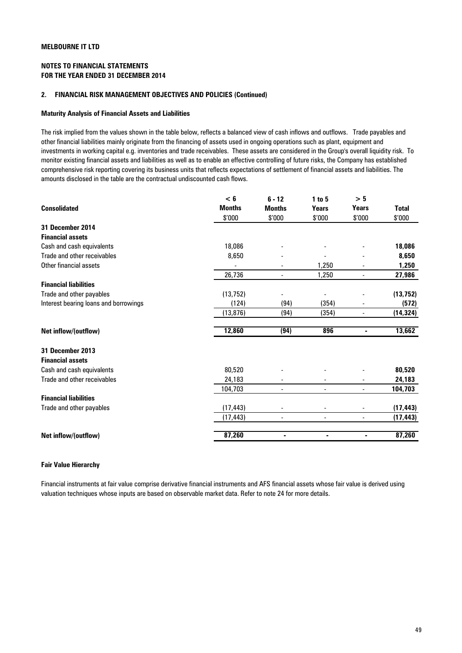# **2. FINANCIAL RISK MANAGEMENT OBJECTIVES AND POLICIES (Continued)**

### **Maturity Analysis of Financial Assets and Liabilities**

The risk implied from the values shown in the table below, reflects a balanced view of cash inflows and outflows. Trade payables and other financial liabilities mainly originate from the financing of assets used in ongoing operations such as plant, equipment and investments in working capital e.g. inventories and trade receivables. These assets are considered in the Group's overall liquidity risk. To monitor existing financial assets and liabilities as well as to enable an effective controlling of future risks, the Company has established comprehensive risk reporting covering its business units that reflects expectations of settlement of financial assets and liabilities. The amounts disclosed in the table are the contractual undiscounted cash flows.

|               |                          | $1$ to $5$               |                          |              |
|---------------|--------------------------|--------------------------|--------------------------|--------------|
| <b>Months</b> | <b>Months</b>            | Years                    | <b>Years</b>             | <b>Total</b> |
| \$'000        | \$'000                   | \$'000                   | \$'000                   | \$'000       |
|               |                          |                          |                          |              |
|               |                          |                          |                          |              |
| 18,086        |                          |                          |                          | 18,086       |
| 8,650         |                          |                          |                          | 8,650        |
|               |                          | 1,250                    |                          | 1,250        |
| 26,736        | $\overline{\phantom{a}}$ | 1,250                    | $\overline{\phantom{a}}$ | 27,986       |
|               |                          |                          |                          |              |
| (13, 752)     |                          |                          |                          | (13, 752)    |
| (124)         | (94)                     | (354)                    |                          | (572)        |
| (13, 876)     | (94)                     | (354)                    | $\overline{\phantom{m}}$ | (14, 324)    |
| 12,860        | (94)                     | 896                      | $\blacksquare$           | 13,662       |
|               |                          |                          |                          |              |
|               |                          |                          |                          |              |
| 80,520        |                          |                          |                          | 80,520       |
| 24,183        |                          |                          |                          | 24,183       |
| 104,703       | $\overline{\phantom{a}}$ | ÷,                       | ٠                        | 104,703      |
|               |                          |                          |                          |              |
| (17, 443)     |                          |                          |                          | (17, 443)    |
| (17, 443)     | $\overline{\phantom{a}}$ | $\overline{\phantom{m}}$ | $\overline{\phantom{a}}$ | (17, 443)    |
|               |                          |                          | $\blacksquare$           | 87,260       |
|               | < 6                      | $6 - 12$                 | 87,260<br>۰              | > 5          |

### **Fair Value Hierarchy**

Financial instruments at fair value comprise derivative financial instruments and AFS financial assets whose fair value is derived using valuation techniques whose inputs are based on observable market data. Refer to note 24 for more details.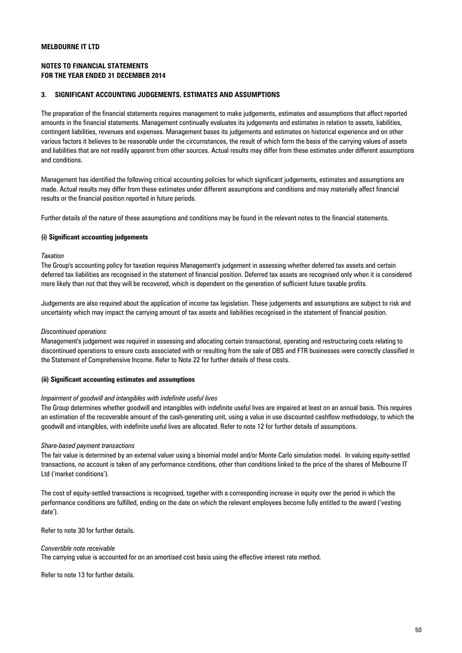# **3. SIGNIFICANT ACCOUNTING JUDGEMENTS, ESTIMATES AND ASSUMPTIONS**

The preparation of the financial statements requires management to make judgements, estimates and assumptions that affect reported amounts in the financial statements. Management continually evaluates its judgements and estimates in relation to assets, liabilities, contingent liabilities, revenues and expenses. Management bases its judgements and estimates on historical experience and on other various factors it believes to be reasonable under the circumstances, the result of which form the basis of the carrying values of assets and liabilities that are not readily apparent from other sources. Actual results may differ from these estimates under different assumptions and conditions.

Management has identified the following critical accounting policies for which significant judgements, estimates and assumptions are made. Actual results may differ from these estimates under different assumptions and conditions and may materially affect financial results or the financial position reported in future periods.

Further details of the nature of these assumptions and conditions may be found in the relevant notes to the financial statements.

### **(i) Significant accounting judgements**

### *Taxation*

The Group's accounting policy for taxation requires Management's judgement in assessing whether deferred tax assets and certain deferred tax liabilities are recognised in the statement of financial position. Deferred tax assets are recognised only when it is considered more likely than not that they will be recovered, which is dependent on the generation of sufficient future taxable profits.

Judgements are also required about the application of income tax legislation. These judgements and assumptions are subject to risk and uncertainty which may impact the carrying amount of tax assets and liabilities recognised in the statement of financial position.

### *Discontinued operations*

Management's judgement was required in assessing and allocating certain transactional, operating and restructuring costs relating to discontinued operations to ensure costs associated with or resulting from the sale of DBS and FTR businesses were correctly classified in the Statement of Comprehensive Income. Refer to Note 22 for further details of these costs.

### **(ii) Significant accounting estimates and assumptions**

### *Impairment of goodwill and intangibles with indefinite useful lives*

The Group determines whether goodwill and intangibles with indefinite useful lives are impaired at least on an annual basis. This requires an estimation of the recoverable amount of the cash-generating unit, using a value in use discounted cashflow methodology, to which the goodwill and intangibles, with indefinite useful lives are allocated. Refer to note 12 for further details of assumptions.

### *Share-based payment transactions*

The fair value is determined by an external valuer using a binomial model and/or Monte Carlo simulation model. In valuing equity-settled transactions, no account is taken of any performance conditions, other than conditions linked to the price of the shares of Melbourne IT Ltd ('market conditions').

The cost of equity-settled transactions is recognised, together with a corresponding increase in equity over the period in which the performance conditions are fulfilled, ending on the date on which the relevant employees become fully entitled to the award ('vesting date').

Refer to note 30 for further details.

### *Convertible note receivable*

The carrying value is accounted for on an amortised cost basis using the effective interest rate method.

Refer to note 13 for further details.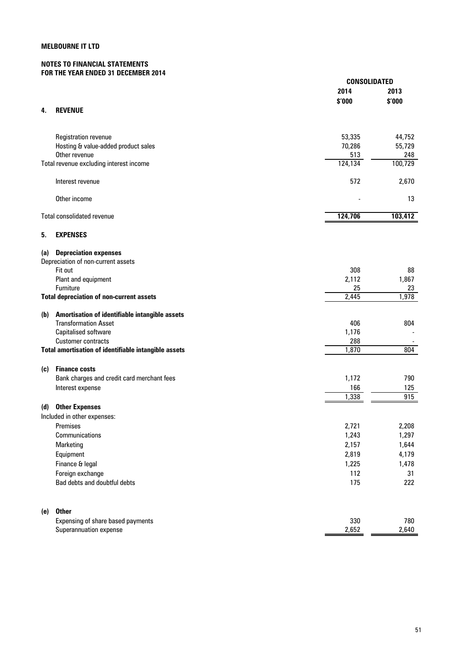# **NOTES TO FINANCIAL STATEMENTS FOR THE YEAR ENDED 31 DECEMBER 2014**

|     |                                                      | <b>CONSOLIDATED</b> |         |
|-----|------------------------------------------------------|---------------------|---------|
|     |                                                      | 2014                | 2013    |
|     |                                                      | \$'000              | \$'000  |
| 4.  | <b>REVENUE</b>                                       |                     |         |
|     |                                                      |                     |         |
|     |                                                      |                     |         |
|     | <b>Registration revenue</b>                          | 53,335              | 44,752  |
|     | Hosting & value-added product sales                  | 70,286              | 55,729  |
|     | Other revenue                                        | 513                 | 248     |
|     | Total revenue excluding interest income              | 124,134             | 100,729 |
|     | Interest revenue                                     | 572                 | 2,670   |
|     | Other income                                         |                     | 13      |
|     |                                                      |                     |         |
|     | <b>Total consolidated revenue</b>                    | 124,706             | 103,412 |
| 5.  | <b>EXPENSES</b>                                      |                     |         |
| (a) | <b>Depreciation expenses</b>                         |                     |         |
|     | Depreciation of non-current assets                   |                     |         |
|     | Fit out                                              | 308                 | 88      |
|     | Plant and equipment                                  | 2,112               | 1,867   |
|     | Furniture                                            | 25                  | 23      |
|     | <b>Total depreciation of non-current assets</b>      | 2,445               | 1,978   |
|     |                                                      |                     |         |
| (b) | Amortisation of identifiable intangible assets       |                     |         |
|     | <b>Transformation Asset</b>                          | 406                 | 804     |
|     | Capitalised software                                 | 1,176               |         |
|     | <b>Customer contracts</b>                            | 288                 |         |
|     | Total amortisation of identifiable intangible assets | 1,870               | 804     |
| (c) | <b>Finance costs</b>                                 |                     |         |
|     | Bank charges and credit card merchant fees           | 1,172               | 790     |
|     | Interest expense                                     | 166                 | 125     |
|     |                                                      | 1,338               | 915     |
| (d) | <b>Other Expenses</b>                                |                     |         |
|     | Included in other expenses:                          |                     |         |
|     | <b>Premises</b>                                      | 2,721               | 2,208   |
|     | Communications                                       | 1,243               | 1,297   |
|     | Marketing                                            | 2,157               | 1,644   |
|     | Equipment                                            | 2,819               | 4,179   |
|     |                                                      |                     |         |
|     | Finance & legal                                      | 1,225               | 1,478   |
|     | Foreign exchange                                     | 112                 | 31      |
|     | Bad debts and doubtful debts                         | 175                 | 222     |
| (e) | <b>Other</b>                                         |                     |         |
|     | Expensing of share based payments                    | 330                 | 780     |
|     | Superannuation expense                               | 2,652               | 2,640   |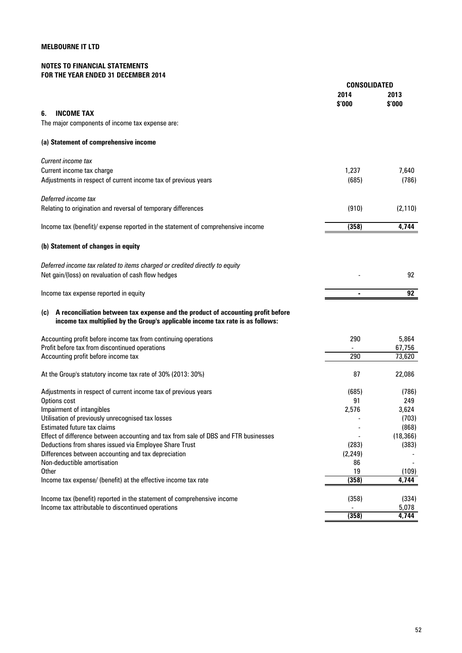|                                                                                                                                                                           | <b>CONSOLIDATED</b> |                |
|---------------------------------------------------------------------------------------------------------------------------------------------------------------------------|---------------------|----------------|
|                                                                                                                                                                           | 2014<br>\$'000      | 2013<br>\$'000 |
| 6.<br><b>INCOME TAX</b>                                                                                                                                                   |                     |                |
| The major components of income tax expense are:                                                                                                                           |                     |                |
| (a) Statement of comprehensive income                                                                                                                                     |                     |                |
| Current income tax                                                                                                                                                        |                     |                |
| Current income tax charge                                                                                                                                                 | 1,237               | 7,640          |
| Adjustments in respect of current income tax of previous years                                                                                                            | (685)               | (786)          |
| Deferred income tax                                                                                                                                                       |                     |                |
| Relating to origination and reversal of temporary differences                                                                                                             | (910)               | (2, 110)       |
| Income tax (benefit)/ expense reported in the statement of comprehensive income                                                                                           | (358)               | 4,744          |
| (b) Statement of changes in equity                                                                                                                                        |                     |                |
| Deferred income tax related to items charged or credited directly to equity<br>Net gain/(loss) on revaluation of cash flow hedges                                         |                     | 92             |
|                                                                                                                                                                           |                     | 92             |
| Income tax expense reported in equity                                                                                                                                     |                     |                |
| A reconciliation between tax expense and the product of accounting profit before<br>(c)<br>income tax multiplied by the Group's applicable income tax rate is as follows: |                     |                |
| Accounting profit before income tax from continuing operations                                                                                                            | 290                 | 5,864          |
| Profit before tax from discontinued operations                                                                                                                            |                     | 67,756         |
| Accounting profit before income tax                                                                                                                                       | 290                 | 73,620         |
| At the Group's statutory income tax rate of 30% (2013: 30%)                                                                                                               | 87                  | 22,086         |
| Adjustments in respect of current income tax of previous years                                                                                                            | (685)               | (786)          |
| Options cost                                                                                                                                                              | 91                  | 249            |
| Impairment of intangibles                                                                                                                                                 | 2,576               | 3,624          |
| Utilisation of previously unrecognised tax losses                                                                                                                         |                     | (703)          |
| Estimated future tax claims                                                                                                                                               |                     | (868)          |
| Effect of difference between accounting and tax from sale of DBS and FTR businesses                                                                                       |                     | (18, 366)      |
| Deductions from shares issued via Employee Share Trust                                                                                                                    | (283)               | (383)          |
| Differences between accounting and tax depreciation<br>Non-deductible amortisation                                                                                        | (2, 249)<br>86      |                |
| <b>Other</b>                                                                                                                                                              | 19                  | (109)          |
| Income tax expense/ (benefit) at the effective income tax rate                                                                                                            | (358)               | 4,744          |
|                                                                                                                                                                           |                     |                |
| Income tax (benefit) reported in the statement of comprehensive income                                                                                                    | (358)               | (334)          |
| Income tax attributable to discontinued operations                                                                                                                        |                     | 5,078          |
|                                                                                                                                                                           | (358)               | 4,744          |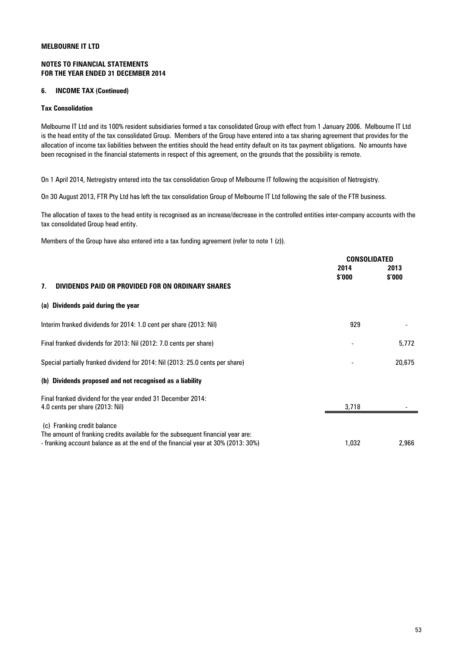# **NOTES TO FINANCIAL STATEMENTS FOR THE YEAR ENDED 31 DECEMBER 2014**

# **6. INCOME TAX (Continued)**

# **Tax Consolidation**

Melbourne IT Ltd and its 100% resident subsidiaries formed a tax consolidated Group with effect from 1 January 2006. Melbourne IT Ltd is the head entity of the tax consolidated Group. Members of the Group have entered into a tax sharing agreement that provides for the allocation of income tax liabilities between the entities should the head entity default on its tax payment obligations. No amounts have been recognised in the financial statements in respect of this agreement, on the grounds that the possibility is remote.

On 1 April 2014, Netregistry entered into the tax consolidation Group of Melbourne IT following the acquisition of Netregistry.

On 30 August 2013, FTR Pty Ltd has left the tax consolidation Group of Melbourne IT Ltd following the sale of the FTR business.

The allocation of taxes to the head entity is recognised as an increase/decrease in the controlled entities inter-company accounts with the tax consolidated Group head entity.

Members of the Group have also entered into a tax funding agreement (refer to note 1 (z)).

|                                                                                                                                                                                                     | <b>CONSOLIDATED</b> |                |
|-----------------------------------------------------------------------------------------------------------------------------------------------------------------------------------------------------|---------------------|----------------|
|                                                                                                                                                                                                     | 2014<br>\$'000      | 2013<br>\$'000 |
| 7.<br>DIVIDENDS PAID OR PROVIDED FOR ON ORDINARY SHARES                                                                                                                                             |                     |                |
| (a) Dividends paid during the year                                                                                                                                                                  |                     |                |
| Interim franked dividends for 2014: 1.0 cent per share (2013: Nil)                                                                                                                                  | 929                 |                |
| Final franked dividends for 2013: Nil (2012: 7.0 cents per share)                                                                                                                                   |                     | 5,772          |
| Special partially franked dividend for 2014: Nil (2013: 25.0 cents per share)                                                                                                                       |                     | 20,675         |
| (b) Dividends proposed and not recognised as a liability                                                                                                                                            |                     |                |
| Final franked dividend for the year ended 31 December 2014:<br>4.0 cents per share (2013: Nil)                                                                                                      | 3,718               |                |
| (c) Franking credit balance<br>The amount of franking credits available for the subsequent financial year are:<br>- franking account balance as at the end of the financial year at 30% (2013: 30%) | 1.032               | 2,966          |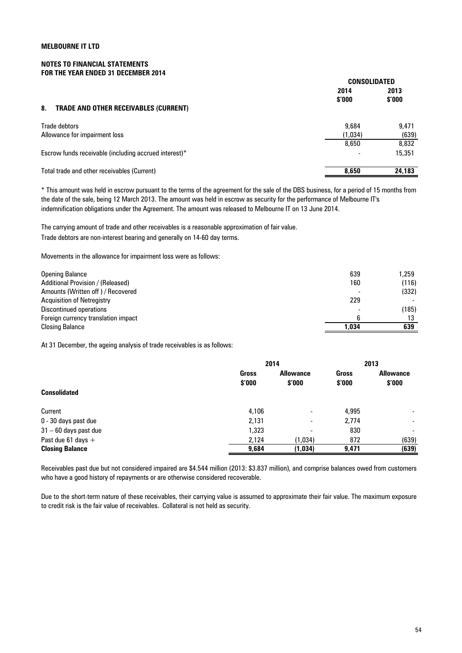|                                                       | <b>CONSOLIDATED</b> |                |
|-------------------------------------------------------|---------------------|----------------|
|                                                       | 2014<br>\$'000      | 2013<br>\$'000 |
| 8.<br><b>TRADE AND OTHER RECEIVABLES (CURRENT)</b>    |                     |                |
| Trade debtors                                         | 9,684               | 9,471          |
| Allowance for impairment loss                         | (1,034)             | (639)          |
|                                                       | 8,650               | 8,832          |
| Escrow funds receivable (including accrued interest)* |                     | 15,351         |
| Total trade and other receivables (Current)           | 8,650               | 24,183         |

\* This amount was held in escrow pursuant to the terms of the agreement for the sale of the DBS business, for a period of 15 months from the date of the sale, being 12 March 2013. The amount was held in escrow as security for the performance of Melbourne IT's indemnification obligations under the Agreement. The amount was released to Melbourne IT on 13 June 2014.

Trade debtors are non-interest bearing and generally on 14-60 day terms. The carrying amount of trade and other receivables is a reasonable approximation of fair value.

Movements in the allowance for impairment loss were as follows:

| Opening Balance                          | 639   | 1,259 |
|------------------------------------------|-------|-------|
| <b>Additional Provision / (Released)</b> | 160   | (116) |
| Amounts (Written off) / Recovered        |       | (332) |
| <b>Acquisition of Netregistry</b>        | 229   |       |
| Discontinued operations                  |       | (185) |
| Foreign currency translation impact      |       |       |
| <b>Closing Balance</b>                   | 1.034 | 639   |

At 31 December, the ageing analysis of trade receivables is as follows:

|                         | 2014            |                            | 2013            |                            |
|-------------------------|-----------------|----------------------------|-----------------|----------------------------|
|                         | Gross<br>\$'000 | <b>Allowance</b><br>\$'000 | Gross<br>\$'000 | <b>Allowance</b><br>\$'000 |
| <b>Consolidated</b>     |                 |                            |                 |                            |
| Current                 | 4,106           | $\overline{\phantom{a}}$   | 4,995           | ۰                          |
| 0 - 30 days past due    | 2,131           |                            | 2,774           |                            |
| $31 - 60$ days past due | 1,323           |                            | 830             | $\overline{\phantom{a}}$   |
| Past due $61$ days $+$  | 2,124           | (1,034)                    | 872             | (639)                      |
| <b>Closing Balance</b>  | 9,684           | (1,034)                    | 9,471           | (639)                      |

Receivables past due but not considered impaired are \$4.544 million (2013: \$3.837 million), and comprise balances owed from customers who have a good history of repayments or are otherwise considered recoverable.

Due to the short-term nature of these receivables, their carrying value is assumed to approximate their fair value. The maximum exposure to credit risk is the fair value of receivables. Collateral is not held as security.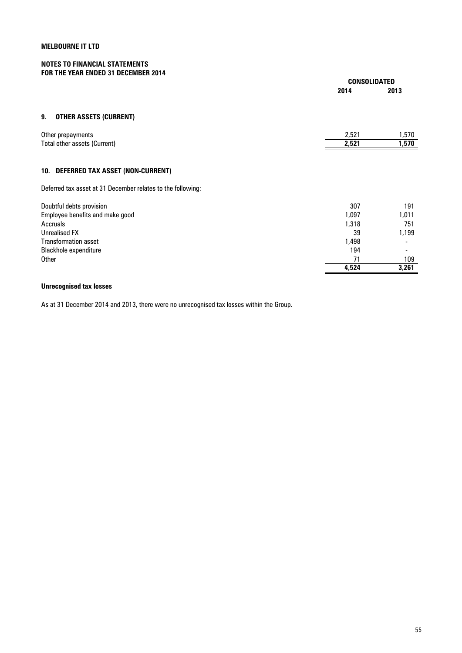|                                                             | <b>CONSOLIDATED</b> |                              |
|-------------------------------------------------------------|---------------------|------------------------------|
|                                                             | 2014                | 2013                         |
| <b>OTHER ASSETS (CURRENT)</b><br>9.                         |                     |                              |
|                                                             |                     |                              |
| Other prepayments                                           | 2,521               | 1,570                        |
| <b>Total other assets (Current)</b>                         | 2,521               | 1,570                        |
|                                                             |                     |                              |
| 10. DEFERRED TAX ASSET (NON-CURRENT)                        |                     |                              |
| Deferred tax asset at 31 December relates to the following: |                     |                              |
| Doubtful debts provision                                    | 307                 | 191                          |
| Employee benefits and make good                             | 1,097               | 1,011                        |
| <b>Accruals</b>                                             | 1,318               | 751                          |
| <b>Unrealised FX</b>                                        | 39                  | 1,199                        |
| <b>Transformation asset</b>                                 | 1,498               | $\overline{\phantom{0}}$     |
| Blackhole expenditure                                       | 194                 | $\qquad \qquad \blacksquare$ |
| <b>Other</b>                                                | 71                  | 109                          |
|                                                             | 4,524               | 3,261                        |

# **Unrecognised tax losses**

As at 31 December 2014 and 2013, there were no unrecognised tax losses within the Group.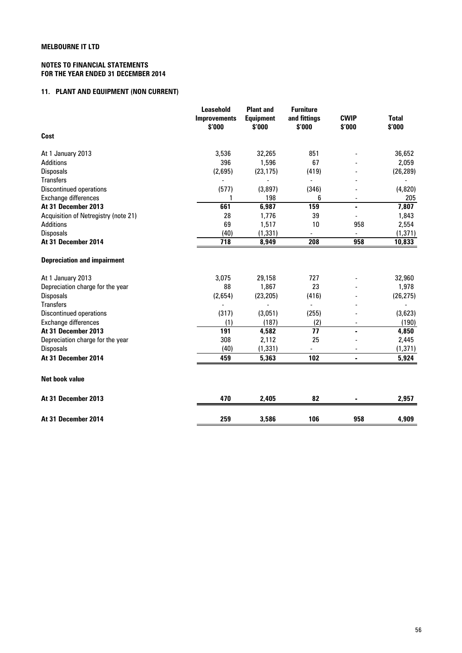# **11. PLANT AND EQUIPMENT (NON CURRENT)**

|                                      | <b>Leasehold</b><br><b>Improvements</b><br>\$'000 | <b>Plant and</b><br><b>Equipment</b><br>\$'000 | <b>Furniture</b><br>and fittings<br>\$'000 | <b>CWIP</b><br>\$'000 | <b>Total</b><br>\$'000 |
|--------------------------------------|---------------------------------------------------|------------------------------------------------|--------------------------------------------|-----------------------|------------------------|
| Cost                                 |                                                   |                                                |                                            |                       |                        |
| At 1 January 2013                    | 3,536                                             | 32,265                                         | 851                                        |                       | 36,652                 |
| <b>Additions</b>                     | 396                                               | 1,596                                          | 67                                         |                       | 2,059                  |
| Disposals                            | (2,695)                                           | (23, 175)                                      | (419)                                      |                       | (26, 289)              |
| <b>Transfers</b>                     |                                                   |                                                | $\overline{\phantom{a}}$                   |                       |                        |
| Discontinued operations              | (577)                                             | (3, 897)                                       | (346)                                      |                       | (4,820)                |
| Exchange differences                 |                                                   | 198                                            | 6                                          |                       | 205                    |
| At 31 December 2013                  | 661                                               | 6,987                                          | 159                                        | $\blacksquare$        | 7,807                  |
| Acquisition of Netregistry (note 21) | 28                                                | 1,776                                          | 39                                         |                       | 1,843                  |
| <b>Additions</b>                     | 69                                                | 1,517                                          | 10                                         | 958                   | 2,554                  |
| <b>Disposals</b>                     | (40)                                              | (1, 331)                                       |                                            |                       | (1, 371)               |
| At 31 December 2014                  | $\overline{718}$                                  | 8,949                                          | 208                                        | 958                   | 10,833                 |
| <b>Depreciation and impairment</b>   |                                                   |                                                |                                            |                       |                        |
| At 1 January 2013                    | 3,075                                             | 29,158                                         | 727                                        |                       | 32,960                 |
| Depreciation charge for the year     | 88                                                | 1,867                                          | 23                                         |                       | 1,978                  |
| <b>Disposals</b>                     | (2,654)                                           | (23, 205)                                      | (416)                                      |                       | (26, 275)              |
| <b>Transfers</b>                     |                                                   |                                                |                                            |                       |                        |
| Discontinued operations              | (317)                                             | (3,051)                                        | (255)                                      |                       | (3,623)                |
| Exchange differences                 | (1)                                               | (187)                                          | (2)                                        |                       | (190)                  |
| At 31 December 2013                  | 191                                               | 4,582                                          | 77                                         | $\blacksquare$        | 4,850                  |
| Depreciation charge for the year     | 308                                               | 2,112                                          | 25                                         |                       | 2,445                  |
| <b>Disposals</b>                     | (40)                                              | (1, 331)                                       |                                            |                       | (1, 371)               |
| At 31 December 2014                  | 459                                               | 5,363                                          | 102                                        | -                     | 5,924                  |
| Net book value                       |                                                   |                                                |                                            |                       |                        |
| At 31 December 2013                  | 470                                               | 2,405                                          | 82                                         |                       | 2,957                  |
| At 31 December 2014                  | 259                                               | 3,586                                          | 106                                        | 958                   | 4,909                  |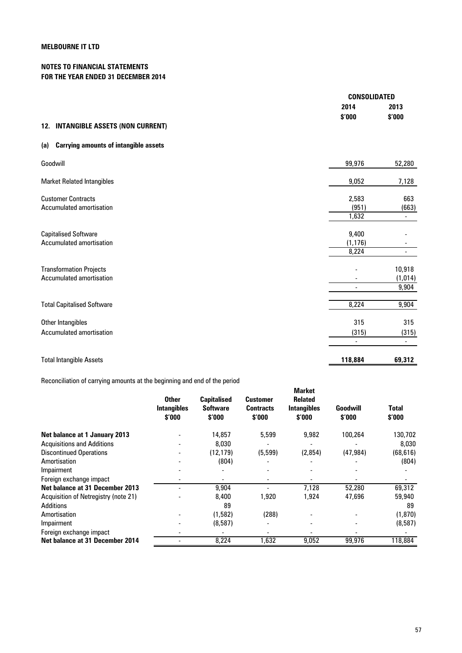# **NOTES TO FINANCIAL STATEMENTS FOR THE YEAR ENDED 31 DECEMBER 2014**

|                                                            | <b>CONSOLIDATED</b>                      |                                          |
|------------------------------------------------------------|------------------------------------------|------------------------------------------|
| 12. INTANGIBLE ASSETS (NON CURRENT)                        | 2014<br>\$'000                           | 2013<br>\$'000                           |
| <b>Carrying amounts of intangible assets</b><br>(a)        |                                          |                                          |
| Goodwill                                                   | 99,976                                   | 52,280                                   |
| <b>Market Related Intangibles</b>                          | 9,052                                    | 7,128                                    |
| <b>Customer Contracts</b><br>Accumulated amortisation      | 2,583<br>(951)<br>1,632                  | 663<br>(663)<br>$\overline{\phantom{a}}$ |
| <b>Capitalised Software</b><br>Accumulated amortisation    | 9,400<br>(1, 176)<br>8,224               | $\overline{\phantom{a}}$                 |
| <b>Transformation Projects</b><br>Accumulated amortisation |                                          | 10,918<br>(1, 014)<br>9,904              |
| <b>Total Capitalised Software</b>                          | 8,224                                    | 9,904                                    |
| Other Intangibles<br>Accumulated amortisation              | 315<br>(315)<br>$\overline{\phantom{a}}$ | 315<br>(315)<br>٠                        |
| <b>Total Intangible Assets</b>                             | 118,884                                  | 69,312                                   |

Reconciliation of carrying amounts at the beginning and end of the period

|                                      | <b>Other</b><br><b>Intangibles</b><br>\$'000 | <b>Capitalised</b><br><b>Software</b><br>\$'000 | <b>Customer</b><br><b>Contracts</b><br>\$'000 | <b>Market</b><br><b>Related</b><br><b>Intangibles</b><br>\$'000 | Goodwill<br>\$'000 | <b>Total</b><br>\$'000 |
|--------------------------------------|----------------------------------------------|-------------------------------------------------|-----------------------------------------------|-----------------------------------------------------------------|--------------------|------------------------|
| Net balance at 1 January 2013        |                                              | 14,857                                          | 5,599                                         | 9,982                                                           | 100,264            | 130,702                |
| <b>Acquisitions and Additions</b>    |                                              | 8,030                                           |                                               |                                                                 |                    | 8,030                  |
| <b>Discontinued Operations</b>       |                                              | (12, 179)                                       | (5, 599)                                      | (2,854)                                                         | (47, 984)          | (68, 616)              |
| Amortisation                         |                                              | (804)                                           |                                               |                                                                 |                    | (804)                  |
| Impairment                           |                                              |                                                 |                                               |                                                                 |                    |                        |
| Foreign exchange impact              |                                              |                                                 |                                               |                                                                 |                    |                        |
| Net balance at 31 December 2013      |                                              | 9.904                                           |                                               | 7.128                                                           | 52,280             | 69,312                 |
| Acquisition of Netregistry (note 21) |                                              | 8,400                                           | 1,920                                         | 1,924                                                           | 47,696             | 59,940                 |
| <b>Additions</b>                     |                                              | 89                                              |                                               |                                                                 |                    | 89                     |
| Amortisation                         |                                              | (1, 582)                                        | (288)                                         |                                                                 |                    | (1, 870)               |
| Impairment                           |                                              | (8,587)                                         |                                               |                                                                 |                    | (8, 587)               |
| Foreign exchange impact              |                                              |                                                 |                                               |                                                                 |                    |                        |
| Net balance at 31 December 2014      |                                              | 8,224                                           | 1,632                                         | 9,052                                                           | 99,976             | 118,884                |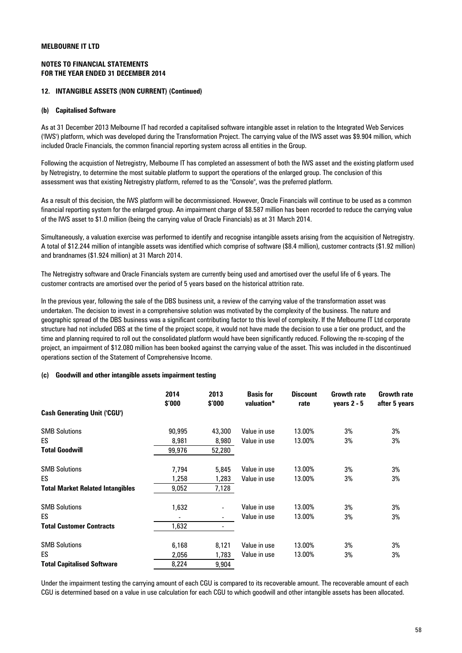# **12. INTANGIBLE ASSETS (NON CURRENT) (Continued)**

# **(b) Capitalised Software**

As at 31 December 2013 Melbourne IT had recorded a capitalised software intangible asset in relation to the Integrated Web Services ('IWS') platform, which was developed during the Transformation Project. The carrying value of the IWS asset was \$9.904 million, which included Oracle Financials, the common financial reporting system across all entities in the Group.

Following the acquistion of Netregistry, Melbourne IT has completed an assessment of both the IWS asset and the existing platform used by Netregistry, to determine the most suitable platform to support the operations of the enlarged group. The conclusion of this assessment was that existing Netregistry platform, referred to as the "Console", was the preferred platform.

As a result of this decision, the IWS platform will be decommissioned. However, Oracle Financials will continue to be used as a common financial reporting system for the enlarged group. An impairment charge of \$8.587 million has been recorded to reduce the carrying value of the IWS asset to \$1.0 million (being the carrying value of Oracle Financials) as at 31 March 2014.

Simultaneously, a valuation exercise was performed to identify and recognise intangible assets arising from the acquisition of Netregistry. A total of \$12.244 million of intangible assets was identified which comprise of software (\$8.4 million), customer contracts (\$1.92 million) and brandnames (\$1.924 million) at 31 March 2014.

The Netregistry software and Oracle Financials system are currently being used and amortised over the useful life of 6 years. The customer contracts are amortised over the period of 5 years based on the historical attrition rate.

In the previous year, following the sale of the DBS business unit, a review of the carrying value of the transformation asset was undertaken. The decision to invest in a comprehensive solution was motivated by the complexity of the business. The nature and geographic spread of the DBS business was a significant contributing factor to this level of complexity. If the Melbourne IT Ltd corporate structure had not included DBS at the time of the project scope, it would not have made the decision to use a tier one product, and the time and planning required to roll out the consolidated platform would have been significantly reduced. Following the re-scoping of the project, an impairment of \$12.080 million has been booked against the carrying value of the asset. This was included in the discontinued operations section of the Statement of Comprehensive Income.

### **(c) Goodwill and other intangible assets impairment testing**

|                                         | 2014<br>\$'000 | 2013<br>\$'000           | <b>Basis for</b><br>valuation* | <b>Discount</b><br>rate | <b>Growth rate</b><br>$years 2 - 5$ | <b>Growth rate</b><br>after 5 years |
|-----------------------------------------|----------------|--------------------------|--------------------------------|-------------------------|-------------------------------------|-------------------------------------|
| <b>Cash Generating Unit ('CGU')</b>     |                |                          |                                |                         |                                     |                                     |
| <b>SMB Solutions</b>                    | 90,995         | 43,300                   | Value in use                   | 13.00%                  | 3%                                  | 3%                                  |
| ES                                      | 8,981          | 8,980                    | Value in use                   | 13.00%                  | 3%                                  | 3%                                  |
| <b>Total Goodwill</b>                   | 99,976         | 52,280                   |                                |                         |                                     |                                     |
| <b>SMB Solutions</b>                    | 7,794          | 5,845                    | Value in use                   | 13.00%                  | 3%                                  | 3%                                  |
| ES                                      | 1,258          | 1,283                    | Value in use                   | 13.00%                  | 3%                                  | 3%                                  |
| <b>Total Market Related Intangibles</b> | 9,052          | 7,128                    |                                |                         |                                     |                                     |
| <b>SMB Solutions</b>                    | 1,632          |                          | Value in use                   | 13.00%                  | 3%                                  | 3%                                  |
| ES                                      |                | $\overline{\phantom{a}}$ | Value in use                   | 13.00%                  | 3%                                  | 3%                                  |
| <b>Total Customer Contracts</b>         | 1,632          |                          |                                |                         |                                     |                                     |
| <b>SMB Solutions</b>                    | 6,168          | 8,121                    | Value in use                   | 13.00%                  | 3%                                  | 3%                                  |
| ES.                                     | 2,056          | 1,783                    | Value in use                   | 13.00%                  | 3%                                  | 3%                                  |
| <b>Total Capitalised Software</b>       | 8,224          | 9,904                    |                                |                         |                                     |                                     |

Under the impairment testing the carrying amount of each CGU is compared to its recoverable amount. The recoverable amount of each CGU is determined based on a value in use calculation for each CGU to which goodwill and other intangible assets has been allocated.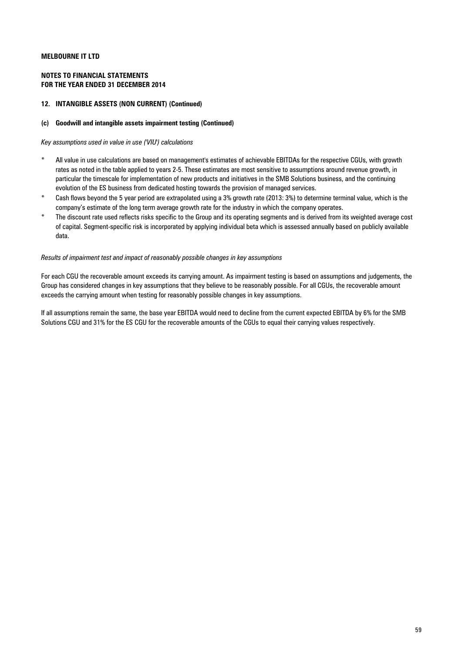# **NOTES TO FINANCIAL STATEMENTS FOR THE YEAR ENDED 31 DECEMBER 2014**

# **12. INTANGIBLE ASSETS (NON CURRENT) (Continued)**

# **(c) Goodwill and intangible assets impairment testing (Continued)**

*Key assumptions used in value in use ('VIU') calculations*

- \* All value in use calculations are based on management's estimates of achievable EBITDAs for the respective CGUs, with growth rates as noted in the table applied to years 2-5. These estimates are most sensitive to assumptions around revenue growth, in particular the timescale for implementation of new products and initiatives in the SMB Solutions business, and the continuing evolution of the ES business from dedicated hosting towards the provision of managed services.
- \* Cash flows beyond the 5 year period are extrapolated using a 3% growth rate (2013: 3%) to determine terminal value, which is the company's estimate of the long term average growth rate for the industry in which the company operates.
- \* The discount rate used reflects risks specific to the Group and its operating segments and is derived from its weighted average cost of capital. Segment-specific risk is incorporated by applying individual beta which is assessed annually based on publicly available data.

### *Results of impairment test and impact of reasonably possible changes in key assumptions*

For each CGU the recoverable amount exceeds its carrying amount. As impairment testing is based on assumptions and judgements, the Group has considered changes in key assumptions that they believe to be reasonably possible. For all CGUs, the recoverable amount exceeds the carrying amount when testing for reasonably possible changes in key assumptions.

If all assumptions remain the same, the base year EBITDA would need to decline from the current expected EBITDA by 6% for the SMB Solutions CGU and 31% for the ES CGU for the recoverable amounts of the CGUs to equal their carrying values respectively.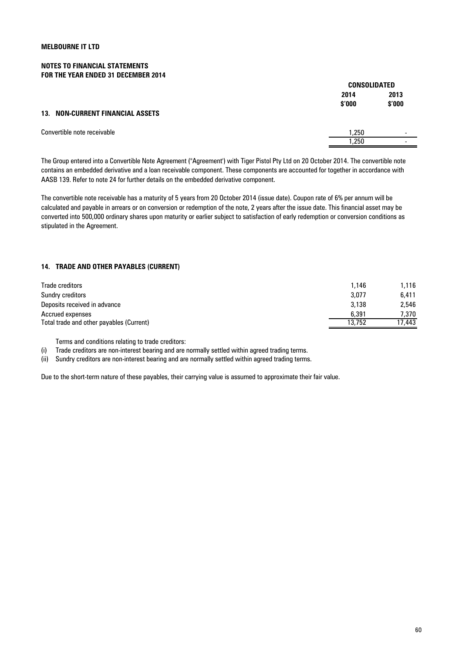|                                  | <b>CONSOLIDATED</b> |                          |
|----------------------------------|---------------------|--------------------------|
|                                  | 2014                | 2013                     |
|                                  | \$'000              | \$'000                   |
| 13. NON-CURRENT FINANCIAL ASSETS |                     |                          |
| Convertible note receivable      | 1.250               | $\overline{\phantom{0}}$ |
|                                  | 1,250               | $\overline{\phantom{0}}$ |

The Group entered into a Convertible Note Agreement ("Agreement') with Tiger Pistol Pty Ltd on 20 October 2014. The convertible note contains an embedded derivative and a loan receivable component. These components are accounted for together in accordance with AASB 139. Refer to note 24 for further details on the embedded derivative component.

The convertible note receivable has a maturity of 5 years from 20 October 2014 (issue date). Coupon rate of 6% per annum will be calculated and payable in arrears or on conversion or redemption of the note, 2 years after the issue date. This financial asset may be converted into 500,000 ordinary shares upon maturity or earlier subject to satisfaction of early redemption or conversion conditions as stipulated in the Agreement.

# **14. TRADE AND OTHER PAYABLES (CURRENT)**

| 1.146  | 1.116  |
|--------|--------|
| 3.077  | 6.411  |
| 3.138  | 2,546  |
| 6.391  | 7.370  |
| 13.752 | 17.443 |
|        |        |

Terms and conditions relating to trade creditors:

(i) Trade creditors are non-interest bearing and are normally settled within agreed trading terms.

(ii) Sundry creditors are non-interest bearing and are normally settled within agreed trading terms.

Due to the short-term nature of these payables, their carrying value is assumed to approximate their fair value.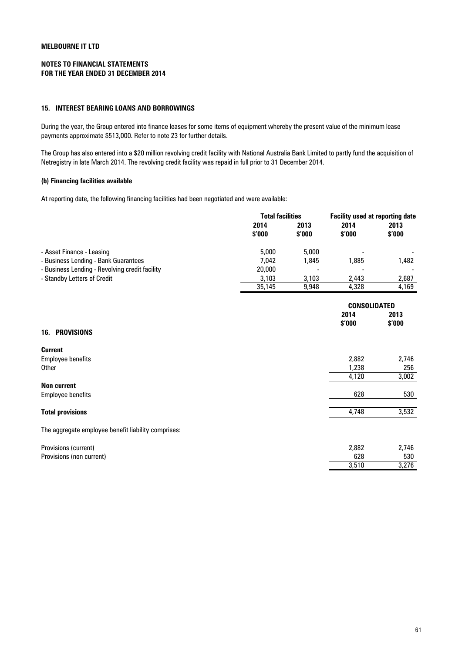# **15. INTEREST BEARING LOANS AND BORROWINGS**

During the year, the Group entered into finance leases for some items of equipment whereby the present value of the minimum lease payments approximate \$513,000. Refer to note 23 for further details.

The Group has also entered into a \$20 million revolving credit facility with National Australia Bank Limited to partly fund the acquisition of Netregistry in late March 2014. The revolving credit facility was repaid in full prior to 31 December 2014.

# **(b) Financing facilities available**

At reporting date, the following financing facilities had been negotiated and were available:

|                                                     | <b>Total facilities</b> |                | <b>Facility used at reporting date</b> |                |
|-----------------------------------------------------|-------------------------|----------------|----------------------------------------|----------------|
|                                                     | 2014<br>\$'000          | 2013<br>\$'000 | 2014<br>\$'000                         | 2013<br>\$'000 |
| - Asset Finance - Leasing                           | 5,000                   | 5,000          |                                        |                |
| - Business Lending - Bank Guarantees                | 7,042                   | 1,845          | 1,885                                  | 1,482          |
| - Business Lending - Revolving credit facility      | 20,000                  |                |                                        |                |
| - Standby Letters of Credit                         | 3,103                   | 3,103          | 2,443                                  | 2,687          |
|                                                     | 35,145                  | 9,948          | 4,328                                  | 4,169          |
|                                                     |                         |                | <b>CONSOLIDATED</b>                    |                |
|                                                     |                         |                | 2014<br>\$'000                         | 2013<br>\$'000 |
| 16. PROVISIONS                                      |                         |                |                                        |                |
| <b>Current</b>                                      |                         |                |                                        |                |
| <b>Employee benefits</b>                            |                         |                | 2,882                                  | 2,746          |
| <b>Other</b>                                        |                         |                | 1,238                                  | 256            |
|                                                     |                         |                | 4,120                                  | 3,002          |
| <b>Non current</b>                                  |                         |                |                                        |                |
| Employee benefits                                   |                         |                | 628                                    | 530            |
| <b>Total provisions</b>                             |                         |                | 4,748                                  | 3,532          |
| The aggregate employee benefit liability comprises: |                         |                |                                        |                |
| Provisions (current)                                |                         |                | 2,882                                  | 2,746          |
| Provisions (non current)                            |                         |                | 628                                    | 530            |
|                                                     |                         |                | 3,510                                  | 3,276          |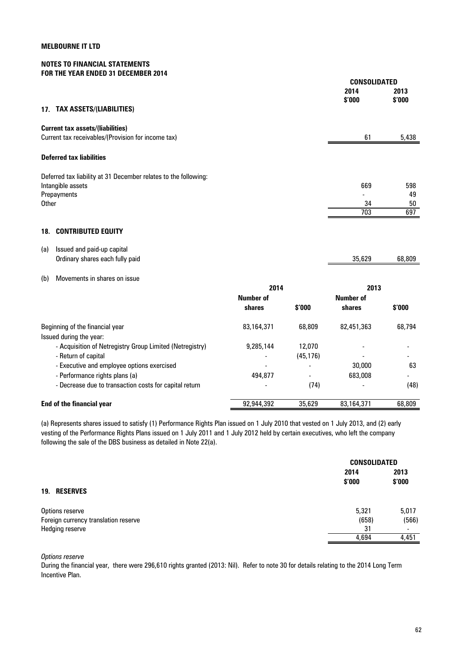# **NOTES TO FINANCIAL STATEMENTS FOR THE YEAR ENDED 31 DECEMBER 2014**

|              |                                                                 |                  |           | <b>CONSOLIDATED</b> |                |
|--------------|-----------------------------------------------------------------|------------------|-----------|---------------------|----------------|
|              |                                                                 |                  |           | 2014<br>\$'000      | 2013<br>\$'000 |
|              | 17. TAX ASSETS/(LIABILITIES)                                    |                  |           |                     |                |
|              | <b>Current tax assets/(liabilities)</b>                         |                  |           |                     |                |
|              | Current tax receivables/(Provision for income tax)              |                  |           | 61                  | 5,438          |
|              | <b>Deferred tax liabilities</b>                                 |                  |           |                     |                |
|              | Deferred tax liability at 31 December relates to the following: |                  |           |                     |                |
|              | Intangible assets                                               |                  |           | 669                 | 598            |
|              | Prepayments                                                     |                  |           |                     | 49             |
| <b>Other</b> |                                                                 |                  |           | 34<br>703           | 50<br>697      |
|              |                                                                 |                  |           |                     |                |
| 18.          | <b>CONTRIBUTED EQUITY</b>                                       |                  |           |                     |                |
| (a)          | Issued and paid-up capital                                      |                  |           |                     |                |
|              | Ordinary shares each fully paid                                 |                  |           | 35,629              | 68,809         |
| (b)          | Movements in shares on issue                                    |                  |           |                     |                |
|              |                                                                 | 2014             |           | 2013                |                |
|              |                                                                 | <b>Number of</b> |           | <b>Number of</b>    |                |
|              |                                                                 | shares           | \$'000    | shares              | \$'000         |
|              | Beginning of the financial year                                 | 83,164,371       | 68,809    | 82,451,363          | 68,794         |
|              | Issued during the year:                                         |                  |           |                     |                |
|              | - Acquisition of Netregistry Group Limited (Netregistry)        | 9,285,144        | 12,070    |                     |                |
|              | - Return of capital                                             |                  | (45, 176) |                     |                |
|              | - Executive and employee options exercised                      |                  |           | 30,000              | 63             |
|              | - Performance rights plans (a)                                  | 494,877          |           | 683,008             |                |
|              | - Decrease due to transaction costs for capital return          |                  | (74)      |                     | (48)           |
|              | <b>End of the financial year</b>                                | 92,944,392       | 35,629    | 83,164,371          | 68,809         |

(a) Represents shares issued to satisfy (1) Performance Rights Plan issued on 1 July 2010 that vested on 1 July 2013, and (2) early vesting of the Performance Rights Plans issued on 1 July 2011 and 1 July 2012 held by certain executives, who left the company following the sale of the DBS business as detailed in Note 22(a).

|                                      |                | <b>CONSOLIDATED</b> |  |
|--------------------------------------|----------------|---------------------|--|
|                                      | 2014<br>\$'000 | 2013<br>\$'000      |  |
| <b>RESERVES</b><br>19.               |                |                     |  |
| Options reserve                      | 5,321          | 5,017               |  |
| Foreign currency translation reserve | (658)          | (566)               |  |
| Hedging reserve                      | 31             | $\blacksquare$      |  |
|                                      | 4,694          | 4,451               |  |
|                                      |                |                     |  |

*Options reserve*

During the financial year, there were 296,610 rights granted (2013: Nil). Refer to note 30 for details relating to the 2014 Long Term Incentive Plan.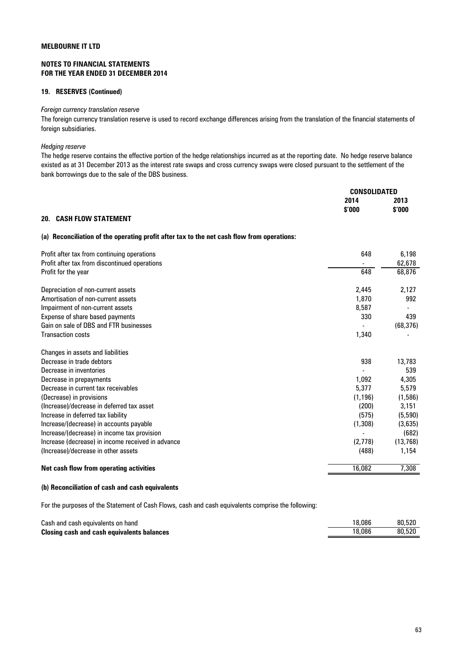# **NOTES TO FINANCIAL STATEMENTS FOR THE YEAR ENDED 31 DECEMBER 2014**

# **19. RESERVES (Continued)**

# *Foreign currency translation reserve*

The foreign currency translation reserve is used to record exchange differences arising from the translation of the financial statements of foreign subsidiaries.

*Hedging reserve*

The hedge reserve contains the effective portion of the hedge relationships incurred as at the reporting date. No hedge reserve balance existed as at 31 December 2013 as the interest rate swaps and cross currency swaps were closed pursuant to the settlement of the bank borrowings due to the sale of the DBS business.

|                                |        | <b>CONSOLIDATED</b> |  |
|--------------------------------|--------|---------------------|--|
|                                | 2014   | 2013                |  |
|                                | \$'000 | \$'000              |  |
| <b>20. CASH FLOW STATEMENT</b> |        |                     |  |

# **(a) Reconciliation of the operating profit after tax to the net cash flow from operations:**

| Profit after tax from continuing operations       | 648      | 6,198     |
|---------------------------------------------------|----------|-----------|
| Profit after tax from discontinued operations     |          | 62,678    |
| Profit for the year                               | 648      | 68,876    |
| Depreciation of non-current assets                | 2,445    | 2,127     |
| Amortisation of non-current assets                | 1,870    | 992       |
| Impairment of non-current assets                  | 8,587    |           |
| Expense of share based payments                   | 330      | 439       |
| Gain on sale of DBS and FTR businesses            |          | (68, 376) |
| <b>Transaction costs</b>                          | 1,340    |           |
| Changes in assets and liabilities                 |          |           |
| Decrease in trade debtors                         | 938      | 13,783    |
| Decrease in inventories                           |          | 539       |
| Decrease in prepayments                           | 1,092    | 4,305     |
| Decrease in current tax receivables               | 5,377    | 5,579     |
| (Decrease) in provisions                          | (1, 196) | (1, 586)  |
| (Increase)/decrease in deferred tax asset         | (200)    | 3,151     |
| Increase in deferred tax liability                | (575)    | (5,590)   |
| Increase/(decrease) in accounts payable           | (1, 308) | (3,635)   |
| Increase/(decrease) in income tax provision       |          | (682)     |
| Increase (decrease) in income received in advance | (2,778)  | (13, 768) |
| (Increase)/decrease in other assets               | (488)    | 1,154     |
| Net cash flow from operating activities           | 16,082   | 7,308     |

### **(b) Reconciliation of cash and cash equivalents**

For the purposes of the Statement of Cash Flows, cash and cash equivalents comprise the following:

| Cash and cash equivalents on hand                 | 18.086 | 80,520 |
|---------------------------------------------------|--------|--------|
| <b>Closing cash and cash equivalents balances</b> | 18.086 | 80.520 |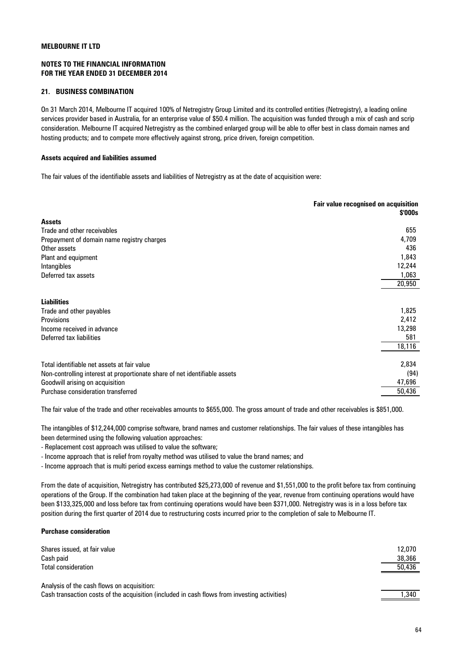# **NOTES TO THE FINANCIAL INFORMATION FOR THE YEAR ENDED 31 DECEMBER 2014**

# **21. BUSINESS COMBINATION**

On 31 March 2014, Melbourne IT acquired 100% of Netregistry Group Limited and its controlled entities (Netregistry), a leading online services provider based in Australia, for an enterprise value of \$50.4 million. The acquisition was funded through a mix of cash and scrip consideration. Melbourne IT acquired Netregistry as the combined enlarged group will be able to offer best in class domain names and hosting products; and to compete more effectively against strong, price driven, foreign competition.

# **Assets acquired and liabilities assumed**

The fair values of the identifiable assets and liabilities of Netregistry as at the date of acquisition were:

|                                                                            | Fair value recognised on acquisition<br>\$'000s |
|----------------------------------------------------------------------------|-------------------------------------------------|
| <b>Assets</b>                                                              |                                                 |
| Trade and other receivables                                                | 655                                             |
| Prepayment of domain name registry charges                                 | 4,709                                           |
| Other assets                                                               | 436                                             |
| Plant and equipment                                                        | 1,843                                           |
| Intangibles                                                                | 12,244                                          |
| Deferred tax assets                                                        | 1,063                                           |
|                                                                            | 20,950                                          |
| <b>Liabilities</b>                                                         |                                                 |
| Trade and other payables                                                   | 1,825                                           |
| <b>Provisions</b>                                                          | 2,412                                           |
| Income received in advance                                                 | 13,298                                          |
| Deferred tax liabilities                                                   | 581                                             |
|                                                                            | 18,116                                          |
| Total identifiable net assets at fair value                                | 2,834                                           |
| Non-controlling interest at proportionate share of net identifiable assets | (94)                                            |
| Goodwill arising on acquisition                                            | 47,696                                          |
| Purchase consideration transferred                                         | 50,436                                          |

The fair value of the trade and other receivables amounts to \$655,000. The gross amount of trade and other receivables is \$851,000.

The intangibles of \$12,244,000 comprise software, brand names and customer relationships. The fair values of these intangibles has been determined using the following valuation approaches:

- Replacement cost approach was utilised to value the software;

- Income approach that is relief from royalty method was utilised to value the brand names; and

- Income approach that is multi period excess earnings method to value the customer relationships.

From the date of acquisition, Netregistry has contributed \$25,273,000 of revenue and \$1,551,000 to the profit before tax from continuing operations of the Group. If the combination had taken place at the beginning of the year, revenue from continuing operations would have been \$133,325,000 and loss before tax from continuing operations would have been \$371,000. Netregistry was is in a loss before tax position during the first quarter of 2014 due to restructuring costs incurred prior to the completion of sale to Melbourne IT.

### **Purchase consideration**

| Shares issued, at fair value                                                                 | 12,070 |
|----------------------------------------------------------------------------------------------|--------|
| Cash paid                                                                                    | 38,366 |
| <b>Total consideration</b>                                                                   | 50,436 |
| Analysis of the cash flows on acquisition:                                                   |        |
| Cash transaction costs of the acquisition (included in cash flows from investing activities) | 1.340  |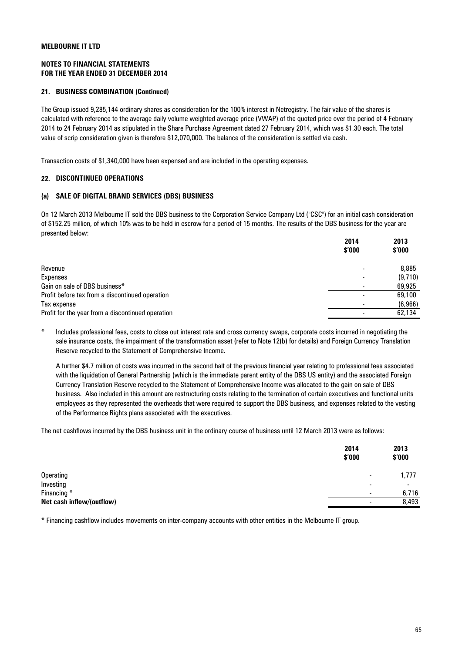# **21. BUSINESS COMBINATION (Continued)**

The Group issued 9,285,144 ordinary shares as consideration for the 100% interest in Netregistry. The fair value of the shares is calculated with reference to the average daily volume weighted average price (VWAP) of the quoted price over the period of 4 February 2014 to 24 February 2014 as stipulated in the Share Purchase Agreement dated 27 February 2014, which was \$1.30 each. The total value of scrip consideration given is therefore \$12,070,000. The balance of the consideration is settled via cash.

Transaction costs of \$1,340,000 have been expensed and are included in the operating expenses.

# **22. DISCONTINUED OPERATIONS**

# **(a) SALE OF DIGITAL BRAND SERVICES (DBS) BUSINESS**

On 12 March 2013 Melbourne IT sold the DBS business to the Corporation Service Company Ltd ("CSC") for an initial cash consideration of \$152.25 million, of which 10% was to be held in escrow for a period of 15 months. The results of the DBS business for the year are presented below:

|                                                   | 2014<br>\$'000 | 2013<br>\$'000 |
|---------------------------------------------------|----------------|----------------|
|                                                   |                |                |
| Revenue                                           |                | 8,885          |
| <b>Expenses</b>                                   |                | (9,710)        |
| Gain on sale of DBS business*                     |                | 69,925         |
| Profit before tax from a discontinued operation   |                | 69,100         |
| Tax expense                                       |                | (6,966)        |
| Profit for the year from a discontinued operation |                | 62,134         |

\* Includes professional fees, costs to close out interest rate and cross currency swaps, corporate costs incurred in negotiating the sale insurance costs, the impairment of the transformation asset (refer to Note 12(b) for details) and Foreign Currency Translation Reserve recycled to the Statement of Comprehensive Income.

A further \$4.7 million of costs was incurred in the second half of the previous financial year relating to professional fees associated with the liquidation of General Partnership (which is the immediate parent entity of the DBS US entity) and the associated Foreign Currency Translation Reserve recycled to the Statement of Comprehensive Income was allocated to the gain on sale of DBS business. Also included in this amount are restructuring costs relating to the termination of certain executives and functional units employees as they represented the overheads that were required to support the DBS business, and expenses related to the vesting of the Performance Rights plans associated with the executives.

The net cashflows incurred by the DBS business unit in the ordinary course of business until 12 March 2013 were as follows:

|                           | 2014<br>\$'000           | 2013<br>\$'000 |
|---------------------------|--------------------------|----------------|
| Operating                 | $\overline{\phantom{a}}$ | 1,777          |
| Investing                 | -                        | $\blacksquare$ |
| Financing *               | -                        | 6,716          |
| Net cash inflow/(outflow) |                          | 8,493          |

\* Financing cashflow includes movements on inter-company accounts with other entities in the Melbourne IT group.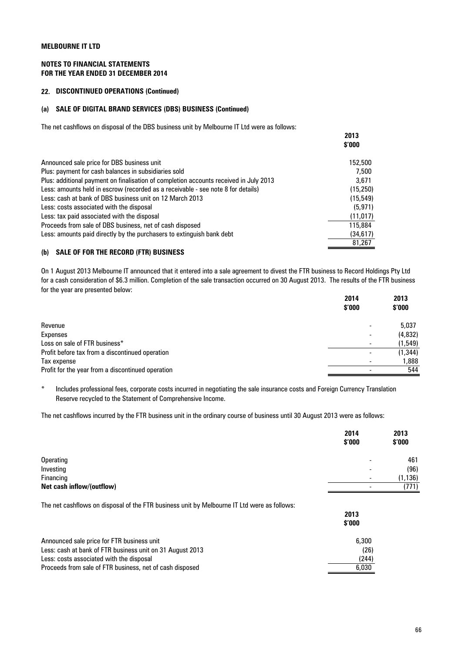# **NOTES TO FINANCIAL STATEMENTS FOR THE YEAR ENDED 31 DECEMBER 2014**

# **22. DISCONTINUED OPERATIONS (Continued)**

# **(a) SALE OF DIGITAL BRAND SERVICES (DBS) BUSINESS (Continued)**

The net cashflows on disposal of the DBS business unit by Melbourne IT Ltd were as follows:

|                                                                                       | 20 I J<br>\$'000 |
|---------------------------------------------------------------------------------------|------------------|
| Announced sale price for DBS business unit                                            | 152,500          |
| Plus: payment for cash balances in subsidiaries sold                                  | 7,500            |
| Plus: additional payment on finalisation of completion accounts received in July 2013 | 3.671            |
| Less: amounts held in escrow (recorded as a receivable - see note 8 for details)      | (15, 250)        |
| Less: cash at bank of DBS business unit on 12 March 2013                              | (15, 549)        |
| Less: costs associated with the disposal                                              | (5.971)          |
| Less: tax paid associated with the disposal                                           | (11, 017)        |
| Proceeds from sale of DBS business, net of cash disposed                              | 115,884          |
| Less: amounts paid directly by the purchasers to extinguish bank debt                 | (34, 617)        |
|                                                                                       | 81,267           |

# **(b) SALE OF FOR THE RECORD (FTR) BUSINESS**

On 1 August 2013 Melbourne IT announced that it entered into a sale agreement to divest the FTR business to Record Holdings Pty Ltd for a cash consideration of \$6.3 million. Completion of the sale transaction occurred on 30 August 2013. The results of the FTR business for the year are presented below:

**2013**

|                                                   | 2014   | 2013<br>\$'000 |
|---------------------------------------------------|--------|----------------|
|                                                   | \$'000 |                |
| Revenue                                           |        | 5,037          |
| <b>Expenses</b>                                   |        | (4,832)        |
| Loss on sale of FTR business*                     |        | (1, 549)       |
| Profit before tax from a discontinued operation   |        | (1, 344)       |
| Tax expense                                       |        | 1,888          |
| Profit for the year from a discontinued operation |        | 544            |

\* Includes professional fees, corporate costs incurred in negotiating the sale insurance costs and Foreign Currency Translation Reserve recycled to the Statement of Comprehensive Income.

The net cashflows incurred by the FTR business unit in the ordinary course of business until 30 August 2013 were as follows:

|                                                                                             | 2014<br>\$'000 | 2013<br>\$'000 |
|---------------------------------------------------------------------------------------------|----------------|----------------|
| <b>Operating</b>                                                                            |                | 461            |
| Investing                                                                                   | -              | (96)           |
| Financing                                                                                   |                | (1,136)        |
| Net cash inflow/(outflow)                                                                   |                | (771)          |
| The net cashflows on disposal of the FTR business unit by Melbourne IT Ltd were as follows: | 2013           |                |

| \$'000 |
|--------|
| 6,300  |
| (26)   |
| (244)  |
| 6,030  |
|        |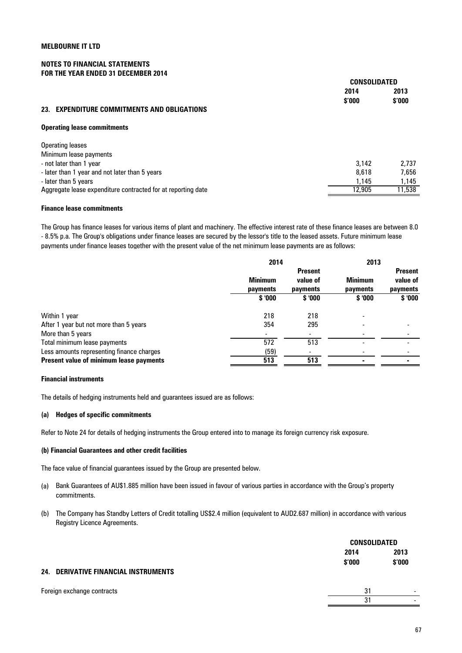|                                                              | <b>CONSOLIDATED</b> |        |
|--------------------------------------------------------------|---------------------|--------|
|                                                              | 2014                | 2013   |
|                                                              | \$'000              | \$'000 |
| <b>EXPENDITURE COMMITMENTS AND OBLIGATIONS</b><br>23.        |                     |        |
| <b>Operating lease commitments</b>                           |                     |        |
| <b>Operating leases</b>                                      |                     |        |
| Minimum lease payments                                       |                     |        |
| - not later than 1 year                                      | 3.142               | 2,737  |
| - later than 1 year and not later than 5 years               | 8,618               | 7,656  |
| - later than 5 years                                         | 1.145               | 1,145  |
| Aggregate lease expenditure contracted for at reporting date | 12,905              | 11,538 |

### **Finance lease commitments**

The Group has finance leases for various items of plant and machinery. The effective interest rate of these finance leases are between 8.0 - 8.5% p.a. The Group's obligations under finance leases are secured by the lessor's title to the leased assets. Future minimum lease payments under finance leases together with the present value of the net minimum lease payments are as follows:

|                                           | 2014                       |        | 2013                     |          |          |          |                |          |
|-------------------------------------------|----------------------------|--------|--------------------------|----------|----------|----------|----------------|----------|
|                                           | <b>Present</b>             |        |                          |          |          |          |                |          |
|                                           | <b>Minimum</b><br>payments |        |                          |          |          | value of | <b>Minimum</b> | value of |
|                                           |                            |        | payments                 | payments | payments |          |                |          |
|                                           | \$'000                     | \$'000 | \$'000                   | \$'000   |          |          |                |          |
| Within 1 year                             | 218                        | 218    | $\overline{\phantom{0}}$ |          |          |          |                |          |
| After 1 year but not more than 5 years    | 354                        | 295    |                          |          |          |          |                |          |
| More than 5 years                         | $\overline{\phantom{a}}$   |        |                          |          |          |          |                |          |
| Total minimum lease payments              | 572                        | 513    |                          |          |          |          |                |          |
| Less amounts representing finance charges | (59)                       |        |                          |          |          |          |                |          |
| Present value of minimum lease payments   | 513                        | 513    |                          |          |          |          |                |          |

### **Financial instruments**

The details of hedging instruments held and guarantees issued are as follows:

# **(a) Hedges of specific commitments**

Refer to Note 24 for details of hedging instruments the Group entered into to manage its foreign currency risk exposure.

### **(b) Financial Guarantees and other credit facilities**

The face value of financial guarantees issued by the Group are presented below.

- (a) Bank Guarantees of AU\$1.885 million have been issued in favour of various parties in accordance with the Group's property commitments.
- (b) The Company has Standby Letters of Credit totalling US\$2.4 million (equivalent to AUD2.687 million) in accordance with various Registry Licence Agreements.

|                                             |        | <b>CONSOLIDATED</b> |  |
|---------------------------------------------|--------|---------------------|--|
|                                             | 2014   | 2013                |  |
|                                             | \$'000 | \$'000              |  |
| <b>24. DERIVATIVE FINANCIAL INSTRUMENTS</b> |        |                     |  |
| Foreign exchange contracts                  | 31     | ٠                   |  |

 $31$   $-$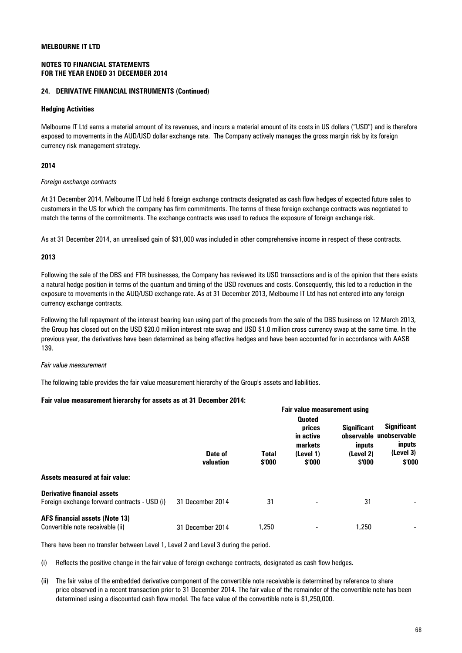# **NOTES TO FINANCIAL STATEMENTS FOR THE YEAR ENDED 31 DECEMBER 2014**

# **24. DERIVATIVE FINANCIAL INSTRUMENTS (Continued)**

### **Hedging Activities**

Melbourne IT Ltd earns a material amount of its revenues, and incurs a material amount of its costs in US dollars ("USD") and is therefore exposed to movements in the AUD/USD dollar exchange rate. The Company actively manages the gross margin risk by its foreign currency risk management strategy.

# **2014**

### *Foreign exchange contracts*

At 31 December 2014, Melbourne IT Ltd held 6 foreign exchange contracts designated as cash flow hedges of expected future sales to customers in the US for which the company has firm commitments. The terms of these foreign exchange contracts was negotiated to match the terms of the commitments. The exchange contracts was used to reduce the exposure of foreign exchange risk.

As at 31 December 2014, an unrealised gain of \$31,000 was included in other comprehensive income in respect of these contracts.

# **2013**

Following the sale of the DBS and FTR businesses, the Company has reviewed its USD transactions and is of the opinion that there exists a natural hedge position in terms of the quantum and timing of the USD revenues and costs. Consequently, this led to a reduction in the exposure to movements in the AUD/USD exchange rate. As at 31 December 2013, Melbourne IT Ltd has not entered into any foreign currency exchange contracts.

Following the full repayment of the interest bearing loan using part of the proceeds from the sale of the DBS business on 12 March 2013, the Group has closed out on the USD \$20.0 million interest rate swap and USD \$1.0 million cross currency swap at the same time. In the previous year, the derivatives have been determined as being effective hedges and have been accounted for in accordance with AASB 139.

### *Fair value measurement*

The following table provides the fair value measurement hierarchy of the Group's assets and liabilities.

### **Fair value measurement hierarchy for assets as at 31 December 2014:**

|                                                                                    | Fair value measurement using |                        |                                                                 |                                                     |                                                                         |
|------------------------------------------------------------------------------------|------------------------------|------------------------|-----------------------------------------------------------------|-----------------------------------------------------|-------------------------------------------------------------------------|
|                                                                                    | Date of<br>valuation         | <b>Total</b><br>\$'000 | Quoted<br>prices<br>in active<br>markets<br>(Level 1)<br>\$'000 | <b>Significant</b><br>inputs<br>(Level 2)<br>\$'000 | Significant<br>observable unobservable<br>inputs<br>(Level 3)<br>\$'000 |
| <b>Assets measured at fair value:</b>                                              |                              |                        |                                                                 |                                                     |                                                                         |
| <b>Derivative financial assets</b><br>Foreign exchange forward contracts - USD (i) | 31 December 2014             | 31                     | $\overline{\phantom{a}}$                                        | 31                                                  |                                                                         |
| <b>AFS financial assets (Note 13)</b><br>Convertible note receivable (ii)          | 31 December 2014             | 1,250                  | $\overline{a}$                                                  | 1.250                                               |                                                                         |

There have been no transfer between Level 1, Level 2 and Level 3 during the period.

(i) Reflects the positive change in the fair value of foreign exchange contracts, designated as cash flow hedges.

(ii) The fair value of the embedded derivative component of the convertible note receivable is determined by reference to share price observed in a recent transaction prior to 31 December 2014. The fair value of the remainder of the convertible note has been determined using a discounted cash flow model. The face value of the convertible note is \$1,250,000.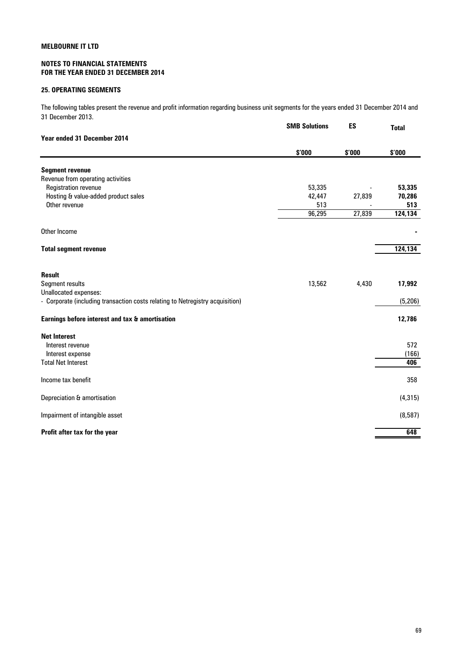# **NOTES TO FINANCIAL STATEMENTS FOR THE YEAR ENDED 31 DECEMBER 2014**

# **25. OPERATING SEGMENTS**

The following tables present the revenue and profit information regarding business unit segments for the years ended 31 December 2014 and 31 December 2013.

|                                                                               | <b>SMB Solutions</b> | ES     | <b>Total</b> |
|-------------------------------------------------------------------------------|----------------------|--------|--------------|
| Year ended 31 December 2014                                                   |                      |        |              |
|                                                                               | \$'000               | \$'000 | \$'000       |
| <b>Segment revenue</b>                                                        |                      |        |              |
| Revenue from operating activities                                             |                      |        |              |
| Registration revenue                                                          | 53,335               |        | 53,335       |
| Hosting & value-added product sales                                           | 42,447               | 27,839 | 70,286       |
| Other revenue                                                                 | 513                  |        | 513          |
|                                                                               | 96,295               | 27,839 | 124,134      |
| Other Income                                                                  |                      |        |              |
| <b>Total segment revenue</b>                                                  |                      |        | 124,134      |
| <b>Result</b>                                                                 |                      |        |              |
| Segment results                                                               | 13,562               | 4,430  | 17,992       |
| Unallocated expenses:                                                         |                      |        |              |
| - Corporate (including transaction costs relating to Netregistry acquisition) |                      |        | (5, 206)     |
| Earnings before interest and tax & amortisation                               |                      |        | 12,786       |
| <b>Net Interest</b>                                                           |                      |        |              |
| Interest revenue                                                              |                      |        | 572          |
| Interest expense                                                              |                      |        | (166)        |
| <b>Total Net Interest</b>                                                     |                      |        | 406          |
| Income tax benefit                                                            |                      |        | 358          |
| Depreciation & amortisation                                                   |                      |        | (4, 315)     |
| Impairment of intangible asset                                                |                      |        | (8,587)      |
| Profit after tax for the year                                                 |                      |        | 648          |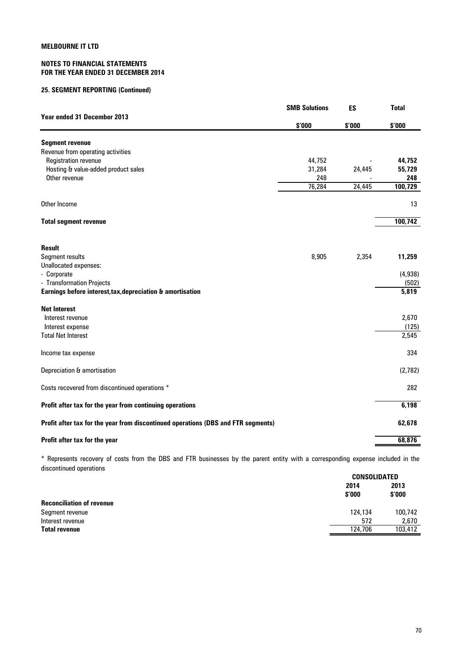# **NOTES TO FINANCIAL STATEMENTS FOR THE YEAR ENDED 31 DECEMBER 2014**

# **25. SEGMENT REPORTING (Continued)**

|                                                                                   | <b>SMB Solutions</b> | ES     | <b>Total</b> |
|-----------------------------------------------------------------------------------|----------------------|--------|--------------|
| Year ended 31 December 2013                                                       | \$'000               | \$'000 | \$'000       |
| <b>Segment revenue</b>                                                            |                      |        |              |
| Revenue from operating activities                                                 |                      |        |              |
| Registration revenue                                                              | 44,752               |        | 44,752       |
| Hosting & value-added product sales                                               | 31,284               | 24,445 | 55,729       |
| Other revenue                                                                     | 248                  |        | 248          |
|                                                                                   | 76,284               | 24,445 | 100,729      |
| Other Income                                                                      |                      |        | 13           |
| <b>Total segment revenue</b>                                                      |                      |        | 100,742      |
| <b>Result</b>                                                                     |                      |        |              |
| Segment results                                                                   | 8,905                | 2,354  | 11,259       |
| Unallocated expenses:                                                             |                      |        |              |
| - Corporate                                                                       |                      |        | (4,938)      |
| - Transformation Projects                                                         |                      |        | (502)        |
| Earnings before interest, tax, depreciation & amortisation                        |                      |        | 5,819        |
| <b>Net Interest</b>                                                               |                      |        |              |
| Interest revenue                                                                  |                      |        | 2,670        |
| Interest expense                                                                  |                      |        | (125)        |
| <b>Total Net Interest</b>                                                         |                      |        | 2,545        |
| Income tax expense                                                                |                      |        | 334          |
| Depreciation & amortisation                                                       |                      |        | (2,782)      |
| Costs recovered from discontinued operations *                                    |                      |        | 282          |
| Profit after tax for the year from continuing operations                          |                      |        | 6,198        |
| Profit after tax for the year from discontinued operations (DBS and FTR segments) |                      |        | 62,678       |
| Profit after tax for the year                                                     |                      |        | 68,876       |
|                                                                                   |                      |        |              |

\* Represents recovery of costs from the DBS and FTR businesses by the parent entity with a corresponding expense included in the discontinued operations

| alooolitiikoa opolatiolio        |                | <b>CONSOLIDATED</b> |  |
|----------------------------------|----------------|---------------------|--|
|                                  | 2014<br>\$'000 | 2013<br>\$'000      |  |
| <b>Reconciliation of revenue</b> |                |                     |  |
| Segment revenue                  | 124,134        | 100,742             |  |
| Interest revenue                 | 572            | 2,670               |  |
| <b>Total revenue</b>             | 124,706        | 103,412             |  |
|                                  |                |                     |  |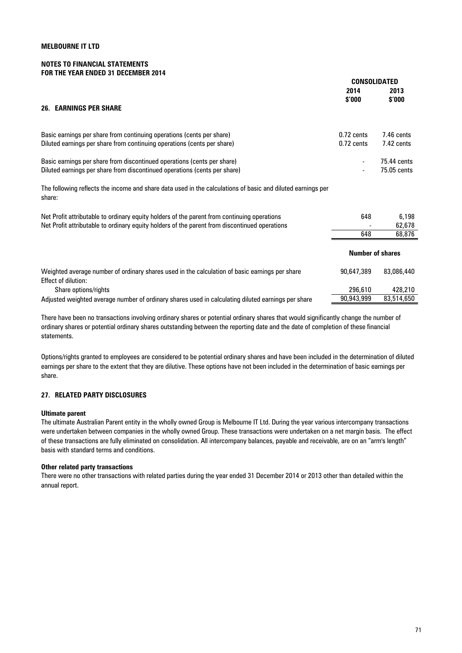|                                                                                                                              | <b>CONSOLIDATED</b>     |                |
|------------------------------------------------------------------------------------------------------------------------------|-------------------------|----------------|
| <b>26. EARNINGS PER SHARE</b>                                                                                                | 2014<br>\$'000          | 2013<br>\$'000 |
|                                                                                                                              |                         |                |
| Basic earnings per share from continuing operations (cents per share)                                                        | $0.72$ cents            | $7.46$ cents   |
| Diluted earnings per share from continuing operations (cents per share)                                                      | 0.72 cents              | 7.42 cents     |
| Basic earnings per share from discontinued operations (cents per share)                                                      |                         | 75.44 cents    |
| Diluted earnings per share from discontinued operations (cents per share)                                                    |                         | 75.05 cents    |
| The following reflects the income and share data used in the calculations of basic and diluted earnings per<br>share:        |                         |                |
| Net Profit attributable to ordinary equity holders of the parent from continuing operations                                  | 648                     | 6,198          |
| Net Profit attributable to ordinary equity holders of the parent from discontinued operations                                |                         | 62,678         |
|                                                                                                                              | 648                     | 68,876         |
|                                                                                                                              | <b>Number of shares</b> |                |
| Weighted average number of ordinary shares used in the calculation of basic earnings per share<br><b>Effect of dilution:</b> | 90,647,389              | 83,086,440     |
| Share options/rights                                                                                                         | 296,610                 | 428,210        |
| Adjusted weighted average number of ordinary shares used in calculating diluted earnings per share                           | 90,943,999              | 83,514,650     |

There have been no transactions involving ordinary shares or potential ordinary shares that would significantly change the number of ordinary shares or potential ordinary shares outstanding between the reporting date and the date of completion of these financial statements.

Options/rights granted to employees are considered to be potential ordinary shares and have been included in the determination of diluted earnings per share to the extent that they are dilutive. These options have not been included in the determination of basic earnings per share.

# **27. RELATED PARTY DISCLOSURES**

### **Ultimate parent**

The ultimate Australian Parent entity in the wholly owned Group is Melbourne IT Ltd. During the year various intercompany transactions were undertaken between companies in the wholly owned Group. These transactions were undertaken on a net margin basis. The effect of these transactions are fully eliminated on consolidation. All intercompany balances, payable and receivable, are on an "arm's length" basis with standard terms and conditions.

### **Other related party transactions**

There were no other transactions with related parties during the year ended 31 December 2014 or 2013 other than detailed within the annual report.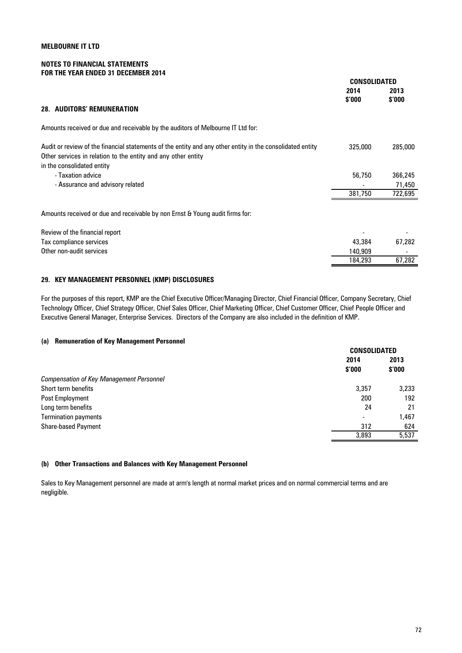|                                                                                                                                                                                                          | <b>CONSOLIDATED</b> |                |
|----------------------------------------------------------------------------------------------------------------------------------------------------------------------------------------------------------|---------------------|----------------|
|                                                                                                                                                                                                          | 2014<br>\$'000      | 2013<br>\$'000 |
| <b>28. AUDITORS' REMUNERATION</b>                                                                                                                                                                        |                     |                |
| Amounts received or due and receivable by the auditors of Melbourne IT Ltd for:                                                                                                                          |                     |                |
| Audit or review of the financial statements of the entity and any other entity in the consolidated entity<br>Other services in relation to the entity and any other entity<br>in the consolidated entity | 325,000             | 285,000        |
| - Taxation advice                                                                                                                                                                                        | 56,750              | 366,245        |
| - Assurance and advisory related                                                                                                                                                                         |                     | 71,450         |
|                                                                                                                                                                                                          | 381,750             | 722,695        |
| Amounts received or due and receivable by non Ernst & Young audit firms for:                                                                                                                             |                     |                |
| Review of the financial report                                                                                                                                                                           |                     |                |
| Tax compliance services                                                                                                                                                                                  | 43,384              | 67,282         |
| Other non-audit services                                                                                                                                                                                 | 140,909             |                |
|                                                                                                                                                                                                          | 184,293             | 67,282         |
|                                                                                                                                                                                                          |                     |                |

# **29. KEY MANAGEMENT PERSONNEL (KMP) DISCLOSURES**

For the purposes of this report, KMP are the Chief Executive Officer/Managing Director, Chief Financial Officer, Company Secretary, Chief Technology Officer, Chief Strategy Officer, Chief Sales Officer, Chief Marketing Officer, Chief Customer Officer, Chief People Officer and Executive General Manager, Enterprise Services. Directors of the Company are also included in the definition of KMP.

#### **(a) Remuneration of Key Management Personnel**

|                                                 | 2014                                | 2013   |
|-------------------------------------------------|-------------------------------------|--------|
|                                                 | \$'000                              | \$'000 |
| <b>Compensation of Key Management Personnel</b> |                                     |        |
| Short term benefits                             | 3.357                               | 3,233  |
| Post Employment                                 | 200                                 | 192    |
| Long term benefits                              | 24                                  | 21     |
| <b>Termination payments</b>                     | ٠                                   | 1,467  |
| <b>Share-based Payment</b>                      | <b>CONSOLIDATED</b><br>312<br>3,893 | 624    |
|                                                 |                                     | 5,537  |

#### **(b) Other Transactions and Balances with Key Management Personnel**

Sales to Key Management personnel are made at arm's length at normal market prices and on normal commercial terms and are negligible.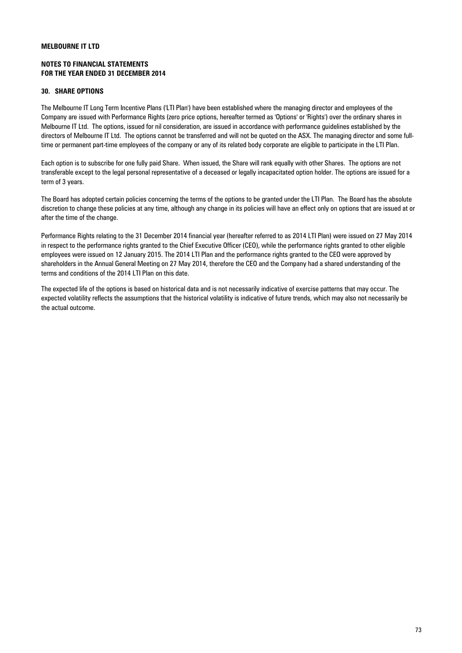## **MELBOURNE IT LTD**

## **NOTES TO FINANCIAL STATEMENTS FOR THE YEAR ENDED 31 DECEMBER 2014**

#### **30. SHARE OPTIONS**

The Melbourne IT Long Term Incentive Plans ('LTI Plan') have been established where the managing director and employees of the Company are issued with Performance Rights (zero price options, hereafter termed as 'Options' or 'Rights') over the ordinary shares in Melbourne IT Ltd. The options, issued for nil consideration, are issued in accordance with performance guidelines established by the directors of Melbourne IT Ltd. The options cannot be transferred and will not be quoted on the ASX. The managing director and some fulltime or permanent part-time employees of the company or any of its related body corporate are eligible to participate in the LTI Plan.

Each option is to subscribe for one fully paid Share. When issued, the Share will rank equally with other Shares. The options are not transferable except to the legal personal representative of a deceased or legally incapacitated option holder. The options are issued for a term of 3 years.

The Board has adopted certain policies concerning the terms of the options to be granted under the LTI Plan. The Board has the absolute discretion to change these policies at any time, although any change in its policies will have an effect only on options that are issued at or after the time of the change.

Performance Rights relating to the 31 December 2014 financial year (hereafter referred to as 2014 LTI Plan) were issued on 27 May 2014 in respect to the performance rights granted to the Chief Executive Officer (CEO), while the performance rights granted to other eligible employees were issued on 12 January 2015. The 2014 LTI Plan and the performance rights granted to the CEO were approved by shareholders in the Annual General Meeting on 27 May 2014, therefore the CEO and the Company had a shared understanding of the terms and conditions of the 2014 LTI Plan on this date.

The expected life of the options is based on historical data and is not necessarily indicative of exercise patterns that may occur. The expected volatility reflects the assumptions that the historical volatility is indicative of future trends, which may also not necessarily be the actual outcome.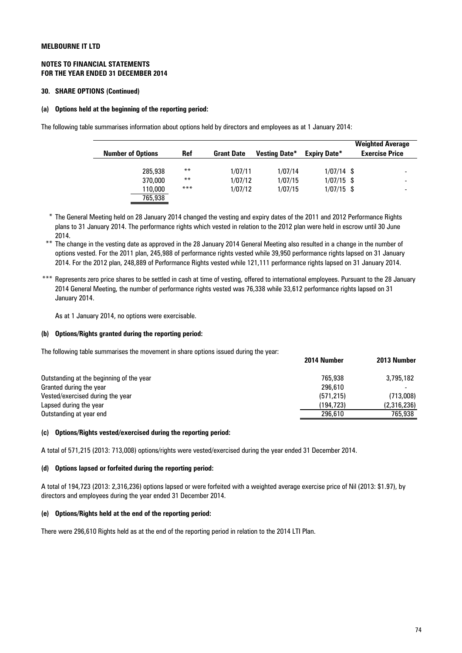#### **30. SHARE OPTIONS (Continued)**

#### **(a) Options held at the beginning of the reporting period:**

The following table summarises information about options held by directors and employees as at 1 January 2014:

| <b>Number of Options</b> | Ref   | <b>Grant Date</b> | <b>Vesting Date*</b> | <b>Expiry Date*</b> | <b>Weighted Average</b><br><b>Exercise Price</b> |
|--------------------------|-------|-------------------|----------------------|---------------------|--------------------------------------------------|
|                          |       |                   |                      |                     |                                                  |
| 285,938                  | $***$ | 1/07/11           | 1/07/14              | $1/07/14$ \$        |                                                  |
| 370,000                  | $***$ | 1/07/12           | 1/07/15              | $1/07/15$ \$        |                                                  |
| 110,000                  | $***$ | 1/07/12           | 1/07/15              | $1/07/15$ \$        |                                                  |
| 765,938                  |       |                   |                      |                     |                                                  |

\* The General Meeting held on 28 January 2014 changed the vesting and expiry dates of the 2011 and 2012 Performance Rights plans to 31 January 2014. The performance rights which vested in relation to the 2012 plan were held in escrow until 30 June 2014.

\*\* The change in the vesting date as approved in the 28 January 2014 General Meeting also resulted in a change in the number of options vested. For the 2011 plan, 245,988 of performance rights vested while 39,950 performance rights lapsed on 31 January 2014. For the 2012 plan, 248,889 of Performance Rights vested while 121,111 performance rights lapsed on 31 January 2014.

\*\*\* Represents zero price shares to be settled in cash at time of vesting, offered to international employees. Pursuant to the 28 January 2014 General Meeting, the number of performance rights vested was 76,338 while 33,612 performance rights lapsed on 31 January 2014.

As at 1 January 2014, no options were exercisable.

## **(b) Options/Rights granted during the reporting period:**

The following table summarises the movement in share options issued during the year:

| Outstanding at the beginning of the year | 765,938    | 3,795,182   |
|------------------------------------------|------------|-------------|
| Granted during the year                  | 296,610    |             |
| Vested/exercised during the year         | (571, 215) | (713,008)   |
| Lapsed during the year                   | (194.723)  | (2,316,236) |
| Outstanding at year end                  | 296,610    | 765,938     |

#### **(c) Options/Rights vested/exercised during the reporting period:**

A total of 571,215 (2013: 713,008) options/rights were vested/exercised during the year ended 31 December 2014.

#### **(d) Options lapsed or forfeited during the reporting period:**

A total of 194,723 (2013: 2,316,236) options lapsed or were forfeited with a weighted average exercise price of Nil (2013: \$1.97), by directors and employees during the year ended 31 December 2014.

#### **(e) Options/Rights held at the end of the reporting period:**

There were 296,610 Rights held as at the end of the reporting period in relation to the 2014 LTI Plan.

**2014 Number 2013 Number**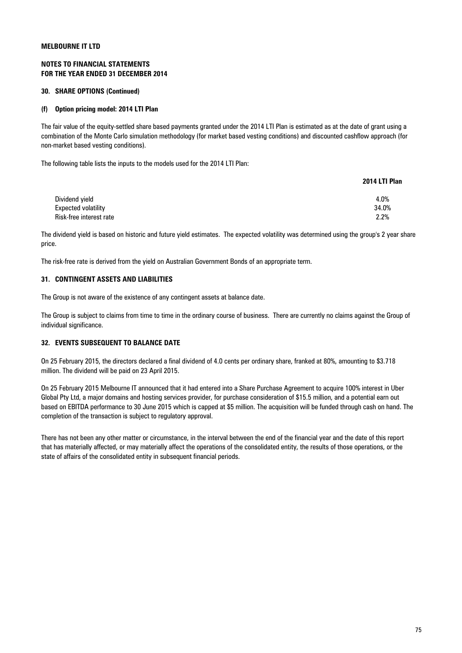#### **MELBOURNE IT LTD**

### **NOTES TO FINANCIAL STATEMENTS FOR THE YEAR ENDED 31 DECEMBER 2014**

#### **30. SHARE OPTIONS (Continued)**

#### **(f) Option pricing model: 2014 LTI Plan**

The fair value of the equity-settled share based payments granted under the 2014 LTI Plan is estimated as at the date of grant using a combination of the Monte Carlo simulation methodology (for market based vesting conditions) and discounted cashflow approach (for non-market based vesting conditions).

The following table lists the inputs to the models used for the 2014 LTI Plan:

|                            | <b>2014 LTI Plan</b> |
|----------------------------|----------------------|
| Dividend yield             | 4.0%                 |
| <b>Expected volatility</b> | 34.0%                |
| Risk-free interest rate    | 2.2%                 |

The dividend yield is based on historic and future yield estimates. The expected volatility was determined using the group's 2 year share price.

The risk-free rate is derived from the yield on Australian Government Bonds of an appropriate term.

## **31. CONTINGENT ASSETS AND LIABILITIES**

The Group is not aware of the existence of any contingent assets at balance date.

The Group is subject to claims from time to time in the ordinary course of business. There are currently no claims against the Group of individual significance.

## **32. EVENTS SUBSEQUENT TO BALANCE DATE**

On 25 February 2015, the directors declared a final dividend of 4.0 cents per ordinary share, franked at 80%, amounting to \$3.718 million. The dividend will be paid on 23 April 2015.

On 25 February 2015 Melbourne IT announced that it had entered into a Share Purchase Agreement to acquire 100% interest in Uber Global Pty Ltd, a major domains and hosting services provider, for purchase consideration of \$15.5 million, and a potential earn out based on EBITDA performance to 30 June 2015 which is capped at \$5 million. The acquisition will be funded through cash on hand. The completion of the transaction is subject to regulatory approval.

There has not been any other matter or circumstance, in the interval between the end of the financial year and the date of this report that has materially affected, or may materially affect the operations of the consolidated entity, the results of those operations, or the state of affairs of the consolidated entity in subsequent financial periods.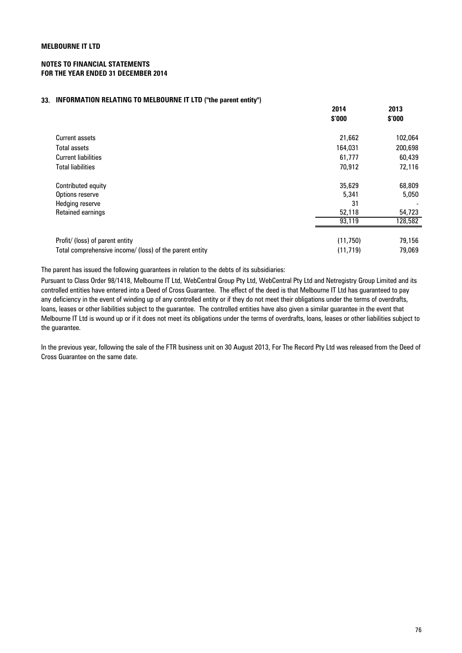## **33. INFORMATION RELATING TO MELBOURNE IT LTD ("the parent entity")**

|                                                         | 2014      | 2013    |
|---------------------------------------------------------|-----------|---------|
|                                                         | \$'000    | \$'000  |
| Current assets                                          | 21,662    | 102,064 |
| <b>Total assets</b>                                     | 164,031   | 200,698 |
| <b>Current liabilities</b>                              | 61,777    | 60,439  |
| <b>Total liabilities</b>                                | 70,912    | 72,116  |
| Contributed equity                                      | 35,629    | 68,809  |
| Options reserve                                         | 5,341     | 5,050   |
| Hedging reserve                                         | 31        |         |
| <b>Retained earnings</b>                                | 52,118    | 54,723  |
|                                                         | 93,119    | 128,582 |
| Profit/ (loss) of parent entity                         | (11, 750) | 79,156  |
| Total comprehensive income/ (loss) of the parent entity | (11, 719) | 79.069  |

The parent has issued the following guarantees in relation to the debts of its subsidiaries:

Pursuant to Class Order 98/1418, Melbourne IT Ltd, WebCentral Group Pty Ltd, WebCentral Pty Ltd and Netregistry Group Limited and its controlled entities have entered into a Deed of Cross Guarantee. The effect of the deed is that Melbourne IT Ltd has guaranteed to pay any deficiency in the event of winding up of any controlled entity or if they do not meet their obligations under the terms of overdrafts, loans, leases or other liabilities subject to the guarantee. The controlled entities have also given a similar guarantee in the event that Melbourne IT Ltd is wound up or if it does not meet its obligations under the terms of overdrafts, loans, leases or other liabilities subject to the guarantee.

In the previous year, following the sale of the FTR business unit on 30 August 2013, For The Record Pty Ltd was released from the Deed of Cross Guarantee on the same date.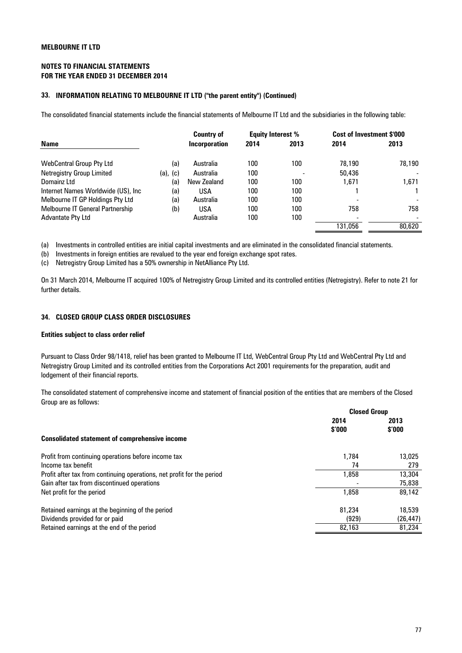## **33. INFORMATION RELATING TO MELBOURNE IT LTD ("the parent entity") (Continued)**

The consolidated financial statements include the financial statements of Melbourne IT Ltd and the subsidiaries in the following table:

|                                     |          | <b>Country of</b>    | <b>Equity Interest %</b> |      | Cost of Investment \$'000 |        |
|-------------------------------------|----------|----------------------|--------------------------|------|---------------------------|--------|
| Name                                |          | <b>Incorporation</b> | 2014                     | 2013 | 2014                      | 2013   |
| <b>WebCentral Group Pty Ltd</b>     | (a)      | Australia            | 100                      | 100  | 78,190                    | 78,190 |
| <b>Netregistry Group Limited</b>    | (a), (c) | Australia            | 100                      |      | 50,436                    |        |
| Domainz Ltd                         | (a)      | New Zealand          | 100                      | 100  | 1.671                     | 1,671  |
| Internet Names Worldwide (US), Inc. | (a)      | <b>USA</b>           | 100                      | 100  |                           |        |
| Melbourne IT GP Holdings Pty Ltd    | (a)      | Australia            | 100                      | 100  | $\overline{\phantom{0}}$  |        |
| Melbourne IT General Partnership    | (b)      | <b>USA</b>           | 100                      | 100  | 758                       | 758    |
| <b>Advantate Pty Ltd</b>            |          | Australia            | 100                      | 100  | $\overline{\phantom{a}}$  |        |
|                                     |          |                      |                          |      | 131.056                   | 80,620 |

(a) Investments in controlled entities are initial capital investments and are eliminated in the consolidated financial statements.

(b) Investments in foreign entities are revalued to the year end foreign exchange spot rates.

(c) Netregistry Group Limited has a 50% ownership in NetAlliance Pty Ltd.

On 31 March 2014, Melbourne IT acquired 100% of Netregistry Group Limited and its controlled entities (Netregistry). Refer to note 21 for further details.

#### **34. CLOSED GROUP CLASS ORDER DISCLOSURES**

#### **Entities subject to class order relief**

Pursuant to Class Order 98/1418, relief has been granted to Melbourne IT Ltd, WebCentral Group Pty Ltd and WebCentral Pty Ltd and Netregistry Group Limited and its controlled entities from the Corporations Act 2001 requirements for the preparation, audit and lodgement of their financial reports.

The consolidated statement of comprehensive income and statement of financial position of the entities that are members of the Closed Group are as follows:

|                                                                        | <b>Closed Group</b> |           |
|------------------------------------------------------------------------|---------------------|-----------|
|                                                                        | 2014                | 2013      |
|                                                                        | \$'000              | \$'000    |
| <b>Consolidated statement of comprehensive income</b>                  |                     |           |
| Profit from continuing operations before income tax                    | 1.784               | 13,025    |
| Income tax benefit                                                     | 74                  | 279       |
| Profit after tax from continuing operations, net profit for the period | 1,858               | 13,304    |
| Gain after tax from discontinued operations                            |                     | 75,838    |
| Net profit for the period                                              | 1,858               | 89,142    |
| Retained earnings at the beginning of the period                       | 81,234              | 18,539    |
| Dividends provided for or paid                                         | (929)               | (26, 447) |
| Retained earnings at the end of the period                             | 82,163              | 81.234    |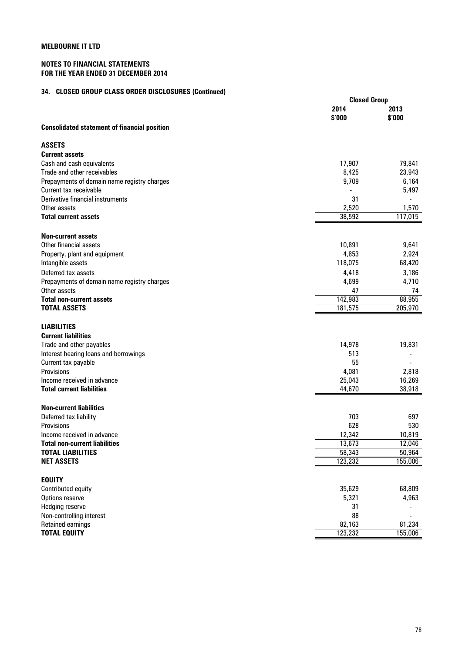## **MELBOURNE IT LTD**

# **NOTES TO FINANCIAL STATEMENTS FOR THE YEAR ENDED 31 DECEMBER 2014**

# **34. CLOSED GROUP CLASS ORDER DISCLOSURES (Continued)**

|                                                     | <b>Closed Group</b> |         |
|-----------------------------------------------------|---------------------|---------|
|                                                     | 2014                | 2013    |
|                                                     | \$'000              | \$'000  |
| <b>Consolidated statement of financial position</b> |                     |         |
| <b>ASSETS</b>                                       |                     |         |
| <b>Current assets</b>                               |                     |         |
| Cash and cash equivalents                           | 17,907              | 79,841  |
| Trade and other receivables                         | 8,425               | 23,943  |
| Prepayments of domain name registry charges         | 9,709               | 6,164   |
| Current tax receivable                              |                     | 5,497   |
| Derivative financial instruments                    | 31                  |         |
| Other assets                                        | 2,520               | 1,570   |
| <b>Total current assets</b>                         | 38,592              | 117,015 |
| <b>Non-current assets</b>                           |                     |         |
| Other financial assets                              | 10,891              | 9,641   |
| Property, plant and equipment                       | 4,853               | 2,924   |
| Intangible assets                                   | 118,075             | 68,420  |
| Deferred tax assets                                 | 4,418               | 3,186   |
| Prepayments of domain name registry charges         | 4,699               | 4,710   |
| Other assets                                        | 47                  | 74      |
| <b>Total non-current assets</b>                     | 142,983             | 88,955  |
| <b>TOTAL ASSETS</b>                                 | 181,575             | 205,970 |
| <b>LIABILITIES</b>                                  |                     |         |
| <b>Current liabilities</b>                          |                     |         |
| Trade and other payables                            | 14,978              | 19,831  |
| Interest bearing loans and borrowings               | 513                 |         |
| Current tax payable                                 | 55                  |         |
| Provisions                                          | 4,081               | 2,818   |
| Income received in advance                          | 25,043              | 16,269  |
| <b>Total current liabilities</b>                    | 44,670              | 38,918  |
| <b>Non-current liabilities</b>                      |                     |         |
| Deferred tax liability                              | 703                 | 697     |
| Provisions                                          | 628                 | 530     |
| Income received in advance                          | 12,342              | 10,819  |
| <b>Total non-current liabilities</b>                | 13,673              | 12,046  |
| <b>TOTAL LIABILITIES</b>                            | 58,343              | 50,964  |
| <b>NET ASSETS</b>                                   | 123,232             | 155,006 |
| <b>EQUITY</b>                                       |                     |         |
| Contributed equity                                  | 35,629              | 68,809  |
| Options reserve                                     | 5,321               | 4,963   |
| Hedging reserve                                     | 31                  |         |
| Non-controlling interest                            | 88                  |         |
| Retained earnings                                   | 82,163              | 81,234  |
| <b>TOTAL EQUITY</b>                                 | 123,232             | 155,006 |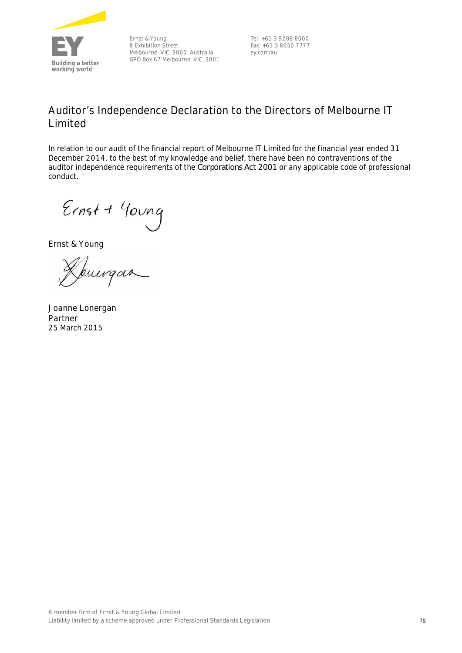

Ernst & Young 8 Exhibition Street Melbourne VIC 3000 Australia GPO Box 67 Melbourne VIC 3001

Tel: +61 3 9288 8000 Fax: +61 3 8650 7777 ey.com/au

# **Auditor's Independence Declaration to the Directors of Melbourne IT Limited**

In relation to our audit of the financial report of Melbourne IT Limited for the financial year ended 31 December 2014, to the best of my knowledge and belief, there have been no contraventions of the auditor independence requirements of the *Corporations Act 2001* or any applicable code of professional conduct.

 $Ernst + Young$ 

Ernst & Young

buergan

Joanne Lonergan Partner 25 March 2015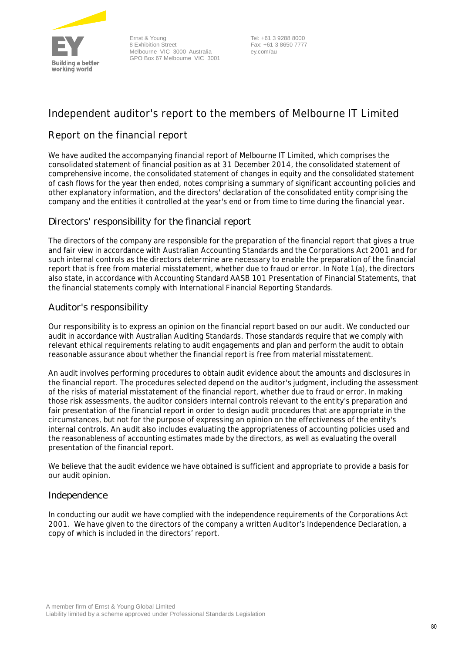

Ernst & Young 8 Exhibition Street Melbourne VIC 3000 Australia GPO Box 67 Melbourne VIC 3001

Tel: +61 3 9288 8000 Fax: +61 3 8650 7777 ey.com/au

# **Independent auditor's report to the members of Melbourne IT Limited**

# Report on the financial report

We have audited the accompanying financial report of Melbourne IT Limited, which comprises the consolidated statement of financial position as at 31 December 2014, the consolidated statement of comprehensive income, the consolidated statement of changes in equity and the consolidated statement of cash flows for the year then ended, notes comprising a summary of significant accounting policies and other explanatory information, and the directors' declaration of the consolidated entity comprising the company and the entities it controlled at the year's end or from time to time during the financial year.

# *Directors' responsibility for the financial report*

The directors of the company are responsible for the preparation of the financial report that gives a true and fair view in accordance with Australian Accounting Standards and the *Corporations Act 2001* and for such internal controls as the directors determine are necessary to enable the preparation of the financial report that is free from material misstatement, whether due to fraud or error. In Note 1(a), the directors also state, in accordance with Accounting Standard AASB 101 *Presentation of Financial Statements*, that the financial statements comply with *International Financial Reporting Standards*.

# *Auditor's responsibility*

Our responsibility is to express an opinion on the financial report based on our audit. We conducted our audit in accordance with Australian Auditing Standards. Those standards require that we comply with relevant ethical requirements relating to audit engagements and plan and perform the audit to obtain reasonable assurance about whether the financial report is free from material misstatement.

An audit involves performing procedures to obtain audit evidence about the amounts and disclosures in the financial report. The procedures selected depend on the auditor's judgment, including the assessment of the risks of material misstatement of the financial report, whether due to fraud or error. In making those risk assessments, the auditor considers internal controls relevant to the entity's preparation and fair presentation of the financial report in order to design audit procedures that are appropriate in the circumstances, but not for the purpose of expressing an opinion on the effectiveness of the entity's internal controls. An audit also includes evaluating the appropriateness of accounting policies used and the reasonableness of accounting estimates made by the directors, as well as evaluating the overall presentation of the financial report.

We believe that the audit evidence we have obtained is sufficient and appropriate to provide a basis for our audit opinion.

# *Independence*

In conducting our audit we have complied with the independence requirements of the *Corporations Act 2001*. We have given to the directors of the company a written Auditor's Independence Declaration, a copy of which is included in the directors' report.